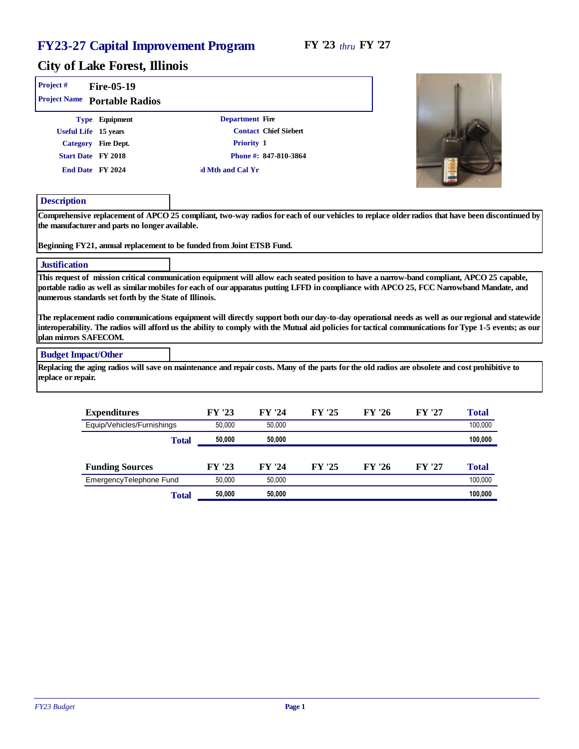the company of the company of the company

| Project#                   | Fire-05-19                                                                                                                                                                                                                                                                                                                                       |       |                  |                       |        |        |        |                                                                                                                                                                                                                                                                                                            |
|----------------------------|--------------------------------------------------------------------------------------------------------------------------------------------------------------------------------------------------------------------------------------------------------------------------------------------------------------------------------------------------|-------|------------------|-----------------------|--------|--------|--------|------------------------------------------------------------------------------------------------------------------------------------------------------------------------------------------------------------------------------------------------------------------------------------------------------------|
| Project Name               | Portable Radios                                                                                                                                                                                                                                                                                                                                  |       |                  |                       |        |        |        |                                                                                                                                                                                                                                                                                                            |
|                            | Type Equipment                                                                                                                                                                                                                                                                                                                                   |       |                  | Department Fire       |        |        |        |                                                                                                                                                                                                                                                                                                            |
|                            | Useful Life 15 years                                                                                                                                                                                                                                                                                                                             |       |                  | Contact Chief Siebert |        |        |        |                                                                                                                                                                                                                                                                                                            |
|                            | Category Fire Dept.                                                                                                                                                                                                                                                                                                                              |       |                  | Priority 1            |        |        |        |                                                                                                                                                                                                                                                                                                            |
|                            | Start Date FY 2018                                                                                                                                                                                                                                                                                                                               |       |                  | Phone #: 847-810-3864 |        |        |        |                                                                                                                                                                                                                                                                                                            |
|                            | End Date FY 2024                                                                                                                                                                                                                                                                                                                                 |       | d Mth and Cal Yr |                       |        |        |        |                                                                                                                                                                                                                                                                                                            |
| Description                |                                                                                                                                                                                                                                                                                                                                                  |       |                  |                       |        |        |        |                                                                                                                                                                                                                                                                                                            |
|                            | the manufacturer and parts no longer available.<br>Beginning FY21, annual replacement to be funded from Joint ETSB Fund.                                                                                                                                                                                                                         |       |                  |                       |        |        |        | Comprehensive replacement of APCO 25 compliant, two-way radios for each of our vehicles to replace older radios that have been discontinued by                                                                                                                                                             |
|                            |                                                                                                                                                                                                                                                                                                                                                  |       |                  |                       |        |        |        |                                                                                                                                                                                                                                                                                                            |
| Justification              |                                                                                                                                                                                                                                                                                                                                                  |       |                  |                       |        |        |        |                                                                                                                                                                                                                                                                                                            |
|                            | This request of mission critical communication equipment will allow each seated position to have a narrow-band compliant, APCO 25 capable,<br>portable radio as well as similar mobiles for each of our apparatus putting LFFD in compliance with APCO 25, FCC Narrowband Mandate, and<br>numerous standards set forth by the State of Illinois. |       |                  |                       |        |        |        |                                                                                                                                                                                                                                                                                                            |
| plan mirrors SAFECOM.      |                                                                                                                                                                                                                                                                                                                                                  |       |                  |                       |        |        |        | The replacement radio communications equipment will directly support both our day-to-day operational needs as well as our regional and statewide<br>interoperability. The radios will afford us the ability to comply with the Mutual aid policies for tactical communications for Type 1-5 events; as our |
| <b>Budget Impact/Other</b> |                                                                                                                                                                                                                                                                                                                                                  |       |                  |                       |        |        |        |                                                                                                                                                                                                                                                                                                            |
| replace or repair.         | Replacing the aging radios will save on maintenance and repair costs. Many of the parts for the old radios are obsolete and cost prohibitive to                                                                                                                                                                                                  |       |                  |                       |        |        |        |                                                                                                                                                                                                                                                                                                            |
|                            | Expenditures                                                                                                                                                                                                                                                                                                                                     |       | FY '23           | FY '24                | FY '25 | FY '26 | FY '27 | Total                                                                                                                                                                                                                                                                                                      |
|                            | Equip/Vehicles/Furnishings                                                                                                                                                                                                                                                                                                                       |       | 50.000           | 50,000                |        |        |        | 100.000                                                                                                                                                                                                                                                                                                    |
|                            |                                                                                                                                                                                                                                                                                                                                                  | Total | 50,000           | 50,000                |        |        |        | 100,000                                                                                                                                                                                                                                                                                                    |

| <b>Funding Sources</b>  | FY '23 | FY '24 | FY '25 | FY '26 | FY '27 | Total   |
|-------------------------|--------|--------|--------|--------|--------|---------|
| EmergencyTelephone Fund | 50.000 | 50.000 |        |        |        | 100.000 |
| Total                   | 50.000 | 50,000 |        |        |        | 100,000 |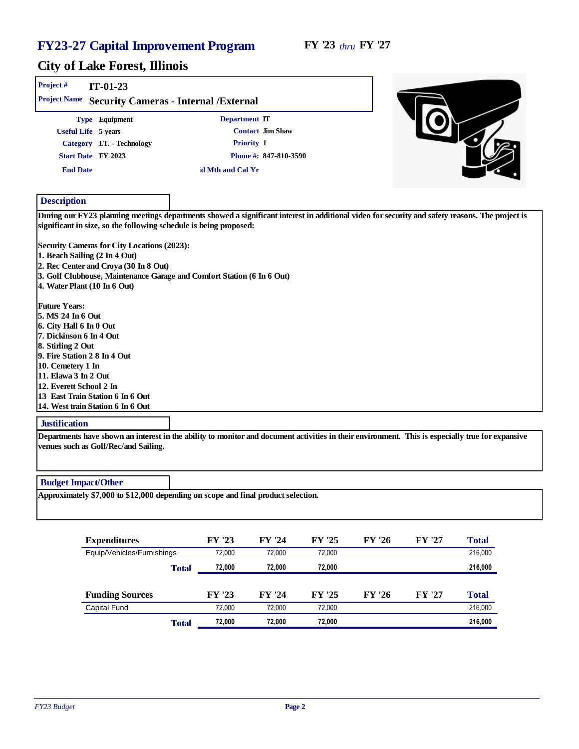#### City of Lake Forest, Illinois

| Project#<br><b>Project Name</b>                                                                                                                                                                                                                                                                                                                                                         | $IT-01-23$                                                                           | Security Cameras - Internal / External                                 |  |
|-----------------------------------------------------------------------------------------------------------------------------------------------------------------------------------------------------------------------------------------------------------------------------------------------------------------------------------------------------------------------------------------|--------------------------------------------------------------------------------------|------------------------------------------------------------------------|--|
| Useful Life 5 years                                                                                                                                                                                                                                                                                                                                                                     | Type Equipment                                                                       | Department IT<br>Contact Jim Shaw                                      |  |
|                                                                                                                                                                                                                                                                                                                                                                                         | Category I.T. - Technology                                                           | Priority 1                                                             |  |
| Start Date FY 2023                                                                                                                                                                                                                                                                                                                                                                      |                                                                                      | Phone #: 847-810-3590                                                  |  |
| <b>End Date</b>                                                                                                                                                                                                                                                                                                                                                                         |                                                                                      | d Mth and Cal Yr                                                       |  |
|                                                                                                                                                                                                                                                                                                                                                                                         |                                                                                      |                                                                        |  |
| Description                                                                                                                                                                                                                                                                                                                                                                             |                                                                                      |                                                                        |  |
| 1. Beach Sailing (2 In 4 Out)<br>4. Water Plant (10 In 6 Out)<br><b>Future Years:</b><br>5. MS 24 In 6 Out<br>6. City Hall 6 In 0 Out<br>7. Dickinson 6 In 4 Out<br>8. Stirling 2 Out<br>9. Fire Station 2 8 In 4 Out<br>10. Cemetery 1 In<br>11. Elawa 3 In 2 Out<br>12. Everett School 2 In<br>13 East Train Station 6 In 6 Out<br>14. West train Station 6 In 6 Out<br>Instification | Security Cameras for City Locations (2023):<br>2. Rec Center and Croya (30 In 8 Out) | 3. Golf Clubhouse, Maintenance Garage and Comfort Station (6 In 6 Out) |  |

#### **Justification**

Departments have shown an interest in the ability to monitor and document activities in their environment. This is especially true for expansive venues such as Golf/Rec/and Sailing.

#### Budget Impact/Other

Approximately \$7,000 to \$12,000 depending on scope and final product selection.

| Expenditures               |       | FY '23 | FY '24 | FY '25 | FY '26 | FY '27 | Total   |
|----------------------------|-------|--------|--------|--------|--------|--------|---------|
| Equip/Vehicles/Furnishings |       | 72.000 | 72.000 | 72.000 |        |        | 216,000 |
|                            | Total | 72.000 | 72.000 | 72.000 |        |        | 216,000 |
|                            |       |        |        |        |        |        |         |
| <b>Funding Sources</b>     |       | FY '23 | FY '24 | FY '25 | FY '26 | FY '27 | Total   |
| <b>Capital Fund</b>        |       | 72.000 | 72.000 | 72.000 |        |        | 216,000 |
|                            | Total | 72.000 | 72.000 | 72.000 |        |        | 216,000 |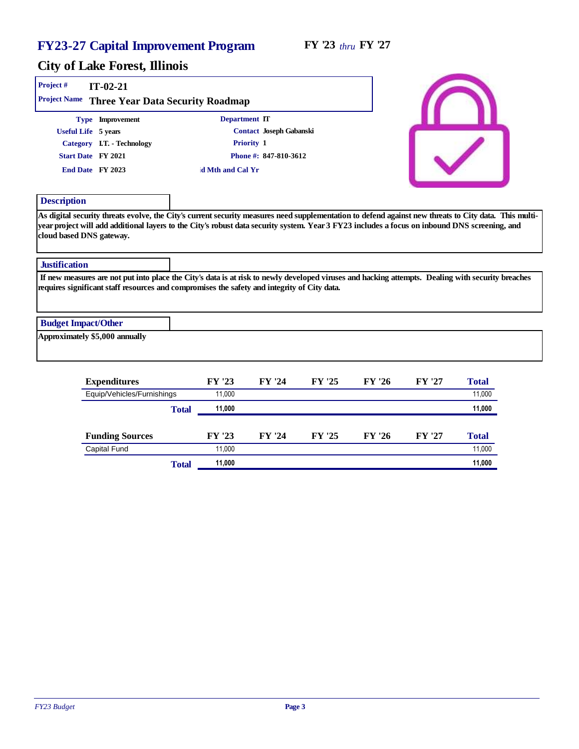| Project #<br>Project Name      | $IT-02-21$                 | Three Year Data Security Roadmap                                                            |                                                                                                                                                   |
|--------------------------------|----------------------------|---------------------------------------------------------------------------------------------|---------------------------------------------------------------------------------------------------------------------------------------------------|
|                                | Type Improvement           | Department IT                                                                               |                                                                                                                                                   |
| Useful Life 5 years            |                            | Contact Joseph Gabanski                                                                     |                                                                                                                                                   |
|                                | Category I.T. - Technology | Priority 1                                                                                  |                                                                                                                                                   |
| Start Date FY 2021             |                            | Phone #: 847-810-3612                                                                       |                                                                                                                                                   |
| End Date FY 2023               |                            | d Mth and Cal Yr                                                                            |                                                                                                                                                   |
| Description                    |                            |                                                                                             |                                                                                                                                                   |
| cloud based DNS gateway.       |                            |                                                                                             | year project will add additional layers to the City's robust data security system. Year 3 FY23 includes a focus on inbound DNS screening, and     |
| Justification                  |                            |                                                                                             |                                                                                                                                                   |
|                                |                            | requires significant staff resources and compromises the safety and integrity of City data. | If new measures are not put into place the City's data is at risk to newly developed viruses and hacking attempts. Dealing with security breaches |
| <b>Budget Impact/Other</b>     |                            |                                                                                             |                                                                                                                                                   |
| Approximately \$5,000 annually |                            |                                                                                             |                                                                                                                                                   |
|                                |                            |                                                                                             |                                                                                                                                                   |

| Expenditures               |       | FY '23 | FY '24 | FY '25 | FY '26 | FY '27 | Total  |
|----------------------------|-------|--------|--------|--------|--------|--------|--------|
| Equip/Vehicles/Furnishings |       | 11.000 |        |        |        |        | 11,000 |
|                            | Total | 11,000 |        |        |        |        | 11,000 |
|                            |       |        |        |        |        |        |        |
| <b>Funding Sources</b>     |       | FY '23 | FY '24 | FY '25 | FY '26 | FY '27 | Total  |
| Capital Fund               |       | 11.000 |        |        |        |        | 11,000 |
|                            | Total | 11.000 |        |        |        |        | 11,000 |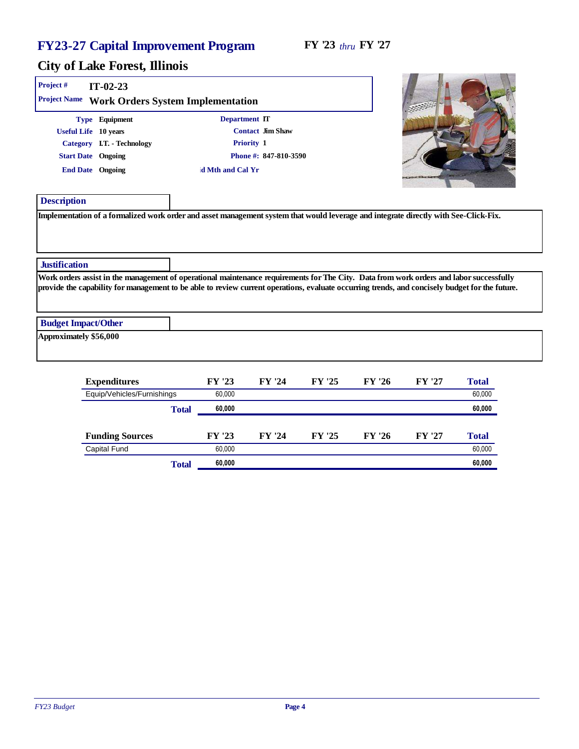**COLLEGE** 

m.

| Project#               | $IT-02-23$<br>Project Name Work Orders System Implementation                                                                                                                                                                                                                              |                  |                       |        |        |        |        |
|------------------------|-------------------------------------------------------------------------------------------------------------------------------------------------------------------------------------------------------------------------------------------------------------------------------------------|------------------|-----------------------|--------|--------|--------|--------|
|                        | Type Equipment                                                                                                                                                                                                                                                                            | Department IT    |                       |        |        |        |        |
|                        | Useful Life 10 years                                                                                                                                                                                                                                                                      |                  | Contact Jim Shaw      |        |        |        |        |
|                        | Category I.T. - Technology                                                                                                                                                                                                                                                                |                  | Priority 1            |        |        |        |        |
|                        | <b>Start Date</b> Ongoing                                                                                                                                                                                                                                                                 |                  | Phone #: 847-810-3590 |        |        |        |        |
|                        | End Date Ongoing                                                                                                                                                                                                                                                                          | d Mth and Cal Yr |                       |        |        |        |        |
| Description            |                                                                                                                                                                                                                                                                                           |                  |                       |        |        |        |        |
|                        | Implementation of a formalized work order and asset management system that would leverage and integrate directly with See-Click-Fix.                                                                                                                                                      |                  |                       |        |        |        |        |
| <b>Justification</b>   |                                                                                                                                                                                                                                                                                           |                  |                       |        |        |        |        |
|                        | Work orders assist in the management of operational maintenance requirements for The City. Data from work orders and labor successfully<br>provide the capability for management to be able to review current operations, evaluate occurring trends, and concisely budget for the future. |                  |                       |        |        |        |        |
|                        | <b>Budget Impact/Other</b>                                                                                                                                                                                                                                                                |                  |                       |        |        |        |        |
|                        |                                                                                                                                                                                                                                                                                           |                  |                       |        |        |        |        |
|                        |                                                                                                                                                                                                                                                                                           |                  |                       |        |        |        |        |
| Approximately \$56,000 |                                                                                                                                                                                                                                                                                           | FY '23           | FY '24                | FY '25 | FY '26 | FY '27 | Total  |
|                        | Expenditures<br>Equip/Vehicles/Furnishings                                                                                                                                                                                                                                                | 60,000           |                       |        |        |        | 60,000 |

| <b>Funding Sources</b> |       | FY '23 | FY '24 | FY '25 | FY '26 | FY '27 | Total  |
|------------------------|-------|--------|--------|--------|--------|--------|--------|
| Capital Fund           |       | 60.000 |        |        |        |        | 60,000 |
|                        | Total | 60,000 |        |        |        |        | 60,000 |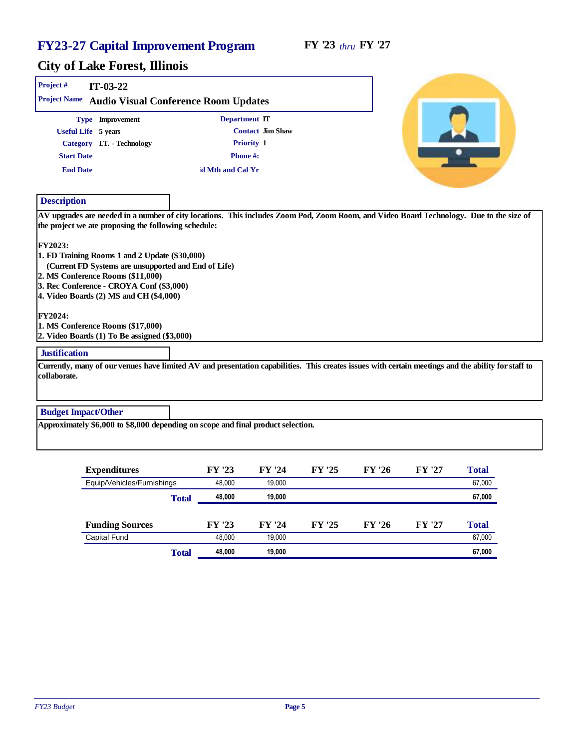| Project#                   | $IT-03-22$                                                                                                                                                                                                                                      |                                                                                  |                                                                                                                                                     |
|----------------------------|-------------------------------------------------------------------------------------------------------------------------------------------------------------------------------------------------------------------------------------------------|----------------------------------------------------------------------------------|-----------------------------------------------------------------------------------------------------------------------------------------------------|
| Project Name               |                                                                                                                                                                                                                                                 | Audio Visual Conference Room Updates                                             |                                                                                                                                                     |
|                            | Type Improvement                                                                                                                                                                                                                                | Department IT                                                                    |                                                                                                                                                     |
|                            | Useful Life 5 years                                                                                                                                                                                                                             | Contact Jim Shaw                                                                 |                                                                                                                                                     |
|                            | Category I.T. - Technology                                                                                                                                                                                                                      | Priority 1                                                                       |                                                                                                                                                     |
| <b>Start Date</b>          |                                                                                                                                                                                                                                                 | Phone#:                                                                          |                                                                                                                                                     |
| <b>End Date</b>            |                                                                                                                                                                                                                                                 | d Mth and Cal Yr                                                                 |                                                                                                                                                     |
| Description                |                                                                                                                                                                                                                                                 |                                                                                  |                                                                                                                                                     |
| FY2023:                    | the project we are proposing the following schedule:<br>1. FD Training Rooms 1 and 2 Update (\$30,000)<br>(Current FD Systems are unsupported and End of Life)<br>2. MS Conference Rooms (\$11,000)<br>3. Rec Conference - CROYA Conf (\$3,000) |                                                                                  | AV upgrades are needed in a number of city locations. This includes Zoom Pod, Zoom Room, and Video Board Technology. Due to the size of             |
| FY2024:                    | 4. Video Boards (2) MS and CH (\$4,000)<br>1. MS Conference Rooms (\$17,000)<br>2. Video Boards (1) To Be assigned (\$3,000)                                                                                                                    |                                                                                  |                                                                                                                                                     |
| Justification              |                                                                                                                                                                                                                                                 |                                                                                  |                                                                                                                                                     |
| collaborate.               |                                                                                                                                                                                                                                                 |                                                                                  | Currently, many of our venues have limited AV and presentation capabilities. This creates issues with certain meetings and the ability for staff to |
| <b>Budget Impact/Other</b> |                                                                                                                                                                                                                                                 |                                                                                  |                                                                                                                                                     |
|                            |                                                                                                                                                                                                                                                 | Approximately \$6,000 to \$8,000 depending on scope and final product selection. |                                                                                                                                                     |

| Expenditures                        |       | FY '23 | FY '24 | FY '25 | FY '26 | FY '27 | Total  |
|-------------------------------------|-------|--------|--------|--------|--------|--------|--------|
| Equip/Vehicles/Furnishings<br>Total |       | 48.000 | 19.000 |        |        |        | 67,000 |
|                                     |       | 48,000 | 19,000 |        |        |        | 67,000 |
|                                     |       |        |        |        |        |        |        |
| <b>Funding Sources</b>              |       | FY '23 | FY '24 | FY '25 | FY '26 | FY '27 | Total  |
| Capital Fund                        |       | 48.000 | 19.000 |        |        |        | 67,000 |
|                                     | Total | 48.000 | 19,000 |        |        |        | 67,000 |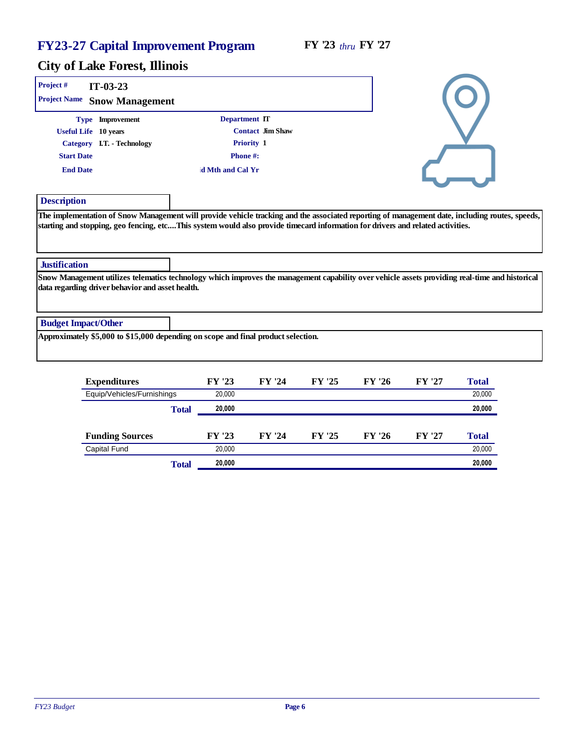| Project#<br>$IT-03-23$                           |                                                                                                                                |                                                                                                                                                |
|--------------------------------------------------|--------------------------------------------------------------------------------------------------------------------------------|------------------------------------------------------------------------------------------------------------------------------------------------|
| Project Name<br>Snow Management                  |                                                                                                                                |                                                                                                                                                |
| Type Improvement                                 | Department IT                                                                                                                  |                                                                                                                                                |
| Useful Life 10 years                             | Contact Jim Shaw                                                                                                               |                                                                                                                                                |
| Category I.T. - Technology                       | Priority 1                                                                                                                     |                                                                                                                                                |
| <b>Start Date</b>                                | Phone#:                                                                                                                        |                                                                                                                                                |
| <b>End Date</b>                                  | d Mth and Cal Yr                                                                                                               |                                                                                                                                                |
| Description                                      |                                                                                                                                |                                                                                                                                                |
|                                                  | starting and stopping, geo fencing, etcThis system would also provide timecard information for drivers and related activities. | The implementation of Snow Management will provide vehicle tracking and the associated reporting of management date, including routes, speeds, |
| Justification                                    |                                                                                                                                |                                                                                                                                                |
| data regarding driver behavior and asset health. |                                                                                                                                | Snow Management utilizes telematics technology which improves the management capability over vehicle assets providing real-time and historical |
| <b>Budget Impact/Other</b>                       |                                                                                                                                |                                                                                                                                                |
|                                                  | Approximately \$5,000 to \$15,000 depending on scope and final product selection.                                              |                                                                                                                                                |

| Expenditures               |       | FY '23 | FY '24 | FY '25 | FY '26 | FY '27 | Total  |
|----------------------------|-------|--------|--------|--------|--------|--------|--------|
| Equip/Vehicles/Furnishings |       | 20,000 |        |        |        |        | 20,000 |
|                            | Total | 20,000 |        |        |        |        | 20,000 |
|                            |       |        |        |        |        |        |        |
| <b>Funding Sources</b>     |       | FY '23 | FY '24 | FY '25 | FY '26 | FY '27 | Total  |
| Capital Fund               |       | 20,000 |        |        |        |        | 20,000 |
|                            | Total | 20,000 |        |        |        |        | 20,000 |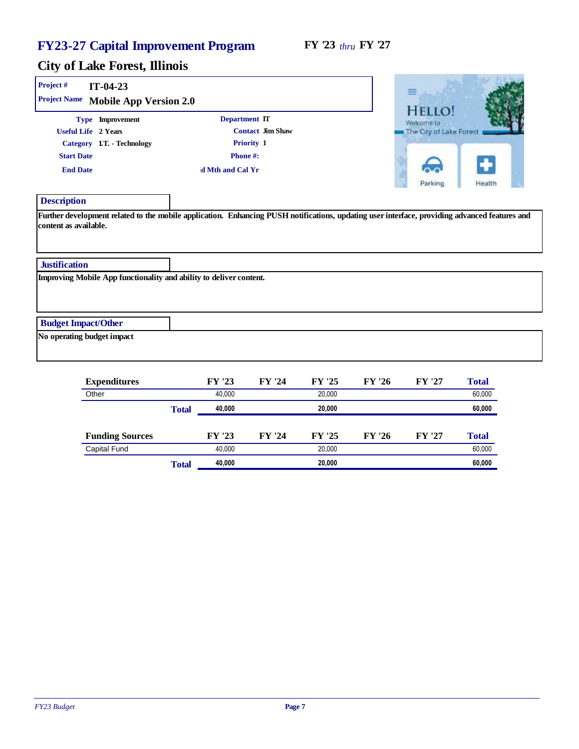| Project #<br>$IT-04-23$<br>Project Name Mobile App Version 2.0                                                                                               |              |                                              |                                |        |        | 丰                                                        |        |
|--------------------------------------------------------------------------------------------------------------------------------------------------------------|--------------|----------------------------------------------|--------------------------------|--------|--------|----------------------------------------------------------|--------|
| Type Improvement<br>Useful Life 2 Years<br>Category I.T. - Technology<br><b>Start Date</b><br><b>End Date</b>                                                |              | Department IT<br>Phone#:<br>d Mth and Cal Yr | Contact Jim Shaw<br>Priority 1 |        |        | HEIT<br>Welcome to<br>The City of Lake Forest<br>Parkino | Health |
| Description<br>Further development related to the mobile application. Enhancing PUSH notifications, updating user interface, providing advanced features and |              |                                              |                                |        |        |                                                          |        |
| content as available.<br>Justification<br>Improving Mobile App functionality and ability to deliver content.                                                 |              |                                              |                                |        |        |                                                          |        |
|                                                                                                                                                              |              |                                              |                                |        |        |                                                          |        |
| <b>Budget Impact/Other</b><br>No operating budget impact                                                                                                     |              |                                              |                                |        |        |                                                          |        |
| Expenditures                                                                                                                                                 |              | FY '23                                       | FY '24                         | FY '25 | FY '26 | FY '27                                                   | Total  |
| Other                                                                                                                                                        |              | 40,000                                       |                                | 20,000 |        |                                                          | 60,000 |
|                                                                                                                                                              | <b>Total</b> | 40,000                                       |                                | 20,000 |        |                                                          | 60,000 |

|                        | Total | 40,000 |        | 20,000 |        |        | 60,000 |
|------------------------|-------|--------|--------|--------|--------|--------|--------|
| Capital Fund           |       | 40.000 |        | 20.000 |        |        | 60,000 |
| <b>Funding Sources</b> |       | FY '23 | FY '24 | FY '25 | FY '26 | FY '27 | Total  |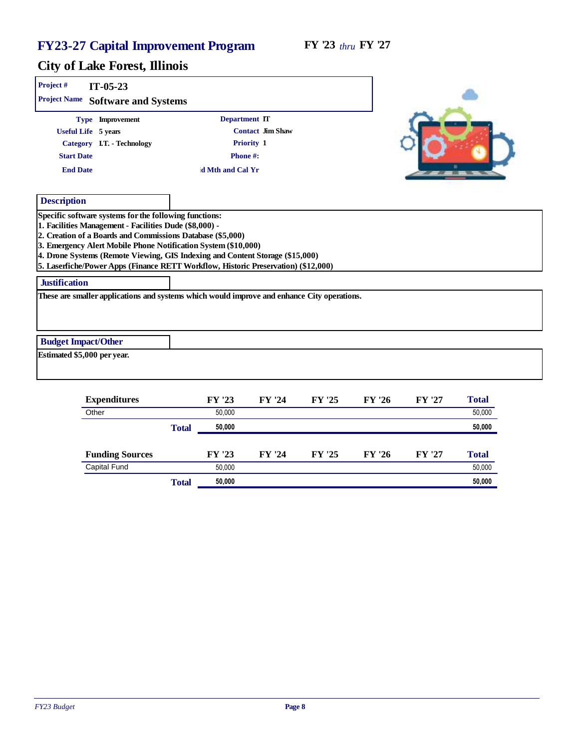| Project#             | $IT-05-23$<br>Project Name Software and Systems                                                                                                                                                                                                                                                                                                                                                                         |              |                  |                  |        |        |        |        |
|----------------------|-------------------------------------------------------------------------------------------------------------------------------------------------------------------------------------------------------------------------------------------------------------------------------------------------------------------------------------------------------------------------------------------------------------------------|--------------|------------------|------------------|--------|--------|--------|--------|
|                      | Type Improvement                                                                                                                                                                                                                                                                                                                                                                                                        |              | Department IT    |                  |        |        |        |        |
|                      | Useful Life 5 years                                                                                                                                                                                                                                                                                                                                                                                                     |              |                  | Contact Jim Shaw |        |        |        |        |
|                      | Category I.T. - Technology                                                                                                                                                                                                                                                                                                                                                                                              |              |                  | Priority 1       |        |        |        |        |
| <b>Start Date</b>    |                                                                                                                                                                                                                                                                                                                                                                                                                         |              | Phone#:          |                  |        |        |        |        |
| <b>End Date</b>      |                                                                                                                                                                                                                                                                                                                                                                                                                         |              | d Mth and Cal Yr |                  |        |        |        |        |
| Description          |                                                                                                                                                                                                                                                                                                                                                                                                                         |              |                  |                  |        |        |        |        |
|                      | Specific software systems for the following functions:<br>1. Facilities Management - Facilities Dude (\$8,000) -<br>2. Creation of a Boards and Commissions Database (\$5,000)<br>3. Emergency Alert Mobile Phone Notification System (\$10,000)<br>4. Drone Systems (Remote Viewing, GIS Indexing and Content Storage (\$15,000)<br>5. Laserfiche/Power Apps (Finance RETT Workflow, Historic Preservation) (\$12,000) |              |                  |                  |        |        |        |        |
| <b>Justification</b> |                                                                                                                                                                                                                                                                                                                                                                                                                         |              |                  |                  |        |        |        |        |
|                      | These are smaller applications and systems which would improve and enhance City operations.                                                                                                                                                                                                                                                                                                                             |              |                  |                  |        |        |        |        |
|                      | <b>Budget Impact/Other</b>                                                                                                                                                                                                                                                                                                                                                                                              |              |                  |                  |        |        |        |        |
|                      | Estimated \$5,000 per year.                                                                                                                                                                                                                                                                                                                                                                                             |              |                  |                  |        |        |        |        |
|                      | Expenditures                                                                                                                                                                                                                                                                                                                                                                                                            |              | FY '23           | FY '24           | FY '25 | FY '26 | FY '27 | Total  |
|                      | Other                                                                                                                                                                                                                                                                                                                                                                                                                   |              | 50,000           |                  |        |        |        | 50.000 |
|                      |                                                                                                                                                                                                                                                                                                                                                                                                                         | <b>Total</b> | 50,000           |                  |        |        |        | 50,000 |
|                      | <b>Funding Sources</b>                                                                                                                                                                                                                                                                                                                                                                                                  |              | FY '23           | FY '24           | FY '25 | FY '26 | FY '27 | Total  |
|                      | Capital Fund                                                                                                                                                                                                                                                                                                                                                                                                            |              | 50,000           |                  |        |        |        | 50,000 |
|                      |                                                                                                                                                                                                                                                                                                                                                                                                                         | Total        | 50,000           |                  |        |        |        | 50,000 |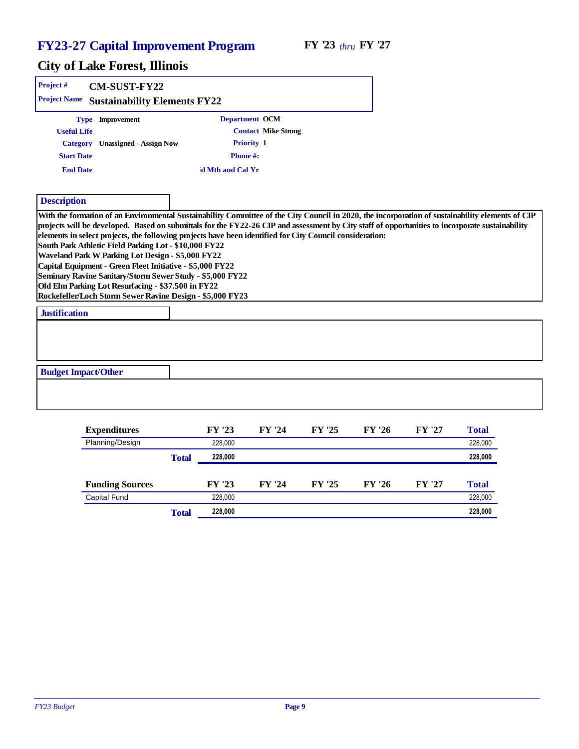| Project#<br>CM-SUST-FY22                                                                                                                                                                                                                                                                                                                                                                                                                                            |                  |                            |                                                                                                                                                                                                                                                                                                     |
|---------------------------------------------------------------------------------------------------------------------------------------------------------------------------------------------------------------------------------------------------------------------------------------------------------------------------------------------------------------------------------------------------------------------------------------------------------------------|------------------|----------------------------|-----------------------------------------------------------------------------------------------------------------------------------------------------------------------------------------------------------------------------------------------------------------------------------------------------|
| <b>Project Name</b><br><b>Sustainability Elements FY22</b>                                                                                                                                                                                                                                                                                                                                                                                                          |                  |                            |                                                                                                                                                                                                                                                                                                     |
| Type Improvement                                                                                                                                                                                                                                                                                                                                                                                                                                                    | Department OCM   |                            |                                                                                                                                                                                                                                                                                                     |
| <b>Useful Life</b>                                                                                                                                                                                                                                                                                                                                                                                                                                                  |                  | <b>Contact Mike Strong</b> |                                                                                                                                                                                                                                                                                                     |
| Unassigned - Assign Now<br>Category                                                                                                                                                                                                                                                                                                                                                                                                                                 | Priority 1       |                            |                                                                                                                                                                                                                                                                                                     |
| <b>Start Date</b>                                                                                                                                                                                                                                                                                                                                                                                                                                                   | Phone#:          |                            |                                                                                                                                                                                                                                                                                                     |
| <b>End Date</b>                                                                                                                                                                                                                                                                                                                                                                                                                                                     | d Mth and Cal Yr |                            |                                                                                                                                                                                                                                                                                                     |
|                                                                                                                                                                                                                                                                                                                                                                                                                                                                     |                  |                            |                                                                                                                                                                                                                                                                                                     |
| Description                                                                                                                                                                                                                                                                                                                                                                                                                                                         |                  |                            |                                                                                                                                                                                                                                                                                                     |
| elements in select projects, the following projects have been identified for City Council consideration:<br>South Park Athletic Field Parking Lot - \$10,000 FY22<br>Waveland Park W Parking Lot Design - \$5,000 FY22<br>Capital Equipment - Green Fleet Initiative - \$5,000 FY22<br>Seminary Ravine Sanitary/Storm Sewer Study - \$5,000 FY22<br>Old Elm Parking Lot Resurfacing - \$37.500 in FY22<br>Rockefeller/Loch Storm Sewer Ravine Design - \$5,000 FY23 |                  |                            | With the formation of an Environmental Sustainability Committee of the City Council in 2020, the incorporation of sustainability elements of CIP<br>projects will be developed. Based on submittals for the FY22-26 CIP and assessment by City staff of opportunities to incorporate sustainability |
| Justification                                                                                                                                                                                                                                                                                                                                                                                                                                                       |                  |                            |                                                                                                                                                                                                                                                                                                     |
|                                                                                                                                                                                                                                                                                                                                                                                                                                                                     |                  |                            |                                                                                                                                                                                                                                                                                                     |
| <b>Budget Impact/Other</b>                                                                                                                                                                                                                                                                                                                                                                                                                                          |                  |                            |                                                                                                                                                                                                                                                                                                     |

| Expenditures           |       | FY '23  | FY '24 | FY '25 | FY '26 | FY '27 | Total   |
|------------------------|-------|---------|--------|--------|--------|--------|---------|
| Planning/Design        |       | 228,000 |        |        |        |        | 228,000 |
|                        | Total | 228,000 |        |        |        |        | 228,000 |
| <b>Funding Sources</b> |       | FY '23  | FY '24 | FY '25 | FY '26 | FY '27 | Total   |
| Capital Fund           |       | 228,000 |        |        |        |        | 228,000 |
|                        | Total | 228,000 |        |        |        |        | 228,000 |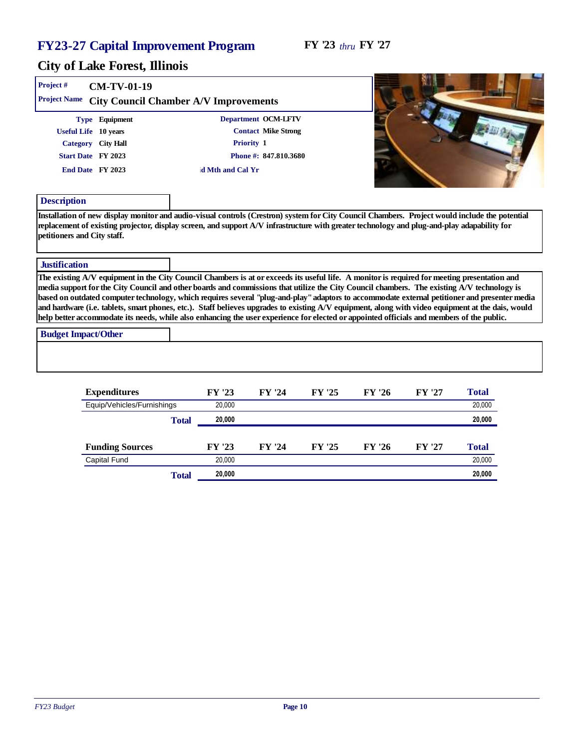**SALE** 

. .

| Project #                                   | CM-TV-01-19                                                                                                                                                                                                                                                                                                                                                                                                                                                                                                                                                                                      |                  |                            |        |        |        |        |  |
|---------------------------------------------|--------------------------------------------------------------------------------------------------------------------------------------------------------------------------------------------------------------------------------------------------------------------------------------------------------------------------------------------------------------------------------------------------------------------------------------------------------------------------------------------------------------------------------------------------------------------------------------------------|------------------|----------------------------|--------|--------|--------|--------|--|
| Project Name                                | City Council Chamber A/V Improvements                                                                                                                                                                                                                                                                                                                                                                                                                                                                                                                                                            |                  |                            |        |        |        |        |  |
|                                             | Type Equipment                                                                                                                                                                                                                                                                                                                                                                                                                                                                                                                                                                                   |                  | Department OCM-LFTV        |        |        |        |        |  |
|                                             | Useful Life 10 years                                                                                                                                                                                                                                                                                                                                                                                                                                                                                                                                                                             |                  | <b>Contact Mike Strong</b> |        |        |        |        |  |
|                                             | Category City Hall                                                                                                                                                                                                                                                                                                                                                                                                                                                                                                                                                                               | Priority 1       |                            |        |        |        |        |  |
|                                             | Start Date FY 2023                                                                                                                                                                                                                                                                                                                                                                                                                                                                                                                                                                               |                  | Phone #: 847.810.3680      |        |        |        |        |  |
|                                             | End Date FY 2023                                                                                                                                                                                                                                                                                                                                                                                                                                                                                                                                                                                 | d Mth and Cal Yr |                            |        |        |        |        |  |
| Description                                 |                                                                                                                                                                                                                                                                                                                                                                                                                                                                                                                                                                                                  |                  |                            |        |        |        |        |  |
|                                             | replacement of existing projector, display screen, and support A/V infrastructure with greater technology and plug-and-play adapability for                                                                                                                                                                                                                                                                                                                                                                                                                                                      |                  |                            |        |        |        |        |  |
|                                             |                                                                                                                                                                                                                                                                                                                                                                                                                                                                                                                                                                                                  |                  |                            |        |        |        |        |  |
|                                             | The existing A/V equipment in the City Council Chambers is at or exceeds its useful life. A monitor is required for meeting presentation and<br>media support for the City Council and other boards and commissions that utilize the City Council chambers. The existing A/V technology is<br>based on outdated computer technology, which requires several "plug-and-play" adaptors to accommodate external petitioner and presenter media<br>and hardware (i.e. tablets, smart phones, etc.). Staff believes upgrades to existing A/V equipment, along with video equipment at the dais, would |                  |                            |        |        |        |        |  |
| Justification<br><b>Budget Impact/Other</b> | help better accommodate its needs, while also enhancing the user experience for elected or appointed officials and members of the public.                                                                                                                                                                                                                                                                                                                                                                                                                                                        |                  |                            |        |        |        |        |  |
|                                             |                                                                                                                                                                                                                                                                                                                                                                                                                                                                                                                                                                                                  |                  |                            |        |        |        |        |  |
| petitioners and City staff.                 | Expenditures                                                                                                                                                                                                                                                                                                                                                                                                                                                                                                                                                                                     | FY '23           | FY '24                     | FY '25 | FY '26 | FY '27 | Total  |  |
|                                             | Equip/Vehicles/Furnishings                                                                                                                                                                                                                                                                                                                                                                                                                                                                                                                                                                       | 20.000           |                            |        |        |        | 20,000 |  |

| 20.000          |
|-----------------|
| FY '27<br>Total |
|                 |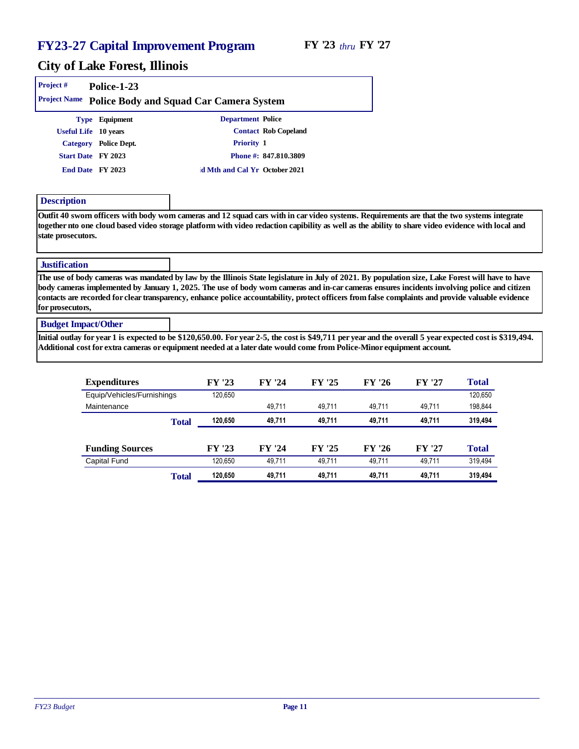#### City of Lake Forest, Illinois

| Project #<br><b>Project Name</b> | Police-1-23          | Police Body and Squad Car Camera System                                                                                                                                                                                                                                                           |                       |
|----------------------------------|----------------------|---------------------------------------------------------------------------------------------------------------------------------------------------------------------------------------------------------------------------------------------------------------------------------------------------|-----------------------|
|                                  | Type Equipment       | Department Police                                                                                                                                                                                                                                                                                 |                       |
|                                  | Useful Life 10 years |                                                                                                                                                                                                                                                                                                   | Contact Rob Copeland  |
| Category                         | Police Dept.         | Priority 1                                                                                                                                                                                                                                                                                        |                       |
|                                  | Start Date FY 2023   |                                                                                                                                                                                                                                                                                                   | Phone #: 847.810.3809 |
|                                  | End Date FY 2023     | d Mth and Cal Yr October 2021                                                                                                                                                                                                                                                                     |                       |
| Description                      |                      |                                                                                                                                                                                                                                                                                                   |                       |
| state prosecutors.               |                      | Outfit 40 sworn officers with body worn cameras and 12 squad cars with in car video systems. Requirements are that the two systems integrate<br>together nto one cloud based video storage platform with video redaction capibility as well as the ability to share video evidence with local and |                       |

#### **Justification**

The use of body cameras was mandated by law by the Illinois State legislature in July of 2021. By population size, Lake Forest will have to have body cameras implemented by January 1, 2025. The use of body worn cameras and in-car cameras ensures incidents involving police and citizen contacts are recorded for clear transparency, enhance police accountability, protect officers from false complaints and provide valuable evidence for prosecutors,

#### Budget Impact/Other

Initial outlay for year 1 is expected to be \$120,650.00. For year 2-5, the cost is \$49,711 per year and the overall 5 year expected cost is \$319,494. Additional cost for extra cameras or equipment needed at a later date would come from Police-Minor equipment account.

| Expenditures               |       | FY '23  | FY '24 | FY '25 | FY '26 | FY '27 | Total   |
|----------------------------|-------|---------|--------|--------|--------|--------|---------|
| Equip/Vehicles/Furnishings |       | 120,650 |        |        |        |        | 120,650 |
| Maintenance                |       |         | 49.711 | 49.711 | 49.711 | 49.711 | 198,844 |
|                            | Total | 120.650 | 49,711 | 49.711 | 49.711 | 49.711 | 319,494 |
|                            |       |         |        |        |        |        |         |
|                            |       |         |        |        |        |        |         |
| <b>Funding Sources</b>     |       | FY '23  | FY '24 | FY '25 | FY '26 | FY '27 | Total   |
| Capital Fund               |       | 120,650 | 49.711 | 49.711 | 49.711 | 49.711 | 319,494 |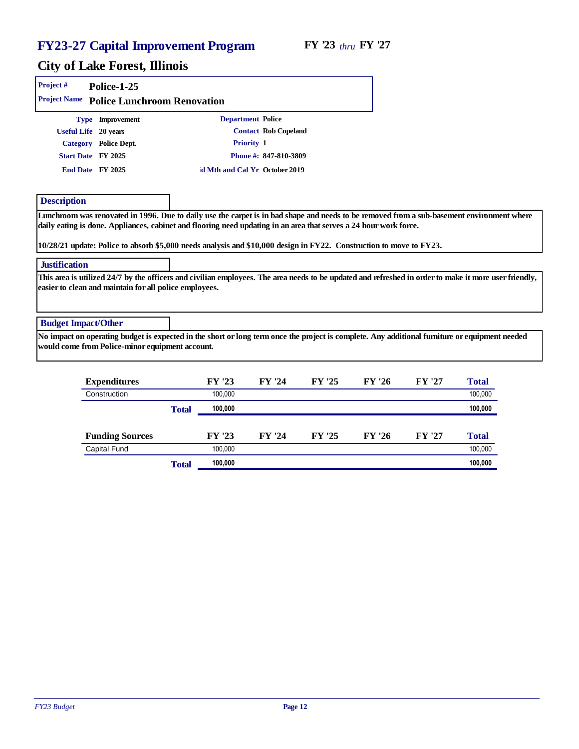| Project #                  | Police-1-25                                            |                                                                                                                                                                                                                                          |                       |        |        |        |         |
|----------------------------|--------------------------------------------------------|------------------------------------------------------------------------------------------------------------------------------------------------------------------------------------------------------------------------------------------|-----------------------|--------|--------|--------|---------|
|                            | Project Name Police Lunchroom Renovation               |                                                                                                                                                                                                                                          |                       |        |        |        |         |
|                            | Type Improvement                                       | Department Police                                                                                                                                                                                                                        |                       |        |        |        |         |
|                            | Useful Life 20 years                                   |                                                                                                                                                                                                                                          | Contact Rob Copeland  |        |        |        |         |
|                            | Category Police Dept.                                  | Priority 1                                                                                                                                                                                                                               |                       |        |        |        |         |
|                            | Start Date FY 2025                                     |                                                                                                                                                                                                                                          | Phone #: 847-810-3809 |        |        |        |         |
|                            | End Date FY 2025                                       | d Mth and Cal Yr October 2019                                                                                                                                                                                                            |                       |        |        |        |         |
| Description                |                                                        |                                                                                                                                                                                                                                          |                       |        |        |        |         |
| Justification              |                                                        | daily eating is done. Appliances, cabinet and flooring need updating in an area that serves a 24 hour work force.<br>10/28/21 update: Police to absorb \$5,000 needs analysis and \$10,000 design in FY22. Construction to move to FY23. |                       |        |        |        |         |
|                            | easier to clean and maintain for all police employees. | This area is utilized 24/7 by the officers and civilian employees. The area needs to be updated and refreshed in order to make it more user friendly,                                                                                    |                       |        |        |        |         |
| <b>Budget Impact/Other</b> |                                                        |                                                                                                                                                                                                                                          |                       |        |        |        |         |
|                            | would come from Police-minor equipment account.        | No impact on operating budget is expected in the short or long term once the project is complete. Any additional furniture or equipment needed                                                                                           |                       |        |        |        |         |
|                            | Expenditures                                           | FY '23                                                                                                                                                                                                                                   | FY '24                | FY '25 | FY '26 | FY '27 | Total   |
|                            | Construction                                           | 100.000                                                                                                                                                                                                                                  |                       |        |        |        | 100.000 |

|                        | Total | 100,000 |        |        |        |        | 100,000 |
|------------------------|-------|---------|--------|--------|--------|--------|---------|
|                        |       |         |        |        |        |        |         |
| <b>Funding Sources</b> |       | FY '23  | FY '24 | FY '25 | FY '26 | FY '27 | Total   |
| Capital Fund           |       | 100.000 |        |        |        |        | 100,000 |
|                        | Total | 100,000 |        |        |        |        | 100,000 |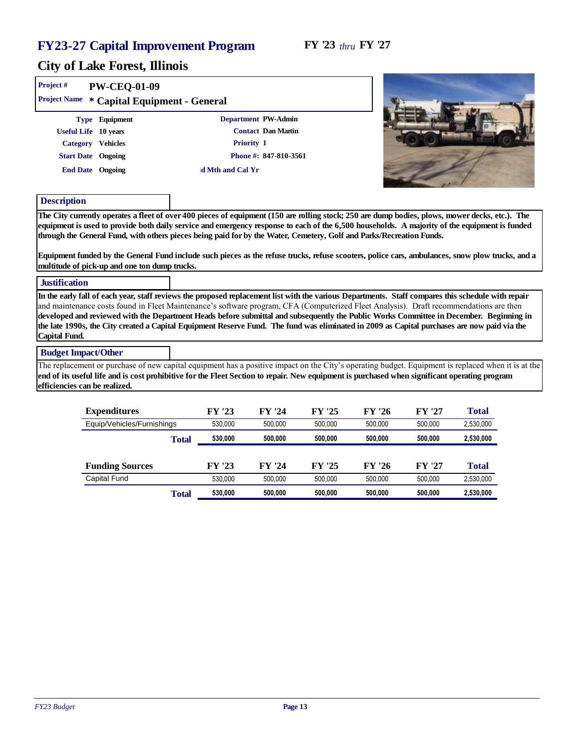| Project#                      | PW-CEQ-01-09                                                                                                                                                                                                                                                                                                                                                                                                                                                                                                                                                                                                                  |                  |                       |         |         |         |           |  |
|-------------------------------|-------------------------------------------------------------------------------------------------------------------------------------------------------------------------------------------------------------------------------------------------------------------------------------------------------------------------------------------------------------------------------------------------------------------------------------------------------------------------------------------------------------------------------------------------------------------------------------------------------------------------------|------------------|-----------------------|---------|---------|---------|-----------|--|
|                               | Project Name * Capital Equipment - General                                                                                                                                                                                                                                                                                                                                                                                                                                                                                                                                                                                    |                  |                       |         |         |         |           |  |
|                               | Type Equipment                                                                                                                                                                                                                                                                                                                                                                                                                                                                                                                                                                                                                |                  | Department PW-Admin   |         |         |         |           |  |
|                               | Useful Life 10 years                                                                                                                                                                                                                                                                                                                                                                                                                                                                                                                                                                                                          |                  | Contact Dan Martin    |         |         |         |           |  |
|                               | Category Vehicles                                                                                                                                                                                                                                                                                                                                                                                                                                                                                                                                                                                                             | Priority 1       |                       |         |         |         |           |  |
|                               | <b>Start Date</b> Ongoing                                                                                                                                                                                                                                                                                                                                                                                                                                                                                                                                                                                                     |                  | Phone #: 847-810-3561 |         |         |         |           |  |
|                               | End Date Ongoing                                                                                                                                                                                                                                                                                                                                                                                                                                                                                                                                                                                                              | d Mth and Cal Yr |                       |         |         |         |           |  |
| Description                   |                                                                                                                                                                                                                                                                                                                                                                                                                                                                                                                                                                                                                               |                  |                       |         |         |         |           |  |
|                               | The City currently operates a fleet of over 400 pieces of equipment (150 are rolling stock; 250 are dump bodies, plows, mower decks, etc.). The<br>equipment is used to provide both daily service and emergency response to each of the 6,500 households. A majority of the equipment is funded<br>through the General Fund, with others pieces being paid for by the Water, Cemetery, Golf and Parks/Recreation Funds.<br>Equipment funded by the General Fund include such pieces as the refuse trucks, refuse scooters, police cars, ambulances, snow plow trucks, and a<br>multitude of pick-up and one ton dump trucks. |                  |                       |         |         |         |           |  |
| <b>Justification</b>          |                                                                                                                                                                                                                                                                                                                                                                                                                                                                                                                                                                                                                               |                  |                       |         |         |         |           |  |
| Capital Fund.                 | In the early fall of each year, staff reviews the proposed replacement list with the various Departments. Staff compares this schedule with repair<br>and maintenance costs found in Fleet Maintenance's software program, CFA (Computerized Fleet Analysis). Draft recommendations are then<br>developed and reviewed with the Department Heads before submittal and subsequently the Public Works Committee in December. Beginning in<br>the late 1990s, the City created a Capital Equipment Reserve Fund. The fund was eliminated in 2009 as Capital purchases are now paid via the                                       |                  |                       |         |         |         |           |  |
| <b>Budget Impact/Other</b>    |                                                                                                                                                                                                                                                                                                                                                                                                                                                                                                                                                                                                                               |                  |                       |         |         |         |           |  |
| efficiencies can be realized. | The replacement or purchase of new capital equipment has a positive impact on the City's operating budget. Equipment is replaced when it is at the<br>end of its useful life and is cost prohibitive for the Fleet Section to repair. New equipment is purchased when significant operating program                                                                                                                                                                                                                                                                                                                           |                  |                       |         |         |         |           |  |
|                               |                                                                                                                                                                                                                                                                                                                                                                                                                                                                                                                                                                                                                               |                  |                       |         |         |         |           |  |
|                               | Expenditures                                                                                                                                                                                                                                                                                                                                                                                                                                                                                                                                                                                                                  | FY '23           | FY '24                | FY '25  | FY '26  | FY '27  | Total     |  |
|                               | Equip/Vehicles/Furnishings                                                                                                                                                                                                                                                                                                                                                                                                                                                                                                                                                                                                    | 530,000          | 500,000               | 500,000 | 500,000 | 500,000 | 2,530,000 |  |
|                               |                                                                                                                                                                                                                                                                                                                                                                                                                                                                                                                                                                                                                               | 530.000<br>Total | 500,000               | 500.000 | 500.000 | 500,000 | 2,530,000 |  |

|                        | τ υται | ------- | ------- | ------- | ------- | ------  | -,---,--- |
|------------------------|--------|---------|---------|---------|---------|---------|-----------|
|                        |        |         |         |         |         |         |           |
| <b>Funding Sources</b> |        | FY '23  | FY '24  | FY '25  | FY '26  | FY '27  | Total     |
| Capital Fund           |        | 530.000 | 500.000 | 500.000 | 500.000 | 500.000 | 2,530,000 |
|                        | Total  | 530,000 | 500.000 | 500.000 | 500.000 | 500,000 | 2,530,000 |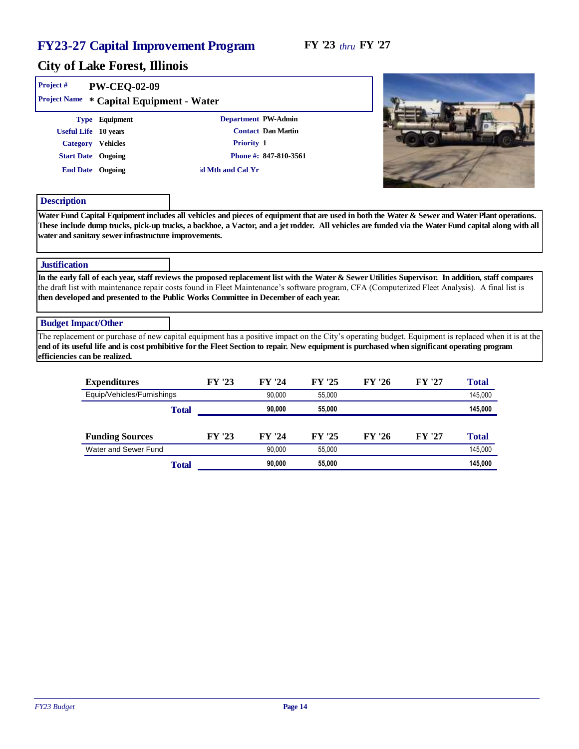| Project#                      | PW-CEQ-02-09<br>Project Name * Capital Equipment - Water                                                     |                                                                                                                                                                                                                                                                                                                                                                                                |                                             |        |        |        |         |
|-------------------------------|--------------------------------------------------------------------------------------------------------------|------------------------------------------------------------------------------------------------------------------------------------------------------------------------------------------------------------------------------------------------------------------------------------------------------------------------------------------------------------------------------------------------|---------------------------------------------|--------|--------|--------|---------|
|                               | Type Equipment<br>Useful Life 10 years<br>Category Vehicles<br><b>Start Date</b> Ongoing<br>End Date Ongoing | Department PW-Admin<br>Priority 1<br>d Mth and Cal Yr                                                                                                                                                                                                                                                                                                                                          | Contact Dan Martin<br>Phone #: 847-810-3561 |        |        |        |         |
| Description                   |                                                                                                              |                                                                                                                                                                                                                                                                                                                                                                                                |                                             |        |        |        |         |
| <b>Justification</b>          | water and sanitary sewer infrastructure improvements.                                                        | These include dump trucks, pick-up trucks, a backhoe, a Vactor, and a jet rodder. All vehicles are funded via the Water Fund capital along with all                                                                                                                                                                                                                                            |                                             |        |        |        |         |
|                               |                                                                                                              | In the early fall of each year, staff reviews the proposed replacement list with the Water & Sewer Utilities Supervisor. In addition, staff compares<br>the draft list with maintenance repair costs found in Fleet Maintenance's software program, CFA (Computerized Fleet Analysis). A final list is<br>then developed and presented to the Public Works Committee in December of each year. |                                             |        |        |        |         |
| <b>Budget Impact/Other</b>    |                                                                                                              |                                                                                                                                                                                                                                                                                                                                                                                                |                                             |        |        |        |         |
| efficiencies can be realized. |                                                                                                              | The replacement or purchase of new capital equipment has a positive impact on the City's operating budget. Equipment is replaced when it is at the<br>end of its useful life and is cost prohibitive for the Fleet Section to repair. New equipment is purchased when significant operating program                                                                                            |                                             |        |        |        |         |
|                               | Expenditures                                                                                                 | FY '23                                                                                                                                                                                                                                                                                                                                                                                         | FY '24                                      | FY '25 | FY '26 | FY '27 | Total   |
|                               | Equip/Vehicles/Furnishings                                                                                   |                                                                                                                                                                                                                                                                                                                                                                                                | 90,000                                      | 55,000 |        |        | 145,000 |

|                        | Total |        | 90.000 | 55.000 |        |        | 145.000 |
|------------------------|-------|--------|--------|--------|--------|--------|---------|
|                        |       |        |        |        |        |        |         |
| <b>Funding Sources</b> |       | FY '23 | FY '24 | FY '25 | FY '26 | FY '27 | Total   |
| Water and Sewer Fund   |       |        | 90.000 | 55.000 |        |        | 145,000 |
|                        | Total |        | 90.000 | 55,000 |        |        | 145,000 |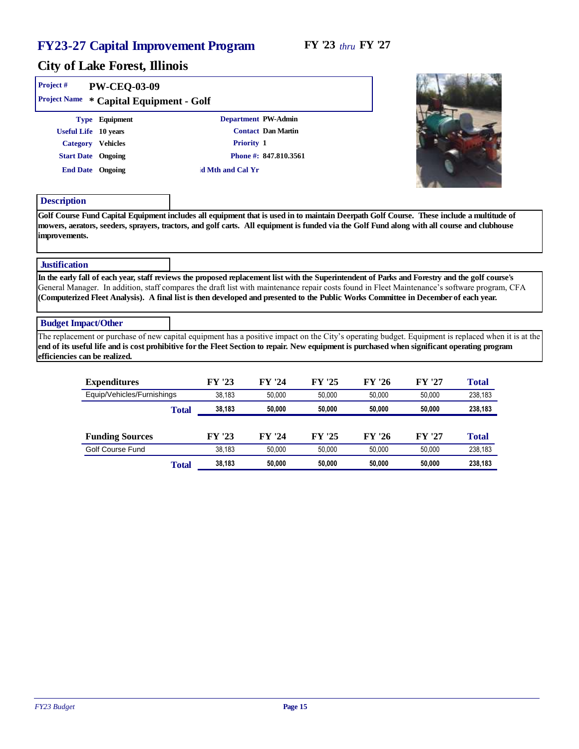#### City of Lake Forest, Illinois

| PW-CEQ-03-09 |                                                                                                              |                                                                              |
|--------------|--------------------------------------------------------------------------------------------------------------|------------------------------------------------------------------------------|
|              |                                                                                                              |                                                                              |
|              |                                                                                                              | Contact Dan Martin                                                           |
|              |                                                                                                              |                                                                              |
|              |                                                                                                              | Phone #: 847.810.3561                                                        |
|              | d Mth and Cal Yr                                                                                             |                                                                              |
|              | Type Equipment<br>Useful Life 10 years<br>Category Vehicles<br><b>Start Date</b> Ongoing<br>End Date Ongoing | Project Name * Capital Equipment - Golf<br>Department PW-Admin<br>Priority 1 |



#### Description

Golf Course Fund Capital Equipment includes all equipment that is used in to maintain Deerpath Golf Course. These include a multitude of mowers, aerators, seeders, sprayers, tractors, and golf carts. All equipment is funded via the Golf Fund along with all course and clubhouse improvements.

#### **Justification**

In the early fall of each year, staff reviews the proposed replacement list with the Superintendent of Parks and Forestry and the golf course's General Manager. In addition, staff compares the draft list with maintenance repair costs found in Fleet Maintenance's software program, CFA (Computerized Fleet Analysis). A final list is then developed and presented to the Public Works Committee in December of each year.

#### Budget Impact/Other

The replacement or purchase of new capital equipment has a positive impact on the City's operating budget. Equipment is replaced when it is at the end of its useful life and is cost prohibitive for the Fleet Section to repair. New equipment is purchased when significant operating program efficiencies can be realized.

| Expenditures               |       | FY '23 | FY '24 | FY '25 | FY '26 | FY '27 | Total   |
|----------------------------|-------|--------|--------|--------|--------|--------|---------|
| Equip/Vehicles/Furnishings |       | 38.183 | 50.000 | 50.000 | 50.000 | 50.000 | 238,183 |
|                            | Total | 38.183 | 50.000 | 50,000 | 50,000 | 50,000 | 238,183 |
|                            |       |        |        |        |        |        |         |
| <b>Funding Sources</b>     |       | FY '23 | FY '24 | FY '25 | FY '26 | FY '27 | Total   |
| Golf Course Fund           |       | 38.183 | 50.000 | 50.000 | 50.000 | 50.000 | 238,183 |
|                            | Total | 38.183 | 50.000 | 50,000 | 50,000 | 50.000 | 238,183 |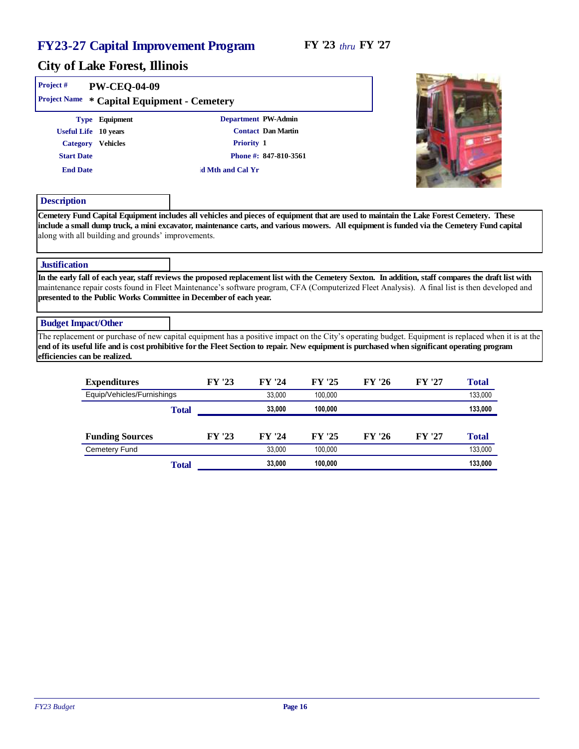#### City of Lake Forest, Illinois

| Project#                   | PW-CEQ-04-09<br>Project Name * Capital Equipment - Cemetery                                                                                                                                                                                                                                                                                                                 |       |                  |                       |         |        |        |         |  |
|----------------------------|-----------------------------------------------------------------------------------------------------------------------------------------------------------------------------------------------------------------------------------------------------------------------------------------------------------------------------------------------------------------------------|-------|------------------|-----------------------|---------|--------|--------|---------|--|
|                            | Type Equipment                                                                                                                                                                                                                                                                                                                                                              |       |                  | Department PW-Admin   |         |        |        |         |  |
|                            | Useful Life 10 years                                                                                                                                                                                                                                                                                                                                                        |       |                  | Contact Dan Martin    |         |        |        |         |  |
|                            | Category Vehicles                                                                                                                                                                                                                                                                                                                                                           |       |                  | Priority 1            |         |        |        |         |  |
| <b>Start Date</b>          |                                                                                                                                                                                                                                                                                                                                                                             |       |                  | Phone #: 847-810-3561 |         |        |        |         |  |
| <b>End Date</b>            |                                                                                                                                                                                                                                                                                                                                                                             |       | d Mth and Cal Yr |                       |         |        |        |         |  |
| Description                |                                                                                                                                                                                                                                                                                                                                                                             |       |                  |                       |         |        |        |         |  |
|                            | include a small dump truck, a mini excavator, maintenance carts, and various mowers. All equipment is funded via the Cemetery Fund capital<br>along with all building and grounds' improvements.                                                                                                                                                                            |       |                  |                       |         |        |        |         |  |
| Justification              |                                                                                                                                                                                                                                                                                                                                                                             |       |                  |                       |         |        |        |         |  |
|                            | In the early fall of each year, staff reviews the proposed replacement list with the Cemetery Sexton. In addition, staff compares the draft list with<br>maintenance repair costs found in Fleet Maintenance's software program, CFA (Computerized Fleet Analysis). A final list is then developed and<br>presented to the Public Works Committee in December of each year. |       |                  |                       |         |        |        |         |  |
| <b>Budget Impact/Other</b> |                                                                                                                                                                                                                                                                                                                                                                             |       |                  |                       |         |        |        |         |  |
|                            | The replacement or purchase of new capital equipment has a positive impact on the City's operating budget. Equipment is replaced when it is at the<br>end of its useful life and is cost prohibitive for the Fleet Section to repair. New equipment is purchased when significant operating program<br>efficiencies can be realized.                                        |       |                  |                       |         |        |        |         |  |
|                            | Expenditures                                                                                                                                                                                                                                                                                                                                                                |       | FY '23           | FY '24                | FY '25  | FY '26 | FY '27 | Total   |  |
|                            | Equip/Vehicles/Furnishings                                                                                                                                                                                                                                                                                                                                                  |       |                  | 33,000                | 100,000 |        |        | 133,000 |  |
|                            |                                                                                                                                                                                                                                                                                                                                                                             | Total |                  | 33,000                | 100,000 |        |        | 133,000 |  |
|                            | <b>Funding Sources</b>                                                                                                                                                                                                                                                                                                                                                      |       | FY '23           | FY '24                | FY '25  | FY '26 | FY '27 | Total   |  |
|                            | <b>Cemetery Fund</b>                                                                                                                                                                                                                                                                                                                                                        |       |                  | 33.000                | 100.000 |        |        | 133.000 |  |

*FY23 Budget* Page 16

Total **33,000 100,000 133,000**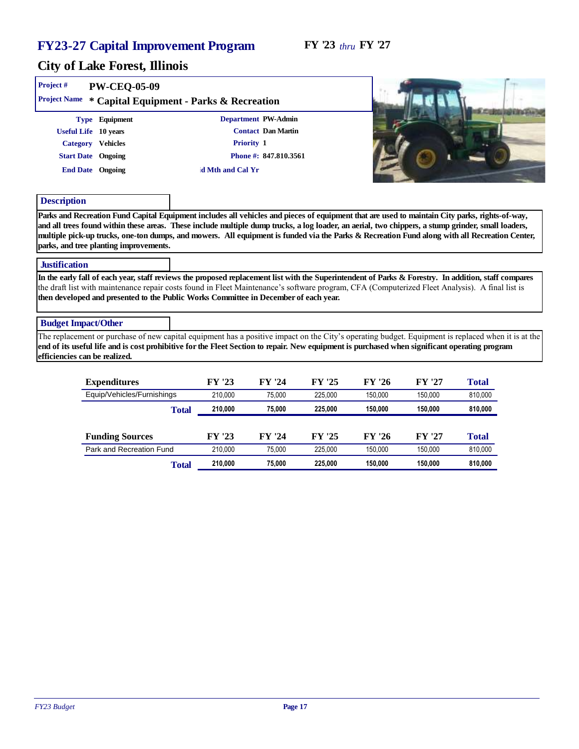#### City of Lake Forest, Illinois

| Project#                      | PW-CEQ-05-09                                                                                                                                                                                                                                                                                                                                                                                   |       |                  |                       |         |         |         |         |  |
|-------------------------------|------------------------------------------------------------------------------------------------------------------------------------------------------------------------------------------------------------------------------------------------------------------------------------------------------------------------------------------------------------------------------------------------|-------|------------------|-----------------------|---------|---------|---------|---------|--|
|                               | Project Name * Capital Equipment - Parks & Recreation                                                                                                                                                                                                                                                                                                                                          |       |                  |                       |         |         |         |         |  |
|                               | Type Equipment                                                                                                                                                                                                                                                                                                                                                                                 |       |                  | Department PW-Admin   |         |         |         |         |  |
|                               | Useful Life 10 years                                                                                                                                                                                                                                                                                                                                                                           |       |                  | Contact Dan Martin    |         |         |         |         |  |
|                               | Category Vehicles                                                                                                                                                                                                                                                                                                                                                                              |       |                  | Priority 1            |         |         |         |         |  |
|                               | <b>Start Date</b> Ongoing                                                                                                                                                                                                                                                                                                                                                                      |       |                  | Phone #: 847.810.3561 |         |         |         |         |  |
|                               | End Date Ongoing                                                                                                                                                                                                                                                                                                                                                                               |       | d Mth and Cal Yr |                       |         |         |         |         |  |
| Description                   |                                                                                                                                                                                                                                                                                                                                                                                                |       |                  |                       |         |         |         |         |  |
| <b>Justification</b>          | multiple pick-up trucks, one-ton dumps, and mowers. All equipment is funded via the Parks & Recreation Fund along with all Recreation Center,<br>parks, and tree planting improvements.                                                                                                                                                                                                        |       |                  |                       |         |         |         |         |  |
|                               | In the early fall of each year, staff reviews the proposed replacement list with the Superintendent of Parks & Forestry. In addition, staff compares<br>the draft list with maintenance repair costs found in Fleet Maintenance's software program, CFA (Computerized Fleet Analysis). A final list is<br>then developed and presented to the Public Works Committee in December of each year. |       |                  |                       |         |         |         |         |  |
| <b>Budget Impact/Other</b>    |                                                                                                                                                                                                                                                                                                                                                                                                |       |                  |                       |         |         |         |         |  |
| efficiencies can be realized. | The replacement or purchase of new capital equipment has a positive impact on the City's operating budget. Equipment is replaced when it is at the<br>end of its useful life and is cost prohibitive for the Fleet Section to repair. New equipment is purchased when significant operating program                                                                                            |       |                  |                       |         |         |         |         |  |
|                               | Expenditures                                                                                                                                                                                                                                                                                                                                                                                   |       | FY '23           | FY '24                | FY '25  | FY '26  | FY '27  | Total   |  |
|                               | Equip/Vehicles/Furnishings                                                                                                                                                                                                                                                                                                                                                                     |       | 210,000          | 75,000                | 225,000 | 150,000 | 150,000 | 810,000 |  |
|                               |                                                                                                                                                                                                                                                                                                                                                                                                | Total | 210,000          | 75,000                | 225,000 | 150,000 | 150,000 | 810,000 |  |
|                               | <b>Funding Sources</b>                                                                                                                                                                                                                                                                                                                                                                         |       | FY '23           | FY '24                | FY '25  | FY '26  | FY '27  | Total   |  |

Park and Recreation Fund 210,000 75,000 225,000 150,000 150,000 810,000

Total **210,000 75,000 225,000 150,000 150,000 810,000**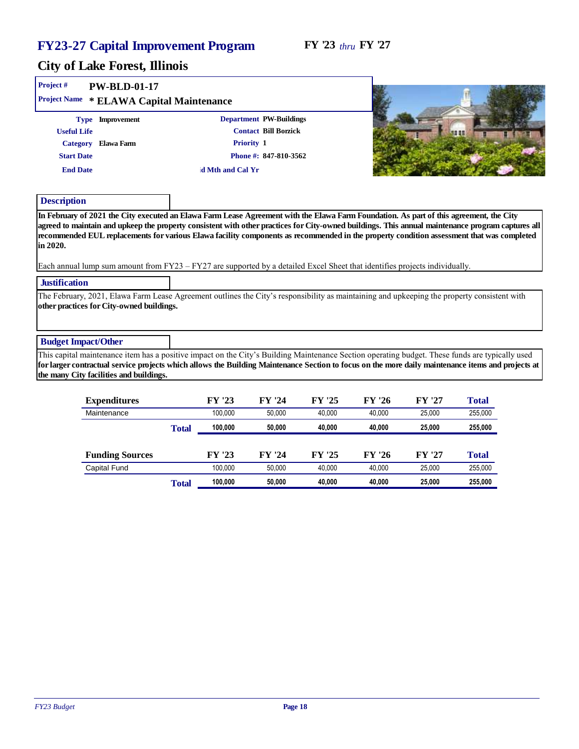| Project #                  | $PW-BLD-01-17$                                                                                                                                                                                                                                                                                                                                                                                                                |               |                  |                             |               |               |               |                |  |
|----------------------------|-------------------------------------------------------------------------------------------------------------------------------------------------------------------------------------------------------------------------------------------------------------------------------------------------------------------------------------------------------------------------------------------------------------------------------|---------------|------------------|-----------------------------|---------------|---------------|---------------|----------------|--|
| Project Name               | * ELAWA Capital Maintenance                                                                                                                                                                                                                                                                                                                                                                                                   |               |                  |                             |               |               |               |                |  |
|                            | Type Improvement                                                                                                                                                                                                                                                                                                                                                                                                              |               |                  | Department PW-Buildings     |               |               |               |                |  |
| <b>Useful Life</b>         |                                                                                                                                                                                                                                                                                                                                                                                                                               |               |                  | <b>Contact Bill Borzick</b> |               |               |               | 98 88          |  |
| Category                   | Elawa Farm                                                                                                                                                                                                                                                                                                                                                                                                                    |               |                  | Priority 1                  |               |               |               |                |  |
| <b>Start Date</b>          |                                                                                                                                                                                                                                                                                                                                                                                                                               |               |                  | Phone #: 847-810-3562       |               |               |               |                |  |
| <b>End Date</b>            |                                                                                                                                                                                                                                                                                                                                                                                                                               |               | d Mth and Cal Yr |                             |               |               |               |                |  |
| Description                |                                                                                                                                                                                                                                                                                                                                                                                                                               |               |                  |                             |               |               |               |                |  |
| in 2020.                   | agreed to maintain and upkeep the property consistent with other practices for City-owned buildings. This annual maintenance program captures all<br>recommended EUL replacements for various Elawa facility components as recommended in the property condition assessment that was completed<br>Each annual lump sum amount from FY23 – FY27 are supported by a detailed Excel Sheet that identifies projects individually. |               |                  |                             |               |               |               |                |  |
| Justification              |                                                                                                                                                                                                                                                                                                                                                                                                                               |               |                  |                             |               |               |               |                |  |
|                            | The February, 2021, Elawa Farm Lease Agreement outlines the City's responsibility as maintaining and upkeeping the property consistent with<br>other practices for City-owned buildings.                                                                                                                                                                                                                                      |               |                  |                             |               |               |               |                |  |
| <b>Budget Impact/Other</b> |                                                                                                                                                                                                                                                                                                                                                                                                                               |               |                  |                             |               |               |               |                |  |
|                            | This capital maintenance item has a positive impact on the City's Building Maintenance Section operating budget. These funds are typically used<br>for larger contractual service projects which allows the Building Maintenance Section to focus on the more daily maintenance items and projects at<br>the many City facilities and buildings.                                                                              |               |                  |                             |               |               |               |                |  |
|                            | Expenditures                                                                                                                                                                                                                                                                                                                                                                                                                  |               | FY '23           | FY '24                      | FY '25        | FY '26        | FY '27        | Total          |  |
|                            | Maintenance                                                                                                                                                                                                                                                                                                                                                                                                                   |               | 100,000          | 50,000                      | 40,000        | 40,000        | 25,000        | 255,000        |  |
|                            |                                                                                                                                                                                                                                                                                                                                                                                                                               | <b>COMPOS</b> | 400,000          | EN NAN                      | <b>40.000</b> | <b>40.000</b> | <b>OF OOO</b> | <b>OFF AAA</b> |  |

|                        | Total | 100.000 | 50.000 | 40.000 | 40.000 | 25,000 | 255,000 |
|------------------------|-------|---------|--------|--------|--------|--------|---------|
|                        |       |         |        |        |        |        |         |
| <b>Funding Sources</b> |       | FY '23  | FY '24 | FY '25 | FY '26 | FY '27 | Total   |
| Capital Fund           |       | 100.000 | 50.000 | 40.000 | 40.000 | 25.000 | 255.000 |
|                        | Total | 100.000 | 50,000 | 40.000 | 40,000 | 25.000 | 255,000 |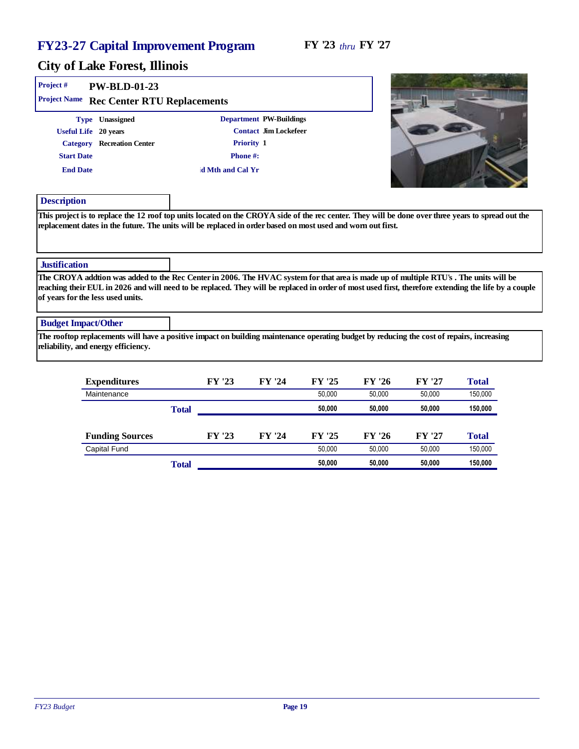#### FY '23 *thru* FY '27

| Project #                  | PW-BLD-01-23                                                                                                                                                                                                                                                                                                                      |                  |                         |        |        |        |         |  |
|----------------------------|-----------------------------------------------------------------------------------------------------------------------------------------------------------------------------------------------------------------------------------------------------------------------------------------------------------------------------------|------------------|-------------------------|--------|--------|--------|---------|--|
|                            | Project Name Rec Center RTU Replacements                                                                                                                                                                                                                                                                                          |                  |                         |        |        |        |         |  |
|                            | Type Unassigned                                                                                                                                                                                                                                                                                                                   |                  | Department PW-Buildings |        |        |        |         |  |
|                            | Useful Life 20 years                                                                                                                                                                                                                                                                                                              |                  | Contact Jim Lockefeer   |        |        |        |         |  |
|                            | Category Recreation Center                                                                                                                                                                                                                                                                                                        |                  | Priority 1              |        |        |        |         |  |
| <b>Start Date</b>          |                                                                                                                                                                                                                                                                                                                                   | Phone#:          |                         |        |        |        |         |  |
| <b>End Date</b>            |                                                                                                                                                                                                                                                                                                                                   | d Mth and Cal Yr |                         |        |        |        |         |  |
| Description                |                                                                                                                                                                                                                                                                                                                                   |                  |                         |        |        |        |         |  |
| Justification              | replacement dates in the future. The units will be replaced in order based on most used and worn out first.                                                                                                                                                                                                                       |                  |                         |        |        |        |         |  |
|                            |                                                                                                                                                                                                                                                                                                                                   |                  |                         |        |        |        |         |  |
|                            | The CROYA addtion was added to the Rec Center in 2006. The HVAC system for that area is made up of multiple RTU's. The units will be<br>reaching their EUL in 2026 and will need to be replaced. They will be replaced in order of most used first, therefore extending the life by a couple<br>of years for the less used units. |                  |                         |        |        |        |         |  |
| <b>Budget Impact/Other</b> |                                                                                                                                                                                                                                                                                                                                   |                  |                         |        |        |        |         |  |
|                            | The rooftop replacements will have a positive impact on building maintenance operating budget by reducing the cost of repairs, increasing<br>reliability, and energy efficiency.                                                                                                                                                  |                  |                         |        |        |        |         |  |
|                            | Expenditures                                                                                                                                                                                                                                                                                                                      | FY '23           | FY '24                  | FY '25 | FY '26 | FY '27 | Total   |  |
|                            | Maintenance                                                                                                                                                                                                                                                                                                                       |                  |                         | 50,000 | 50,000 | 50,000 | 150,000 |  |
|                            |                                                                                                                                                                                                                                                                                                                                   | Total            |                         | 50,000 | 50,000 | 50.000 | 150,000 |  |

| <b>Funding Sources</b><br>Capital Fund |       | FY '23 | FY '24 | FY '25<br>50.000 | FY '26<br>50.000 | FY '27<br>50.000 | Total<br>150,000 |
|----------------------------------------|-------|--------|--------|------------------|------------------|------------------|------------------|
|                                        | Total |        |        | 50,000           | 50.000           | 50.000           | 150,000          |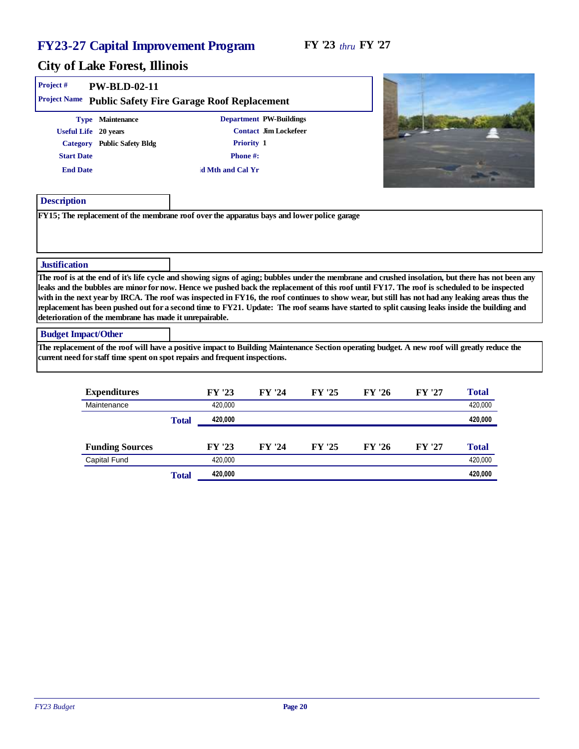| Project#                             | $PW-BLD-02-11$<br>Project Name Public Safety Fire Garage Roof Replacement                                                                                                                                                                                                                                                                                                                                                                                                                                    |                                           |                                                  |        |        |        |                                                                                                                                                     |
|--------------------------------------|--------------------------------------------------------------------------------------------------------------------------------------------------------------------------------------------------------------------------------------------------------------------------------------------------------------------------------------------------------------------------------------------------------------------------------------------------------------------------------------------------------------|-------------------------------------------|--------------------------------------------------|--------|--------|--------|-----------------------------------------------------------------------------------------------------------------------------------------------------|
| <b>Start Date</b><br><b>End Date</b> | Type Maintenance<br>Useful Life 20 years<br>Category Public Safety Bldg                                                                                                                                                                                                                                                                                                                                                                                                                                      | Priority 1<br>Phone#:<br>d Mth and Cal Yr | Department PW-Buildings<br>Contact Jim Lockefeer |        |        |        |                                                                                                                                                     |
| Description                          |                                                                                                                                                                                                                                                                                                                                                                                                                                                                                                              |                                           |                                                  |        |        |        |                                                                                                                                                     |
|                                      | FY15; The replacement of the membrane roof over the apparatus bays and lower police garage                                                                                                                                                                                                                                                                                                                                                                                                                   |                                           |                                                  |        |        |        |                                                                                                                                                     |
| Justification                        | leaks and the bubbles are minor for now. Hence we pushed back the replacement of this roof until FY17. The roof is scheduled to be inspected<br>with in the next year by IRCA. The roof was inspected in FY16, the roof continues to show wear, but still has not had any leaking areas thus the<br>replacement has been pushed out for a second time to FY21. Update: The roof seams have started to split causing leaks inside the building and<br>deterioration of the membrane has made it unrepairable. |                                           |                                                  |        |        |        | The roof is at the end of it's life cycle and showing signs of aging; bubbles under the membrane and crushed insolation, but there has not been any |
| <b>Budget Impact/Other</b>           |                                                                                                                                                                                                                                                                                                                                                                                                                                                                                                              |                                           |                                                  |        |        |        |                                                                                                                                                     |
|                                      | The replacement of the roof will have a positive impact to Building Maintenance Section operating budget. A new roof will greatly reduce the<br>current need for staff time spent on spot repairs and frequent inspections.                                                                                                                                                                                                                                                                                  |                                           |                                                  |        |        |        |                                                                                                                                                     |
|                                      | Expenditures<br>Maintenance                                                                                                                                                                                                                                                                                                                                                                                                                                                                                  | FY '23<br>420,000                         | FY '24                                           | FY '25 | FY '26 | FY '27 | Total<br>420,000                                                                                                                                    |

|                        | Total | 420,000 |        |        |        |        | 420,000 |
|------------------------|-------|---------|--------|--------|--------|--------|---------|
|                        |       |         |        |        |        |        |         |
| <b>Funding Sources</b> |       | FY '23  | FY '24 | FY '25 | FY '26 | FY '27 | Total   |
| Capital Fund           |       | 420.000 |        |        |        |        | 420.000 |
|                        | Total | 420,000 |        |        |        |        | 420,000 |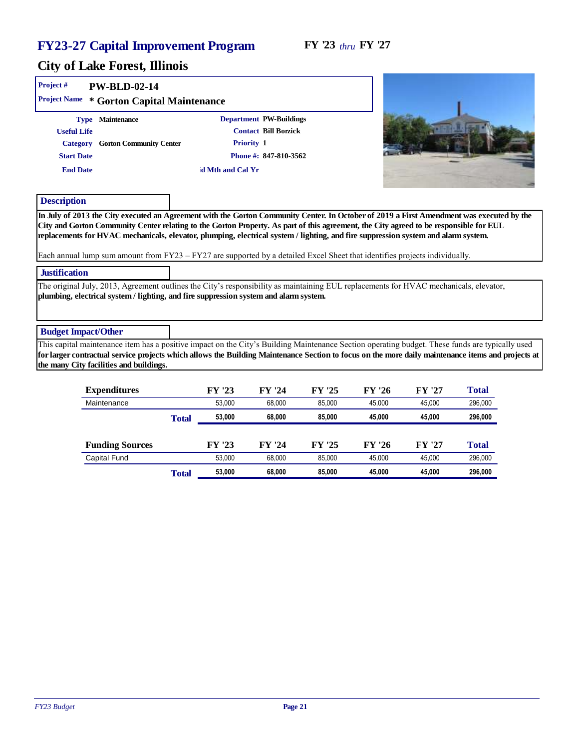#### FY '23 *thru* FY '27

#### City of Lake Forest, Illinois

| Project#<br>$PW-BLD-02-14$<br>Project Name<br>* Gorton Capital Maintenance                                                                                                                                                                                                                                                                                                                                    |                                |                                                                                 |                                                                                                                                                                                                                                                                                                       |
|---------------------------------------------------------------------------------------------------------------------------------------------------------------------------------------------------------------------------------------------------------------------------------------------------------------------------------------------------------------------------------------------------------------|--------------------------------|---------------------------------------------------------------------------------|-------------------------------------------------------------------------------------------------------------------------------------------------------------------------------------------------------------------------------------------------------------------------------------------------------|
| Type Maintenance<br><b>Useful Life</b><br>Gorton Community Center<br>Category<br><b>Start Date</b><br><b>End Date</b>                                                                                                                                                                                                                                                                                         | Priority 1<br>d Mth and Cal Yr | Department PW-Buildings<br><b>Contact Bill Borzick</b><br>Phone #: 847-810-3562 |                                                                                                                                                                                                                                                                                                       |
| Description                                                                                                                                                                                                                                                                                                                                                                                                   |                                |                                                                                 |                                                                                                                                                                                                                                                                                                       |
| City and Gorton Community Center relating to the Gorton Property. As part of this agreement, the City agreed to be responsible for EUL<br>replacements for HVAC mechanicals, elevator, plumping, electrical system / lighting, and fire suppression system and alarm system.<br>Each annual lump sum amount from $FY23 - FY27$ are supported by a detailed Excel Sheet that identifies projects individually. |                                |                                                                                 | In July of 2013 the City executed an Agreement with the Gorton Community Center. In October of 2019 a First Amendment was executed by the                                                                                                                                                             |
| Justification                                                                                                                                                                                                                                                                                                                                                                                                 |                                |                                                                                 |                                                                                                                                                                                                                                                                                                       |
| The original July, 2013, Agreement outlines the City's responsibility as maintaining EUL replacements for HVAC mechanicals, elevator,<br>plumbing, electrical system / lighting, and fire suppression system and alarm system.                                                                                                                                                                                |                                |                                                                                 |                                                                                                                                                                                                                                                                                                       |
| <b>Budget Impact/Other</b>                                                                                                                                                                                                                                                                                                                                                                                    |                                |                                                                                 |                                                                                                                                                                                                                                                                                                       |
|                                                                                                                                                                                                                                                                                                                                                                                                               |                                |                                                                                 | This capital maintenance item has a positive impact on the City's Building Maintenance Section operating budget. These funds are typically used<br>for larger contractual service projects which allows the Building Maintenance Section to focus on the more daily maintenance items and projects at |

the many City facilities and buildings.

| Expenditures           |       | FY '23 | FY '24 | FY '25 | FY '26 | FY '27 | Total   |
|------------------------|-------|--------|--------|--------|--------|--------|---------|
| Maintenance            |       | 53.000 | 68.000 | 85.000 | 45.000 | 45.000 | 296,000 |
|                        | Total | 53,000 | 68,000 | 85,000 | 45.000 | 45.000 | 296,000 |
|                        |       |        |        |        |        |        |         |
| <b>Funding Sources</b> |       | FY '23 | FY '24 | FY '25 | FY '26 | FY '27 | Total   |
| Capital Fund           |       | 53.000 | 68.000 | 85.000 | 45.000 | 45.000 | 296,000 |
|                        | Total | 53,000 | 68,000 | 85,000 | 45.000 | 45,000 | 296,000 |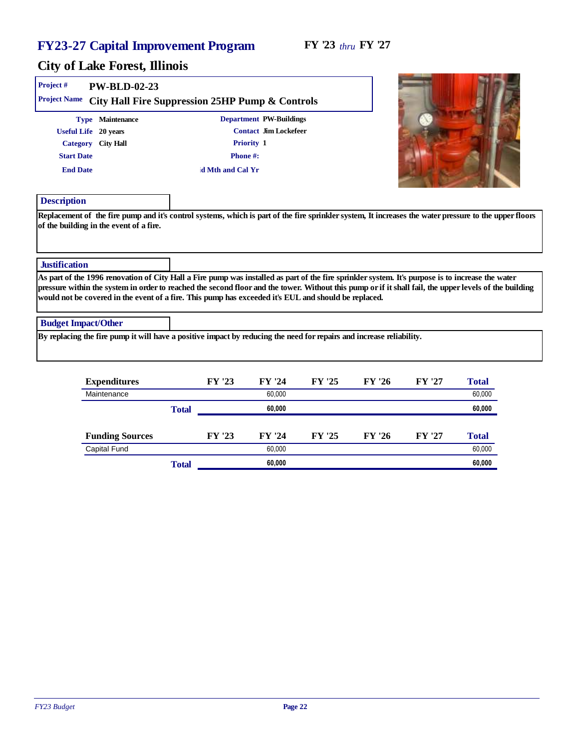| Project #                  | PW-BLD-02-23         |                                                                                                                                                                                                                                                                                                                                                                                                                     |  |
|----------------------------|----------------------|---------------------------------------------------------------------------------------------------------------------------------------------------------------------------------------------------------------------------------------------------------------------------------------------------------------------------------------------------------------------------------------------------------------------|--|
| <b>Project Name</b>        |                      | City Hall Fire Suppression 25HP Pump & Controls                                                                                                                                                                                                                                                                                                                                                                     |  |
|                            | Type Maintenance     | Department PW-Buildings                                                                                                                                                                                                                                                                                                                                                                                             |  |
|                            | Useful Life 20 years | Contact Jim Lockefeer                                                                                                                                                                                                                                                                                                                                                                                               |  |
| Category                   | City Hall            | Priority 1                                                                                                                                                                                                                                                                                                                                                                                                          |  |
| <b>Start Date</b>          |                      | Phone#:                                                                                                                                                                                                                                                                                                                                                                                                             |  |
| <b>End Date</b>            |                      | d Mth and Cal Yr                                                                                                                                                                                                                                                                                                                                                                                                    |  |
| Description                |                      |                                                                                                                                                                                                                                                                                                                                                                                                                     |  |
| Justification              |                      |                                                                                                                                                                                                                                                                                                                                                                                                                     |  |
|                            |                      | As part of the 1996 renovation of City Hall a Fire pump was installed as part of the fire sprinkler system. It's purpose is to increase the water<br>pressure within the system in order to reached the second floor and the tower. Without this pump or if it shall fail, the upper levels of the building<br>would not be covered in the event of a fire. This pump has exceeded it's EUL and should be replaced. |  |
| <b>Budget Impact/Other</b> |                      |                                                                                                                                                                                                                                                                                                                                                                                                                     |  |
|                            |                      | By replacing the fire pump it will have a positive impact by reducing the need for repairs and increase reliability.                                                                                                                                                                                                                                                                                                |  |
|                            |                      |                                                                                                                                                                                                                                                                                                                                                                                                                     |  |

| Expenditures           |       | FY '23 | FY '24 | FY '25 | FY '26 | FY '27 | Total  |
|------------------------|-------|--------|--------|--------|--------|--------|--------|
| Maintenance            |       |        | 60,000 |        |        |        | 60,000 |
|                        | Total |        | 60,000 |        |        |        | 60,000 |
|                        |       |        |        |        |        |        |        |
| <b>Funding Sources</b> |       | FY '23 | FY '24 | FY '25 | FY '26 | FY '27 | Total  |
| <b>Capital Fund</b>    |       |        | 60.000 |        |        |        | 60,000 |
|                        | Total |        | 60,000 |        |        |        | 60,000 |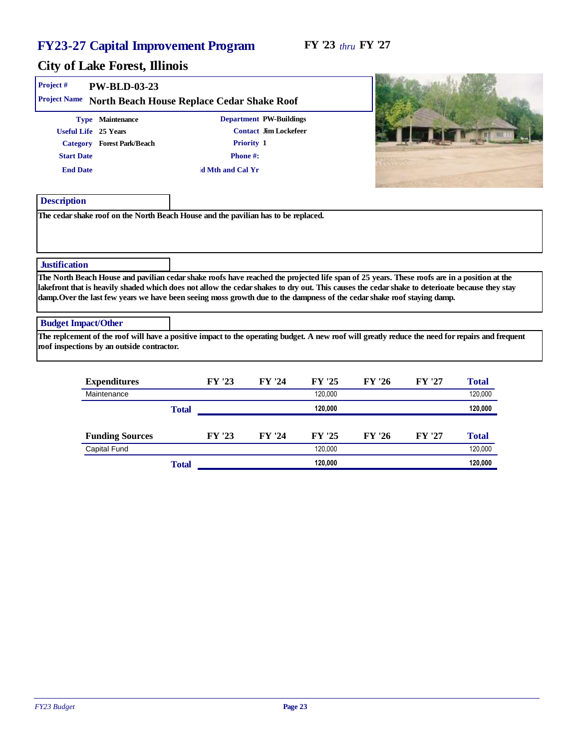| Project #                            | PW-BLD-03-23                                                           |                                                                                                                                                                                                                                                                                                                                                                                                                          |                                                  |        |        |        |       |  |
|--------------------------------------|------------------------------------------------------------------------|--------------------------------------------------------------------------------------------------------------------------------------------------------------------------------------------------------------------------------------------------------------------------------------------------------------------------------------------------------------------------------------------------------------------------|--------------------------------------------------|--------|--------|--------|-------|--|
| Project Name                         |                                                                        | North Beach House Replace Cedar Shake Roof                                                                                                                                                                                                                                                                                                                                                                               |                                                  |        |        |        |       |  |
| <b>Start Date</b><br><b>End Date</b> | Type Maintenance<br>Useful Life 25 Years<br>Category Forest Park/Beach | Priority 1<br>Phone#:<br>d Mth and Cal Yr                                                                                                                                                                                                                                                                                                                                                                                | Department PW-Buildings<br>Contact Jim Lockefeer |        |        |        |       |  |
| Description                          |                                                                        |                                                                                                                                                                                                                                                                                                                                                                                                                          |                                                  |        |        |        |       |  |
| Justification                        |                                                                        |                                                                                                                                                                                                                                                                                                                                                                                                                          |                                                  |        |        |        |       |  |
|                                      |                                                                        | The North Beach House and pavilian cedar shake roofs have reached the projected life span of 25 years. These roofs are in a position at the<br>lakefront that is heavily shaded which does not allow the cedar shakes to dry out. This causes the cedar shake to deterioate because they stay<br>damp. Over the last few years we have been seeing moss growth due to the dampness of the cedar shake roof staying damp. |                                                  |        |        |        |       |  |
| <b>Budget Impact/Other</b>           |                                                                        |                                                                                                                                                                                                                                                                                                                                                                                                                          |                                                  |        |        |        |       |  |
|                                      | roof inspections by an outside contractor.                             | The replcement of the roof will have a positive impact to the operating budget. A new roof will greatly reduce the need for repairs and frequent                                                                                                                                                                                                                                                                         |                                                  |        |        |        |       |  |
|                                      | Expenditures                                                           | FY '23                                                                                                                                                                                                                                                                                                                                                                                                                   | FY '24                                           | FY '25 | FY '26 | FY '27 | Total |  |

| Expenditures           |       | FY '23 | FY '24 | FY '25  | FY '26 | FY '27 | Total   |
|------------------------|-------|--------|--------|---------|--------|--------|---------|
| Maintenance            |       |        |        | 120.000 |        |        | 120,000 |
|                        | Total |        |        | 120.000 |        |        | 120,000 |
|                        |       |        |        |         |        |        |         |
| <b>Funding Sources</b> |       | FY '23 | FY '24 | FY '25  | FY '26 | FY '27 | Total   |
| <b>Capital Fund</b>    |       |        |        | 120.000 |        |        | 120,000 |
|                        | Total |        |        | 120.000 |        |        | 120,000 |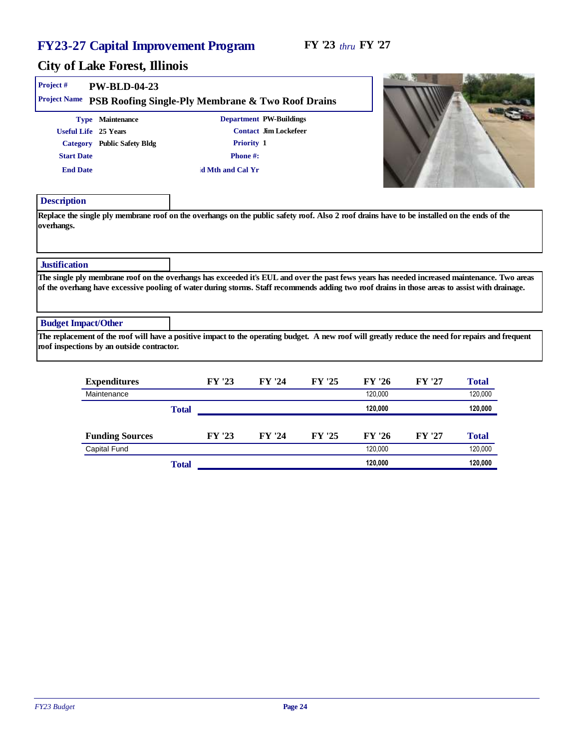**ADUTA** W. **B. Aub. Children** 

| Project #<br>Project Name            | PW-BLD-04-23<br>PSB Roofing Single-Ply Membrane & Two Roof Drains                                                                                                                                                                                                                              |                             |                                                                |        |         |        |         |  |
|--------------------------------------|------------------------------------------------------------------------------------------------------------------------------------------------------------------------------------------------------------------------------------------------------------------------------------------------|-----------------------------|----------------------------------------------------------------|--------|---------|--------|---------|--|
| <b>Start Date</b><br><b>End Date</b> | Type Maintenance<br>Useful Life 25 Years<br>Category Public Safety Bldg                                                                                                                                                                                                                        | Phone#:<br>d Mth and Cal Yr | Department PW-Buildings<br>Contact Jim Lockefeer<br>Priority 1 |        |         |        |         |  |
| Description                          |                                                                                                                                                                                                                                                                                                |                             |                                                                |        |         |        |         |  |
| overhangs.                           | Replace the single ply membrane roof on the overhangs on the public safety roof. Also 2 roof drains have to be installed on the ends of the                                                                                                                                                    |                             |                                                                |        |         |        |         |  |
| Justification                        |                                                                                                                                                                                                                                                                                                |                             |                                                                |        |         |        |         |  |
|                                      | The single ply membrane roof on the overhangs has exceeded it's EUL and over the past fews years has needed increased maintenance. Two areas<br>of the overhang have excessive pooling of water during storms. Staff recommends adding two roof drains in those areas to assist with drainage. |                             |                                                                |        |         |        |         |  |
| <b>Budget Impact/Other</b>           |                                                                                                                                                                                                                                                                                                |                             |                                                                |        |         |        |         |  |
|                                      | The replacement of the roof will have a positive impact to the operating budget. A new roof will greatly reduce the need for repairs and frequent<br>roof inspections by an outside contractor.                                                                                                |                             |                                                                |        |         |        |         |  |
|                                      | Expenditures                                                                                                                                                                                                                                                                                   | FY '23                      | FY '24                                                         | FY '25 | FY '26  | FY '27 | Total   |  |
|                                      | Maintenance                                                                                                                                                                                                                                                                                    |                             |                                                                |        | 120,000 |        | 120,000 |  |

|                        | Total |        |        |        | 120,000 |        | 120,000 |
|------------------------|-------|--------|--------|--------|---------|--------|---------|
| <b>Funding Sources</b> |       | FY '23 | FY '24 | FY '25 | FY '26  | FY '27 | Total   |
| Capital Fund           |       |        |        |        | 120.000 |        | 120,000 |
|                        | Total |        |        |        | 120,000 |        | 120,000 |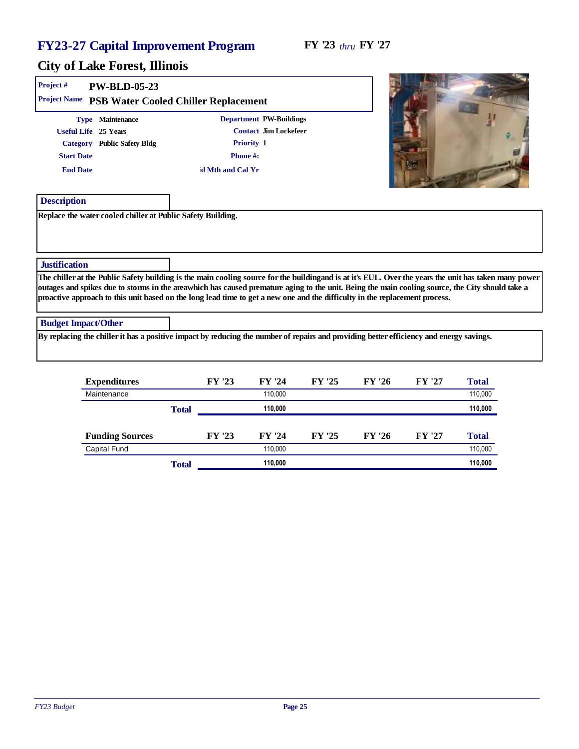| Project #<br>PW-BLD-05-23<br>Project Name                   | PSB Water Cooled Chiller Replacement                                                                                                    |                                                                                                                                                                                                                                                                                                           |
|-------------------------------------------------------------|-----------------------------------------------------------------------------------------------------------------------------------------|-----------------------------------------------------------------------------------------------------------------------------------------------------------------------------------------------------------------------------------------------------------------------------------------------------------|
| Type Maintenance                                            | Department PW-Buildings                                                                                                                 |                                                                                                                                                                                                                                                                                                           |
| Useful Life 25 Years                                        | Contact Jim Lockefeer                                                                                                                   |                                                                                                                                                                                                                                                                                                           |
| Category Public Safety Bldg                                 | Priority 1                                                                                                                              |                                                                                                                                                                                                                                                                                                           |
| <b>Start Date</b>                                           | Phone#:                                                                                                                                 |                                                                                                                                                                                                                                                                                                           |
| <b>End Date</b>                                             | d Mth and Cal Yr                                                                                                                        |                                                                                                                                                                                                                                                                                                           |
| Description                                                 |                                                                                                                                         |                                                                                                                                                                                                                                                                                                           |
| Replace the water cooled chiller at Public Safety Building. |                                                                                                                                         |                                                                                                                                                                                                                                                                                                           |
| <b>Justification</b>                                        |                                                                                                                                         |                                                                                                                                                                                                                                                                                                           |
|                                                             | proactive approach to this unit based on the long lead time to get a new one and the difficulty in the replacement process.             | The chiller at the Public Safety building is the main cooling source for the building and is at it's EUL. Over the years the unit has taken many power<br>outages and spikes due to storms in the areawhich has caused premature aging to the unit. Being the main cooling source, the City should take a |
| <b>Budget Impact/Other</b>                                  |                                                                                                                                         |                                                                                                                                                                                                                                                                                                           |
|                                                             | By replacing the chiller it has a positive impact by reducing the number of repairs and providing better efficiency and energy savings. |                                                                                                                                                                                                                                                                                                           |
|                                                             |                                                                                                                                         |                                                                                                                                                                                                                                                                                                           |

| Expenditures           |       | FY '23 | FY '24  | FY '25 | FY '26 | FY '27 | Total   |
|------------------------|-------|--------|---------|--------|--------|--------|---------|
| Maintenance            |       |        | 110.000 |        |        |        | 110,000 |
|                        | Total |        | 110,000 |        |        |        | 110,000 |
|                        |       |        |         |        |        |        |         |
| <b>Funding Sources</b> |       | FY '23 | FY '24  | FY '25 | FY '26 | FY '27 | Total   |
| Capital Fund           |       |        | 110.000 |        |        |        | 110,000 |
|                        | Total |        | 110.000 |        |        |        | 110,000 |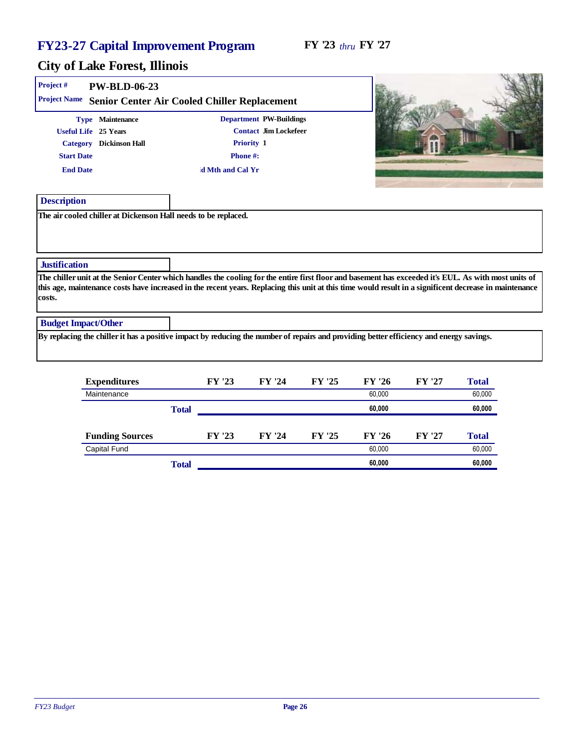| Project #                            | PW-BLD-06-23                                                                                                                            |                                              |                                                                |        |        |        |                                                                                                                                                                                                                                                                                                                |
|--------------------------------------|-----------------------------------------------------------------------------------------------------------------------------------------|----------------------------------------------|----------------------------------------------------------------|--------|--------|--------|----------------------------------------------------------------------------------------------------------------------------------------------------------------------------------------------------------------------------------------------------------------------------------------------------------------|
| Project Name                         |                                                                                                                                         | Senior Center Air Cooled Chiller Replacement |                                                                |        |        |        |                                                                                                                                                                                                                                                                                                                |
| <b>Start Date</b><br><b>End Date</b> | Type Maintenance<br>Useful Life 25 Years<br>Category Dickinson Hall                                                                     | Phone#:<br>d Mth and Cal Yr                  | Department PW-Buildings<br>Contact Jim Lockefeer<br>Priority 1 |        |        |        |                                                                                                                                                                                                                                                                                                                |
| Description                          |                                                                                                                                         |                                              |                                                                |        |        |        |                                                                                                                                                                                                                                                                                                                |
| <b>Justification</b>                 |                                                                                                                                         |                                              |                                                                |        |        |        |                                                                                                                                                                                                                                                                                                                |
| costs.                               |                                                                                                                                         |                                              |                                                                |        |        |        | The chiller unit at the Senior Center which handles the cooling for the entire first floor and basement has exceeded it's EUL. As with most units of<br>this age, maintenance costs have increased in the recent years. Replacing this unit at this time would result in a significent decrease in maintenance |
| <b>Budget Impact/Other</b>           |                                                                                                                                         |                                              |                                                                |        |        |        |                                                                                                                                                                                                                                                                                                                |
|                                      | By replacing the chiller it has a positive impact by reducing the number of repairs and providing better efficiency and energy savings. |                                              |                                                                |        |        |        |                                                                                                                                                                                                                                                                                                                |
|                                      | Expenditures                                                                                                                            | FY '23                                       | FY '24                                                         | FY '25 | FY '26 | FY '27 | Total                                                                                                                                                                                                                                                                                                          |
|                                      | Maintenance                                                                                                                             |                                              |                                                                |        | 60.000 |        | 60.000                                                                                                                                                                                                                                                                                                         |

|                        | Total |        |        |        | 60,000 |        |        |
|------------------------|-------|--------|--------|--------|--------|--------|--------|
|                        |       |        |        |        |        |        |        |
| <b>Funding Sources</b> |       | FY '23 | FY '24 | FY '25 | FY '26 | FY '27 | Total  |
| <b>Capital Fund</b>    |       |        |        |        | 60.000 |        | 60,000 |
|                        | Total |        |        |        | 60,000 |        | 60,000 |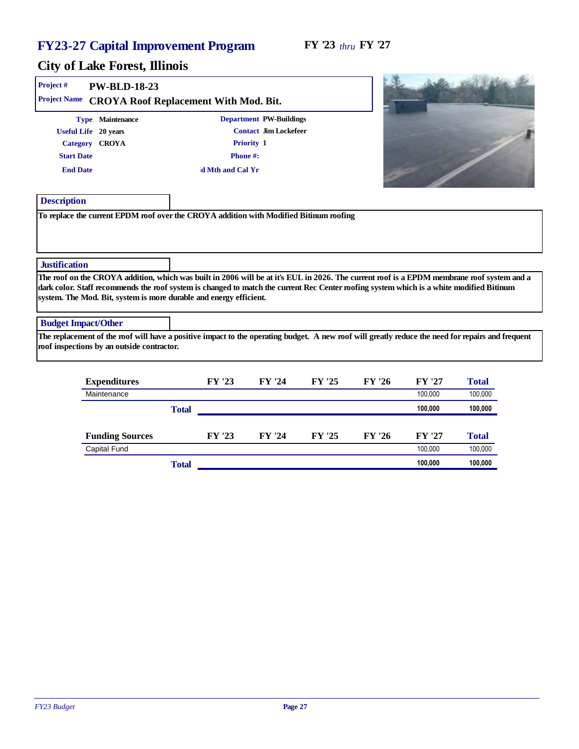$\sim -1$ 

 $\sim$ 

| Project #                  | PW-BLD-18-23                               |                                                                                                                                                   |                         |        |        |         |         |
|----------------------------|--------------------------------------------|---------------------------------------------------------------------------------------------------------------------------------------------------|-------------------------|--------|--------|---------|---------|
| <b>Project Name</b>        |                                            | CROYA Roof Replacement With Mod. Bit.                                                                                                             |                         |        |        |         |         |
|                            | Type Maintenance                           |                                                                                                                                                   | Department PW-Buildings |        |        |         |         |
|                            | Useful Life 20 years                       |                                                                                                                                                   | Contact Jim Lockefeer   |        |        |         |         |
|                            | Category CROYA                             |                                                                                                                                                   | Priority 1              |        |        |         |         |
| <b>Start Date</b>          |                                            | Phone#:                                                                                                                                           |                         |        |        |         |         |
| <b>End Date</b>            |                                            | d Mth and Cal Yr                                                                                                                                  |                         |        |        |         |         |
|                            |                                            |                                                                                                                                                   |                         |        |        |         |         |
| Description                |                                            |                                                                                                                                                   |                         |        |        |         |         |
|                            |                                            | To replace the current EPDM roof over the CROYA addition with Modified Bitinum roofing                                                            |                         |        |        |         |         |
|                            |                                            |                                                                                                                                                   |                         |        |        |         |         |
|                            |                                            |                                                                                                                                                   |                         |        |        |         |         |
| <b>Justification</b>       |                                            |                                                                                                                                                   |                         |        |        |         |         |
|                            |                                            | The roof on the CROYA addition, which was built in 2006 will be at it's EUL in 2026. The current roof is a EPDM membrane roof system and a        |                         |        |        |         |         |
|                            |                                            | dark color. Staff recommends the roof system is changed to match the current Rec Center roofing system which is a white modified Bitinum          |                         |        |        |         |         |
|                            |                                            | system. The Mod. Bit, system is more durable and energy efficient.                                                                                |                         |        |        |         |         |
| <b>Budget Impact/Other</b> |                                            |                                                                                                                                                   |                         |        |        |         |         |
|                            |                                            | The replacement of the roof will have a positive impact to the operating budget. A new roof will greatly reduce the need for repairs and frequent |                         |        |        |         |         |
|                            | roof inspections by an outside contractor. |                                                                                                                                                   |                         |        |        |         |         |
|                            |                                            |                                                                                                                                                   |                         |        |        |         |         |
|                            | Expenditures                               | FY '23                                                                                                                                            | FY '24                  | FY '25 | FY '26 | FY '27  | Total   |
|                            | Maintenance                                |                                                                                                                                                   |                         |        |        | 100,000 | 100,000 |

|                        | Total |        |        |        |        | 100.000 | 100,000 |
|------------------------|-------|--------|--------|--------|--------|---------|---------|
|                        |       |        |        |        |        |         |         |
| <b>Funding Sources</b> |       | FY '23 | FY '24 | FY '25 | FY '26 | FY '27  | Total   |
| <b>Capital Fund</b>    |       |        |        |        |        | 100.000 | 100,000 |
|                        | Total |        |        |        |        | 100.000 | 100,000 |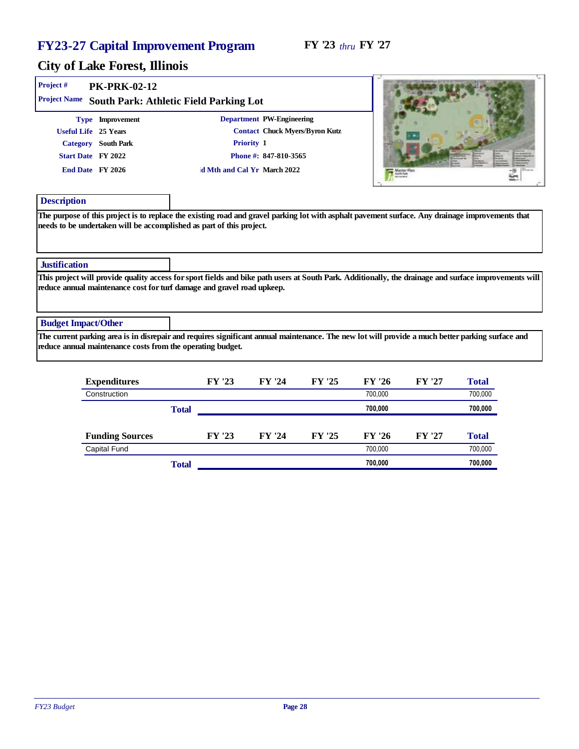$\mathbf{C}$ 

| Project #                                                                             | <b>PK-PRK-02-12</b>                                        |                                                                        |                                                                                      |                                                                                                                                                       |
|---------------------------------------------------------------------------------------|------------------------------------------------------------|------------------------------------------------------------------------|--------------------------------------------------------------------------------------|-------------------------------------------------------------------------------------------------------------------------------------------------------|
| Project Name                                                                          |                                                            | South Park: Athletic Field Parking Lot                                 |                                                                                      |                                                                                                                                                       |
| Useful Life 25 Years<br>Category South Park<br>Start Date FY 2022<br>End Date FY 2026 | Type Improvement                                           | Priority 1<br>d Mth and Cal Yr March 2022                              | Department PW-Engineering<br>Contact Chuck Myers/Byron Kutz<br>Phone #: 847-810-3565 |                                                                                                                                                       |
| Description                                                                           |                                                            |                                                                        |                                                                                      |                                                                                                                                                       |
| Justification                                                                         |                                                            | needs to be undertaken will be accomplished as part of this project.   |                                                                                      |                                                                                                                                                       |
|                                                                                       |                                                            | reduce annual maintenance cost for turf damage and gravel road upkeep. |                                                                                      | This project will provide quality access for sport fields and bike path users at South Park. Additionally, the drainage and surface improvements will |
| <b>Budget Impact/Other</b>                                                            |                                                            |                                                                        |                                                                                      |                                                                                                                                                       |
|                                                                                       | reduce annual maintenance costs from the operating budget. |                                                                        |                                                                                      | The current parking area is in disrepair and requires significant annual maintenance. The new lot will provide a much better parking surface and      |
|                                                                                       |                                                            |                                                                        |                                                                                      |                                                                                                                                                       |

| Expenditures           |       | FY '23 | FY '24 | FY '25 | FY '26  | FY '27 | Total   |
|------------------------|-------|--------|--------|--------|---------|--------|---------|
| Construction           |       |        |        |        | 700.000 |        | 700,000 |
|                        | Total |        |        |        | 700,000 |        | 700,000 |
|                        |       |        |        |        |         |        |         |
| <b>Funding Sources</b> |       | FY '23 | FY '24 | FY '25 | FY '26  | FY '27 | Total   |
| Capital Fund           |       |        |        |        | 700.000 |        | 700,000 |
|                        | Total |        |        |        | 700.000 |        | 700,000 |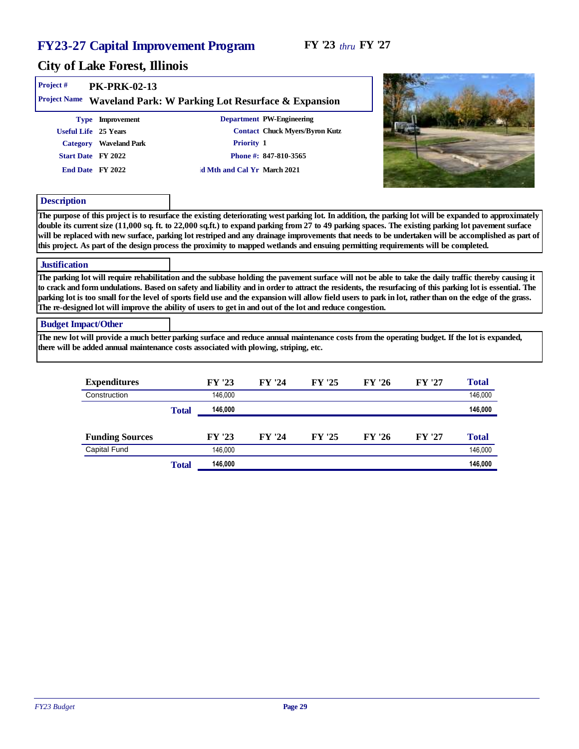| Project #<br>Project Name  | $PK-PRK-02-13$         | Waveland Park: W Parking Lot Resurface & Expansion                                                                                                                                                                                                                                                                                                                                                                                                                                                                                                                                                          |  |
|----------------------------|------------------------|-------------------------------------------------------------------------------------------------------------------------------------------------------------------------------------------------------------------------------------------------------------------------------------------------------------------------------------------------------------------------------------------------------------------------------------------------------------------------------------------------------------------------------------------------------------------------------------------------------------|--|
|                            | Type Improvement       | Department PW-Engineering                                                                                                                                                                                                                                                                                                                                                                                                                                                                                                                                                                                   |  |
|                            | Useful Life 25 Years   | Contact Chuck Myers/Byron Kutz                                                                                                                                                                                                                                                                                                                                                                                                                                                                                                                                                                              |  |
|                            | Category Waveland Park | Priority 1                                                                                                                                                                                                                                                                                                                                                                                                                                                                                                                                                                                                  |  |
|                            | Start Date FY 2022     | Phone #: 847-810-3565                                                                                                                                                                                                                                                                                                                                                                                                                                                                                                                                                                                       |  |
|                            | End Date FY 2022       | d Mth and Cal Yr March 2021                                                                                                                                                                                                                                                                                                                                                                                                                                                                                                                                                                                 |  |
| Description                |                        |                                                                                                                                                                                                                                                                                                                                                                                                                                                                                                                                                                                                             |  |
|                            |                        | The purpose of this project is to resurface the existing deteriorating west parking lot. In addition, the parking lot will be expanded to approximately<br>double its current size (11,000 sq. ft. to 22,000 sq.ft.) to expand parking from 27 to 49 parking spaces. The existing parking lot pavement surface<br>will be replaced with new surface, parking lot restriped and any drainage improvements that needs to be undertaken will be accomplished as part of<br>this project. As part of the design process the proximity to mapped wetlands and ensuing permitting requirements will be completed. |  |
| Justification              |                        |                                                                                                                                                                                                                                                                                                                                                                                                                                                                                                                                                                                                             |  |
|                            |                        | The parking lot will require rehabilitation and the subbase holding the pavement surface will not be able to take the daily traffic thereby causing it<br>to crack and form undulations. Based on safety and liability and in order to attract the residents, the resurfacing of this parking lot is essential. The<br>parking lot is too small for the level of sports field use and the expansion will allow field users to park in lot, rather than on the edge of the grass.<br>The re-designed lot will improve the ability of users to get in and out of the lot and reduce congestion.               |  |
| <b>Budget Impact/Other</b> |                        |                                                                                                                                                                                                                                                                                                                                                                                                                                                                                                                                                                                                             |  |
|                            |                        | The new lot will provide a much better parking surface and reduce annual maintenance costs from the operating budget. If the lot is expanded,<br>there will be added annual maintenance costs associated with plowing, striping, etc.                                                                                                                                                                                                                                                                                                                                                                       |  |

| Expenditures           |       | FY '23  | FY '24 | FY '25 | FY '26 | FY '27 | Total   |
|------------------------|-------|---------|--------|--------|--------|--------|---------|
| Construction           |       | 146.000 |        |        |        |        | 146,000 |
|                        | Total | 146,000 |        |        |        |        | 146,000 |
|                        |       |         |        |        |        |        |         |
| <b>Funding Sources</b> |       | FY '23  | FY '24 | FY '25 | FY '26 | FY '27 | Total   |
| Capital Fund           |       | 146,000 |        |        |        |        | 146,000 |
|                        | Total | 146,000 |        |        |        |        | 146,000 |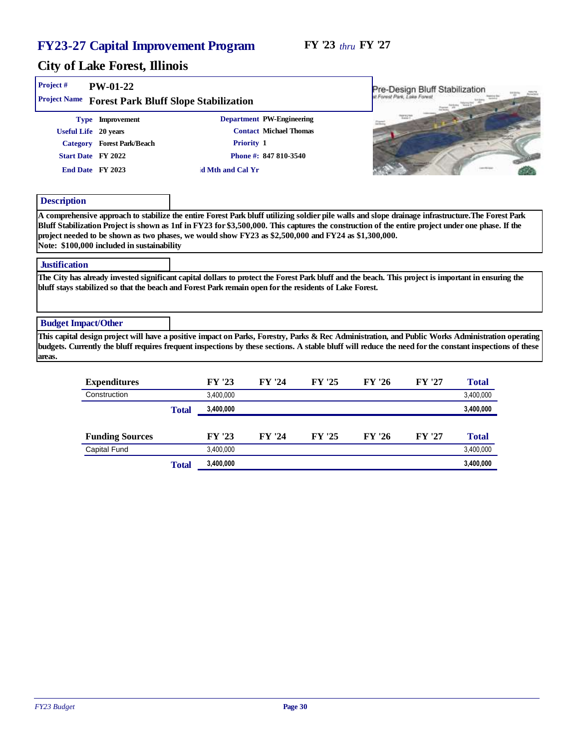#### FY '23 *thru* FY '27

| Project#                   | $PW-01-22$                                 |                                                                                                                                                                                                                                                                                                                                                                                                                 |                           |        |        | Pre-Design Bluff Stabilization |       |
|----------------------------|--------------------------------------------|-----------------------------------------------------------------------------------------------------------------------------------------------------------------------------------------------------------------------------------------------------------------------------------------------------------------------------------------------------------------------------------------------------------------|---------------------------|--------|--------|--------------------------------|-------|
|                            |                                            | Project Name Forest Park Bluff Slope Stabilization                                                                                                                                                                                                                                                                                                                                                              |                           |        |        | I Forest Park, Loke Forest     |       |
|                            | Type Improvement                           |                                                                                                                                                                                                                                                                                                                                                                                                                 | Department PW-Engineering |        |        |                                |       |
|                            | Useful Life 20 years                       |                                                                                                                                                                                                                                                                                                                                                                                                                 | Contact Michael Thomas    |        |        |                                |       |
|                            | Category Forest Park/Beach                 | Priority 1                                                                                                                                                                                                                                                                                                                                                                                                      |                           |        |        |                                |       |
|                            | Start Date FY 2022                         |                                                                                                                                                                                                                                                                                                                                                                                                                 | Phone #: 847 810-3540     |        |        |                                |       |
|                            | End Date FY 2023                           | d Mth and Cal Yr                                                                                                                                                                                                                                                                                                                                                                                                |                           |        |        |                                |       |
| Description                |                                            |                                                                                                                                                                                                                                                                                                                                                                                                                 |                           |        |        |                                |       |
| Justification              | Note: \$100,000 included in sustainability | A comprehensive approach to stabilize the entire Forest Park bluff utilizing soldier pile walls and slope drainage infrastructure. The Forest Park<br>Bluff Stabilization Project is shown as 1nf in FY23 for \$3,500,000. This captures the construction of the entire project under one phase. If the<br>project needed to be shown as two phases, we would show FY23 as \$2,500,000 and FY24 as \$1,300,000. |                           |        |        |                                |       |
|                            |                                            |                                                                                                                                                                                                                                                                                                                                                                                                                 |                           |        |        |                                |       |
|                            |                                            | The City has already invested significant capital dollars to protect the Forest Park bluff and the beach. This project is important in ensuring the<br>bluff stays stabilized so that the beach and Forest Park remain open for the residents of Lake Forest.                                                                                                                                                   |                           |        |        |                                |       |
| <b>Budget Impact/Other</b> |                                            |                                                                                                                                                                                                                                                                                                                                                                                                                 |                           |        |        |                                |       |
| areas.                     |                                            | This capital design project will have a positive impact on Parks, Forestry, Parks & Rec Administration, and Public Works Administration operating<br>budgets. Currently the bluff requires frequent inspections by these sections. A stable bluff will reduce the need for the constant inspections of these                                                                                                    |                           |        |        |                                |       |
|                            | Expenditures                               | FY '23                                                                                                                                                                                                                                                                                                                                                                                                          | FY '24                    | FY '25 | FY '26 | FY '27                         | Total |
|                            |                                            |                                                                                                                                                                                                                                                                                                                                                                                                                 |                           |        |        |                                |       |

|                        | Total | 3,400,000 |        |        |        |        | 3,400,000 |
|------------------------|-------|-----------|--------|--------|--------|--------|-----------|
|                        |       |           |        |        |        |        |           |
| <b>Funding Sources</b> |       | FY '23    | FY '24 | FY '25 | FY '26 | FY '27 | Total     |
| Capital Fund           |       | 3.400.000 |        |        |        |        | 3,400,000 |
|                        | Total | 3,400,000 |        |        |        |        | 3,400,000 |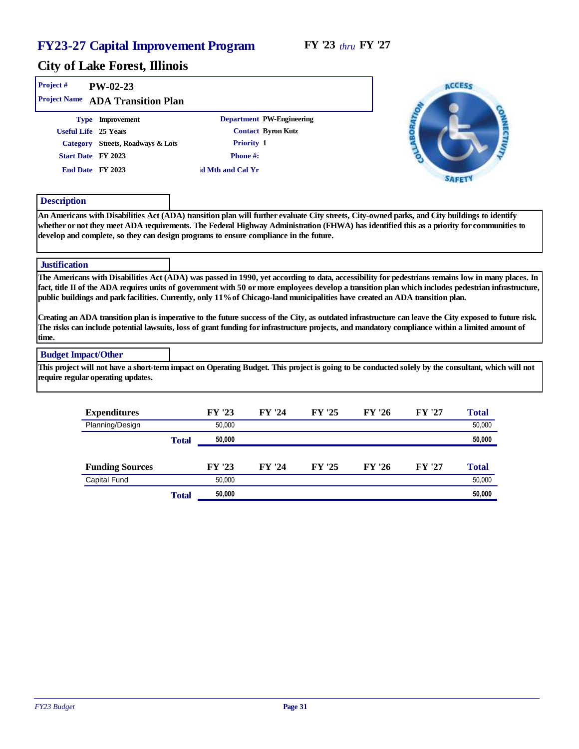#### City of Lake Forest, Illinois

| Project #            | $PW-02-23$<br>Project Name ADA Transition Plan |                  |                           | <b>ACCESS</b> |
|----------------------|------------------------------------------------|------------------|---------------------------|---------------|
|                      | Type Improvement                               |                  | Department PW-Engineering |               |
| Useful Life 25 Years |                                                |                  | Contact Byron Kutz        |               |
| Category             | Streets, Roadways & Lots                       | Priority 1       |                           |               |
| Start Date FY 2023   |                                                | Phone#:          |                           |               |
| End Date FY 2023     |                                                | d Mth and Cal Yr |                           |               |

#### Description

An Americans with Disabilities Act (ADA) transition plan will further evaluate City streets, City-owned parks, and City buildings to identify whether or not they meet ADA requirements. The Federal Highway Administration (FHWA) has identified this as a priority for communities to develop and complete, so they can design programs to ensure compliance in the future.

#### **Justification**

The Americans with Disabilities Act (ADA) was passed in 1990, yet according to data, accessibility for pedestrians remains low in many places. In fact, title II of the ADA requires units of government with 50 or more employees develop a transition plan which includes pedestrian infrastructure, public buildings and park facilities. Currently, only 11% of Chicago-land municipalities have created an ADA transition plan.

Creating an ADA transition plan is imperative to the future success of the City, as outdated infrastructure can leave the City exposed to future risk. The risks can include potential lawsuits, loss of grant funding for infrastructure projects, and mandatory compliance within a limited amount of time.

#### Budget Impact/Other

This project will not have a short-term impact on Operating Budget. This project is going to be conducted solely by the consultant, which will not require regular operating updates.

| Expenditures           |       | FY '23 | FY '24 | FY '25 | FY '26 | FY '27 | Total  |
|------------------------|-------|--------|--------|--------|--------|--------|--------|
| Planning/Design        |       | 50,000 |        |        |        |        | 50,000 |
|                        | Total | 50.000 |        |        |        |        | 50,000 |
|                        |       |        |        |        |        |        |        |
| <b>Funding Sources</b> |       | FY '23 | FY '24 | FY '25 | FY '26 | FY '27 | Total  |
| Capital Fund           |       | 50,000 |        |        |        |        | 50,000 |
|                        | Total | 50,000 |        |        |        |        | 50,000 |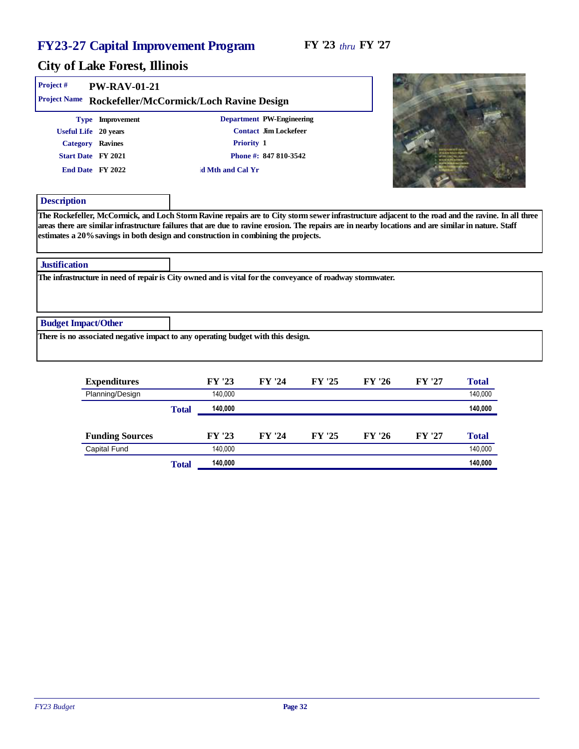| Project#                   | <b>PW-RAV-01-21</b>  |                                                                                                                                                                                                                                            |  |
|----------------------------|----------------------|--------------------------------------------------------------------------------------------------------------------------------------------------------------------------------------------------------------------------------------------|--|
|                            |                      | Project Name Rockefeller/McCormick/Loch Ravine Design                                                                                                                                                                                      |  |
|                            | Type Improvement     | Department PW-Engineering                                                                                                                                                                                                                  |  |
|                            | Useful Life 20 years | Contact Jim Lockefeer                                                                                                                                                                                                                      |  |
|                            | Category Ravines     | Priority 1                                                                                                                                                                                                                                 |  |
|                            | Start Date FY 2021   | Phone #: 847 810-3542                                                                                                                                                                                                                      |  |
|                            | End Date FY 2022     | d Mth and Cal Yr                                                                                                                                                                                                                           |  |
| Description                |                      |                                                                                                                                                                                                                                            |  |
|                            |                      | areas there are similar infrastructure failures that are due to ravine erosion. The repairs are in nearby locations and are similar in nature. Staff<br>estimates a 20% savings in both design and construction in combining the projects. |  |
| Justification              |                      |                                                                                                                                                                                                                                            |  |
|                            |                      | The infrastructure in need of repair is City owned and is vital for the conveyance of roadway stormwater.                                                                                                                                  |  |
|                            |                      |                                                                                                                                                                                                                                            |  |
| <b>Budget Impact/Other</b> |                      |                                                                                                                                                                                                                                            |  |
|                            |                      | There is no associated negative impact to any operating budget with this design.                                                                                                                                                           |  |

| Expenditures           |       | FY '23  | FY '24 | FY '25 | FY '26 | FY '27 | Total   |
|------------------------|-------|---------|--------|--------|--------|--------|---------|
| Planning/Design        |       | 140.000 |        |        |        |        | 140,000 |
|                        | Total | 140,000 |        |        |        |        | 140,000 |
|                        |       |         |        |        |        |        |         |
| <b>Funding Sources</b> |       | FY '23  | FY '24 | FY '25 | FY '26 | FY '27 | Total   |
| <b>Capital Fund</b>    |       | 140.000 |        |        |        |        | 140,000 |
|                        | Total | 140,000 |        |        |        |        | 140,000 |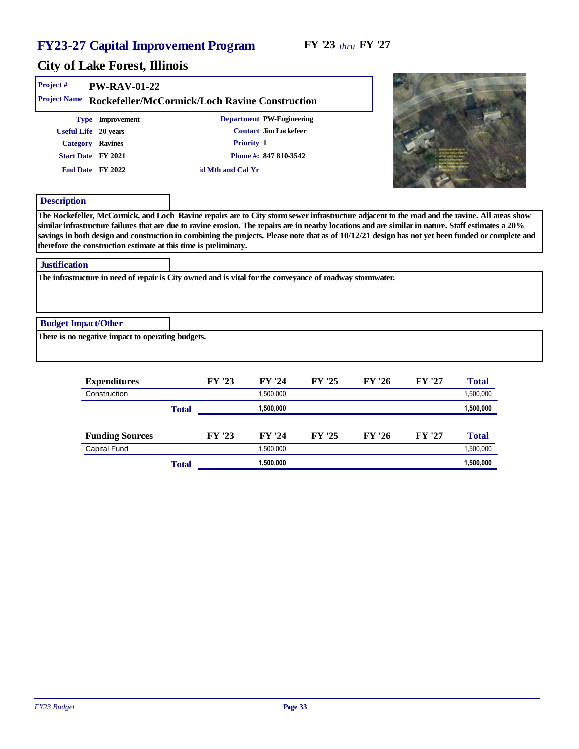| Project #<br><b>Project Name</b>    | $PW-RAV-01-22$                                                                                         | Rockefeller/McCormick/Loch Ravine Construction                                                                |                                                                                                                                                                                                                                                                                                                                                                                                                                                             |
|-------------------------------------|--------------------------------------------------------------------------------------------------------|---------------------------------------------------------------------------------------------------------------|-------------------------------------------------------------------------------------------------------------------------------------------------------------------------------------------------------------------------------------------------------------------------------------------------------------------------------------------------------------------------------------------------------------------------------------------------------------|
|                                     | Type Improvement<br>Useful Life 20 years<br>Category Ravines<br>Start Date FY 2021<br>End Date FY 2022 | Department PW-Engineering<br>Contact Jim Lockefeer<br>Priority 1<br>Phone #: 847 810-3542<br>d Mth and Cal Yr |                                                                                                                                                                                                                                                                                                                                                                                                                                                             |
| Description<br><b>Justification</b> | therefore the construction estimate at this time is preliminary.                                       |                                                                                                               | The Rockefeller, McCormick, and Loch Ravine repairs are to City storm sewer infrastructure adjacent to the road and the ravine. All areas show<br>similar infrastructure failures that are due to ravine erosion. The repairs are in nearby locations and are similar in nature. Staff estimates a 20%<br>savings in both design and construction in combining the projects. Please note that as of 10/12/21 design has not yet been funded or complete and |
|                                     |                                                                                                        | The infrastructure in need of repair is City owned and is vital for the conveyance of roadway stormwater.     |                                                                                                                                                                                                                                                                                                                                                                                                                                                             |
| <b>Budget Impact/Other</b>          | There is no negative impact to operating budgets.                                                      |                                                                                                               |                                                                                                                                                                                                                                                                                                                                                                                                                                                             |

| Expenditures           |       | FY '23 | FY '24    | FY '25 | FY '26 | FY '27 | Total     |
|------------------------|-------|--------|-----------|--------|--------|--------|-----------|
| Construction           |       |        | 1,500,000 |        |        |        | 1,500,000 |
|                        | Total |        | 1,500,000 |        |        |        | 1,500,000 |
|                        |       |        |           |        |        |        |           |
| <b>Funding Sources</b> |       | FY '23 | FY '24    | FY '25 | FY '26 | FY '27 | Total     |
| <b>Capital Fund</b>    |       |        | 1.500.000 |        |        |        | 1,500,000 |
|                        | Total |        | 1,500,000 |        |        |        | 1,500,000 |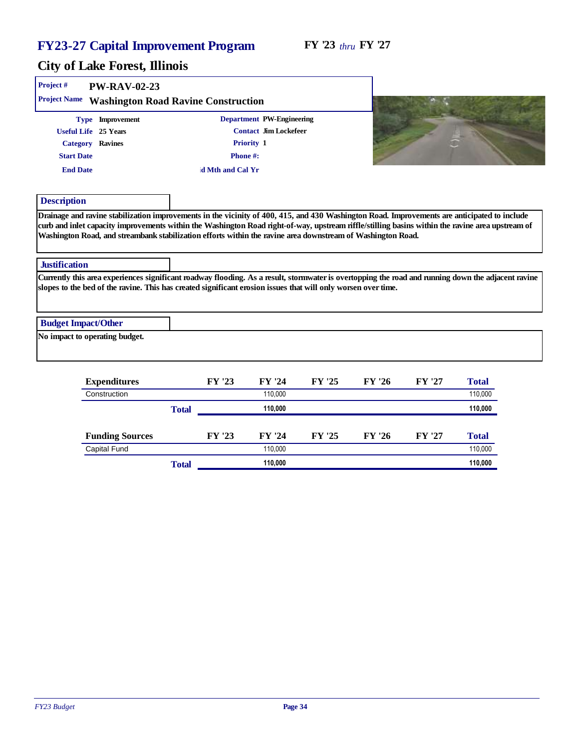| Project#<br><b>PW-RAV-02-23</b>                  |                                                                                                               |                                                                                                                                                    |
|--------------------------------------------------|---------------------------------------------------------------------------------------------------------------|----------------------------------------------------------------------------------------------------------------------------------------------------|
| Project Name Washington Road Ravine Construction |                                                                                                               |                                                                                                                                                    |
| Type Improvement                                 | Department PW-Engineering                                                                                     |                                                                                                                                                    |
| Useful Life 25 Years                             | Contact Jim Lockefeer                                                                                         |                                                                                                                                                    |
| Category Ravines                                 | Priority 1                                                                                                    |                                                                                                                                                    |
| <b>Start Date</b>                                | Phone#:                                                                                                       |                                                                                                                                                    |
| <b>End Date</b>                                  | d Mth and Cal Yr                                                                                              |                                                                                                                                                    |
| Description                                      |                                                                                                               |                                                                                                                                                    |
| <b>Justification</b>                             | Washington Road, and streambank stabilization efforts within the ravine area downstream of Washington Road.   |                                                                                                                                                    |
|                                                  | slopes to the bed of the ravine. This has created significant erosion issues that will only worsen over time. | Currently this area experiences significant roadway flooding. As a result, stormwater is overtopping the road and running down the adjacent ravine |
| <b>Budget Impact/Other</b>                       |                                                                                                               |                                                                                                                                                    |
| No impact to operating budget.                   |                                                                                                               |                                                                                                                                                    |
|                                                  |                                                                                                               |                                                                                                                                                    |
|                                                  |                                                                                                               |                                                                                                                                                    |

| Expenditures           |       | FY '23 | FY '24  | FY '25 | FY '26 | FY '27 | Total   |
|------------------------|-------|--------|---------|--------|--------|--------|---------|
| Construction           |       |        | 110.000 |        |        |        | 110,000 |
|                        | Total |        | 110.000 |        |        |        | 110,000 |
| <b>Funding Sources</b> |       | FY '23 | FY '24  | FY '25 | FY '26 | FY '27 | Total   |
| <b>Capital Fund</b>    |       |        | 110.000 |        |        |        | 110,000 |
|                        | Total |        | 110,000 |        |        |        | 110,000 |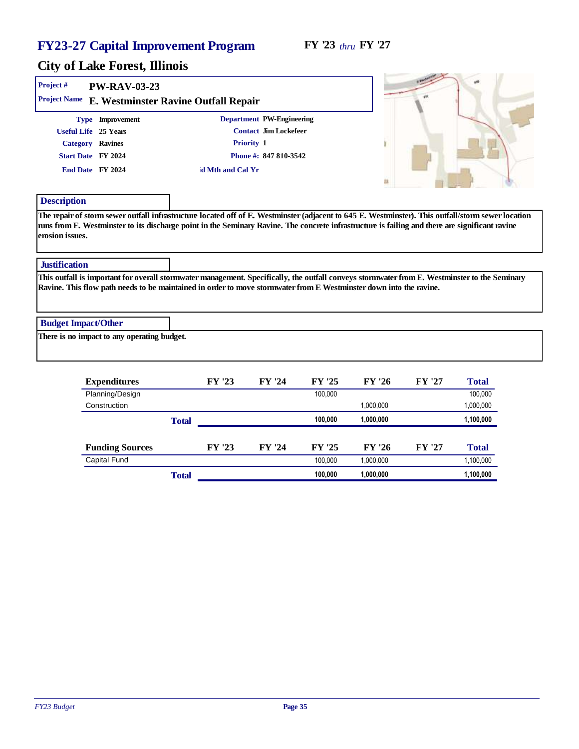| Project #                  | PW-RAV-03-23                                |                                                                                                                                                 |                                                                                                                                                    |
|----------------------------|---------------------------------------------|-------------------------------------------------------------------------------------------------------------------------------------------------|----------------------------------------------------------------------------------------------------------------------------------------------------|
| <b>Project Name</b>        |                                             | E. Westminster Ravine Outfall Repair                                                                                                            |                                                                                                                                                    |
|                            | Type Improvement                            | Department PW-Engineering                                                                                                                       |                                                                                                                                                    |
| Useful Life 25 Years       |                                             | Contact Jim Lockefeer                                                                                                                           |                                                                                                                                                    |
| Category Ravines           |                                             | Priority 1                                                                                                                                      |                                                                                                                                                    |
| Start Date FY 2024         |                                             | Phone #: 847 810-3542                                                                                                                           |                                                                                                                                                    |
| End Date FY 2024           |                                             | d Mth and Cal Yr                                                                                                                                |                                                                                                                                                    |
|                            |                                             |                                                                                                                                                 |                                                                                                                                                    |
| Description                |                                             |                                                                                                                                                 |                                                                                                                                                    |
| erosion issues.            |                                             | runs from E. Westminster to its discharge point in the Seminary Ravine. The concrete infrastructure is failing and there are significant ravine | The repair of storm sewer outfall infrastructure located off of E. Westminster (adjacent to 645 E. Westminster). This outfall/storm sewer location |
| Justification              |                                             |                                                                                                                                                 |                                                                                                                                                    |
|                            |                                             | Ravine. This flow path needs to be maintained in order to move stormwater from E Westminster down into the ravine.                              | This outfall is important for overall stormwater management. Specifically, the outfall conveys stormwater from E. Westminster to the Seminary      |
| <b>Budget Impact/Other</b> |                                             |                                                                                                                                                 |                                                                                                                                                    |
|                            | There is no impact to any operating budget. |                                                                                                                                                 |                                                                                                                                                    |

| Expenditures           |       | FY '23 | FY '24 | FY '25  | FY '26    | FY '27 | Total     |
|------------------------|-------|--------|--------|---------|-----------|--------|-----------|
| Planning/Design        |       |        |        | 100,000 |           |        | 100,000   |
| Construction           |       |        |        |         | 1,000,000 |        | 1,000,000 |
|                        | Total |        |        | 100,000 | 1,000,000 |        | 1,100,000 |
|                        |       |        |        |         |           |        |           |
| <b>Funding Sources</b> |       | FY '23 | FY '24 | FY '25  | FY '26    | FY '27 | Total     |
| Capital Fund           |       |        |        | 100.000 | 1,000,000 |        | 1,100,000 |
|                        | Total |        |        | 100.000 | 1,000,000 |        | 1,100,000 |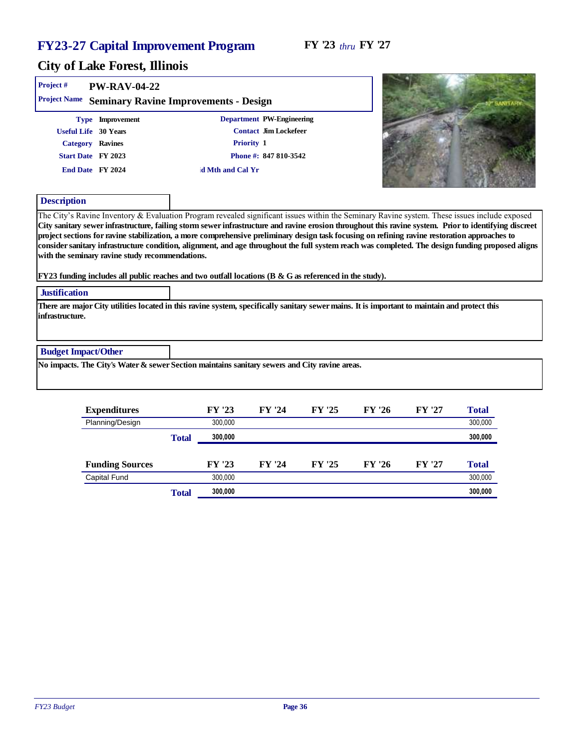**CAN THE REPORT OF A STATE** 

# City of Lake Forest, Illinois

| Project #                  | <b>PW-RAV-04-22</b>                                                                                                                                                                                                                                                                                            |       |                  |                           |        |        |        |                                                                                                                                                                                                                                                                                                             |
|----------------------------|----------------------------------------------------------------------------------------------------------------------------------------------------------------------------------------------------------------------------------------------------------------------------------------------------------------|-------|------------------|---------------------------|--------|--------|--------|-------------------------------------------------------------------------------------------------------------------------------------------------------------------------------------------------------------------------------------------------------------------------------------------------------------|
| Project Name               | Seminary Ravine Improvements - Design                                                                                                                                                                                                                                                                          |       |                  |                           |        |        |        |                                                                                                                                                                                                                                                                                                             |
|                            | Type Improvement                                                                                                                                                                                                                                                                                               |       |                  | Department PW-Engineering |        |        |        |                                                                                                                                                                                                                                                                                                             |
|                            | Useful Life 30 Years                                                                                                                                                                                                                                                                                           |       |                  | Contact Jim Lockefeer     |        |        |        |                                                                                                                                                                                                                                                                                                             |
|                            | Category Ravines                                                                                                                                                                                                                                                                                               |       |                  | Priority 1                |        |        |        |                                                                                                                                                                                                                                                                                                             |
|                            | Start Date FY 2023                                                                                                                                                                                                                                                                                             |       |                  | Phone #: 847 810-3542     |        |        |        |                                                                                                                                                                                                                                                                                                             |
|                            | End Date FY 2024                                                                                                                                                                                                                                                                                               |       | d Mth and Cal Yr |                           |        |        |        |                                                                                                                                                                                                                                                                                                             |
| Description                |                                                                                                                                                                                                                                                                                                                |       |                  |                           |        |        |        |                                                                                                                                                                                                                                                                                                             |
|                            | project sections for ravine stabilization, a more comprehensive preliminary design task focusing on refining ravine restoration approaches to<br>with the seminary ravine study recommendations.<br>FY23 funding includes all public reaches and two outfall locations ( $B \& G$ as referenced in the study). |       |                  |                           |        |        |        | City sanitary sewer infrastructure, failing storm sewer infrastructure and ravine erosion throughout this ravine system. Prior to identifying discreet<br>consider sanitary infrastructure condition, alignment, and age throughout the full system reach was completed. The design funding proposed aligns |
| <b>Justification</b>       |                                                                                                                                                                                                                                                                                                                |       |                  |                           |        |        |        |                                                                                                                                                                                                                                                                                                             |
| infrastructure.            | There are major City utilities located in this ravine system, specifically sanitary sewer mains. It is important to maintain and protect this                                                                                                                                                                  |       |                  |                           |        |        |        |                                                                                                                                                                                                                                                                                                             |
| <b>Budget Impact/Other</b> |                                                                                                                                                                                                                                                                                                                |       |                  |                           |        |        |        |                                                                                                                                                                                                                                                                                                             |
|                            | No impacts. The City's Water & sewer Section maintains sanitary sewers and City ravine areas.                                                                                                                                                                                                                  |       |                  |                           |        |        |        |                                                                                                                                                                                                                                                                                                             |
|                            | Expenditures                                                                                                                                                                                                                                                                                                   |       | FY '23           | FY '24                    | FY '25 | FY '26 | FY '27 | Total                                                                                                                                                                                                                                                                                                       |
|                            | Planning/Design                                                                                                                                                                                                                                                                                                |       | 300,000          |                           |        |        |        | 300,000                                                                                                                                                                                                                                                                                                     |
|                            |                                                                                                                                                                                                                                                                                                                | Total | 300,000          |                           |        |        |        | 300,000                                                                                                                                                                                                                                                                                                     |
|                            | <b>Funding Sources</b>                                                                                                                                                                                                                                                                                         |       | FY '23           | FY '24                    | FY '25 | FY '26 | FY '27 | Total                                                                                                                                                                                                                                                                                                       |

Capital Fund 300,000 300,000 300,000 300,000 300,000 300,000 300,000 300,000 300,000 300,000 300,000 300,000 300,000 300,000 300,000 300,000 300,000 300,000 300,000 300,000 300,000 300,000 300,000 300,000 300,000 300,000 3

| m<br>Total | 300,000 |  |  | 300,000 |
|------------|---------|--|--|---------|
|            |         |  |  |         |
|            |         |  |  |         |
|            |         |  |  |         |
|            |         |  |  |         |
|            |         |  |  |         |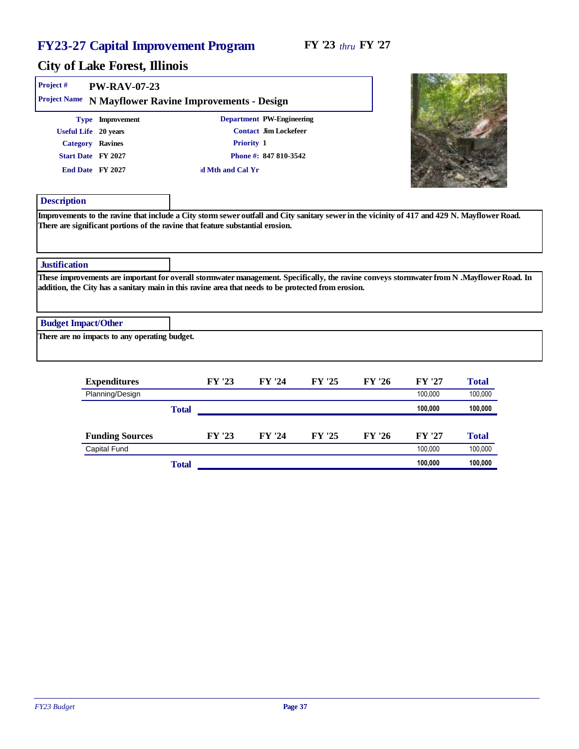| Project #<br>PW-RAV-07-23                             |                                                                                                                                                                                                                                                   |                           |
|-------------------------------------------------------|---------------------------------------------------------------------------------------------------------------------------------------------------------------------------------------------------------------------------------------------------|---------------------------|
| Project Name N Mayflower Ravine Improvements - Design |                                                                                                                                                                                                                                                   |                           |
| Type Improvement                                      | Department PW-Engineering                                                                                                                                                                                                                         |                           |
| Useful Life 20 years                                  | Contact Jim Lockefeer                                                                                                                                                                                                                             |                           |
| Category Ravines                                      | Priority 1                                                                                                                                                                                                                                        |                           |
| Start Date FY 2027                                    | Phone #: 847 810-3542                                                                                                                                                                                                                             |                           |
| End Date FY 2027                                      | d Mth and Cal Yr                                                                                                                                                                                                                                  |                           |
| Description                                           |                                                                                                                                                                                                                                                   |                           |
| Justification                                         |                                                                                                                                                                                                                                                   |                           |
|                                                       | These improvements are important for overall stormwater management. Specifically, the ravine conveys stormwater from N .Mayflower Road. In<br>addition, the City has a sanitary main in this ravine area that needs to be protected from erosion. |                           |
| <b>Budget Impact/Other</b>                            |                                                                                                                                                                                                                                                   |                           |
| There are no impacts to any operating budget.         |                                                                                                                                                                                                                                                   |                           |
| Expenditures                                          | FY '25<br>FY '23<br>FY '24                                                                                                                                                                                                                        | FY '26<br>FY '27<br>Total |

| Planning/Design        |       |        |        |        |        | 100.000 | 100,000 |
|------------------------|-------|--------|--------|--------|--------|---------|---------|
|                        | Total |        |        |        |        | 100.000 | 100,000 |
|                        |       |        |        |        |        |         |         |
| <b>Funding Sources</b> |       | FY '23 | FY '24 | FY '25 | FY '26 | FY '27  | Total   |
| <b>Capital Fund</b>    |       |        |        |        |        | 100.000 | 100,000 |
|                        | Total |        |        |        |        | 100,000 | 100,000 |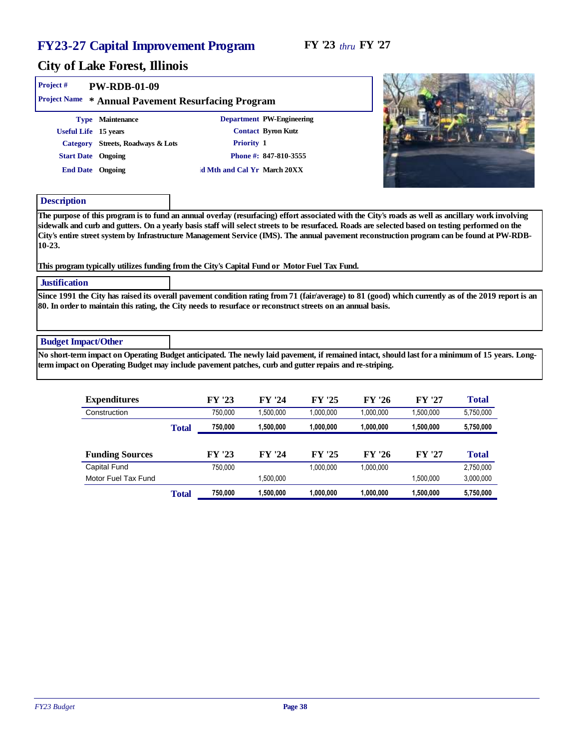#### FY '23 *thru* FY '27

#### City of Lake Forest, Illinois

| Project #                  | PW-RDB-01-09<br>Project Name * Annual Pavement Resurfacing Program                                                                                                                                                                                                                                                                                                                                                                                                                                                                                    |                                           |                                                                          |  |  |
|----------------------------|-------------------------------------------------------------------------------------------------------------------------------------------------------------------------------------------------------------------------------------------------------------------------------------------------------------------------------------------------------------------------------------------------------------------------------------------------------------------------------------------------------------------------------------------------------|-------------------------------------------|--------------------------------------------------------------------------|--|--|
|                            | Type Maintenance<br>Useful Life 15 years<br>Category Streets, Roadways & Lots<br><b>Start Date</b> Ongoing<br>End Date Ongoing                                                                                                                                                                                                                                                                                                                                                                                                                        | Priority 1<br>d Mth and Cal Yr March 20XX | Department PW-Engineering<br>Contact Byron Kutz<br>Phone #: 847-810-3555 |  |  |
| Description<br>$10-23.$    | The purpose of this program is to fund an annual overlay (resurfacing) effort associated with the City's roads as well as ancillary work involving<br>sidewalk and curb and gutters. On a yearly basis staff will select streets to be resurfaced. Roads are selected based on testing performed on the<br>City's entire street system by Infrastructure Management Service (IMS). The annual pavement reconstruction program can be found at PW-RDB-<br>This program typically utilizes funding from the City's Capital Fund or Motor Fuel Tax Fund. |                                           |                                                                          |  |  |
| <b>Justification</b>       |                                                                                                                                                                                                                                                                                                                                                                                                                                                                                                                                                       |                                           |                                                                          |  |  |
|                            | Since 1991 the City has raised its overall pavement condition rating from 71 (fair/average) to 81 (good) which currently as of the 2019 report is an<br>80. In order to maintain this rating, the City needs to resurface or reconstruct streets on an annual basis.                                                                                                                                                                                                                                                                                  |                                           |                                                                          |  |  |
| <b>Budget Impact/Other</b> |                                                                                                                                                                                                                                                                                                                                                                                                                                                                                                                                                       |                                           |                                                                          |  |  |
|                            | No short-term impact on Operating Budget anticipated. The newly laid pavement, if remained intact, should last for a minimum of 15 years. Long-                                                                                                                                                                                                                                                                                                                                                                                                       |                                           |                                                                          |  |  |

term impact on Operating Budget may include pavement patches, curb and gutter repairs and re-striping.

| Expenditures           |       | FY '23  | FY '24    | FY '25    | FY '26    | FY '27    | Total     |
|------------------------|-------|---------|-----------|-----------|-----------|-----------|-----------|
| Construction           |       | 750,000 | ,500,000  | 1,000,000 | 1,000,000 | ,500,000  | 5,750,000 |
|                        | Total | 750,000 | 1,500,000 | 1,000,000 | 1,000,000 | 1,500,000 | 5,750,000 |
|                        |       |         |           |           |           |           |           |
| <b>Funding Sources</b> |       | FY '23  | FY '24    | FY '25    | FY '26    | FY '27    | Total     |
| Capital Fund           |       | 750,000 |           | 1.000.000 | 1,000,000 |           | 2,750,000 |
| Motor Fuel Tax Fund    |       |         | 1,500,000 |           |           | 1,500,000 | 3,000,000 |
|                        | Total | 750.000 | 1,500,000 | 1.000.000 | 1.000.000 | 1,500,000 | 5,750,000 |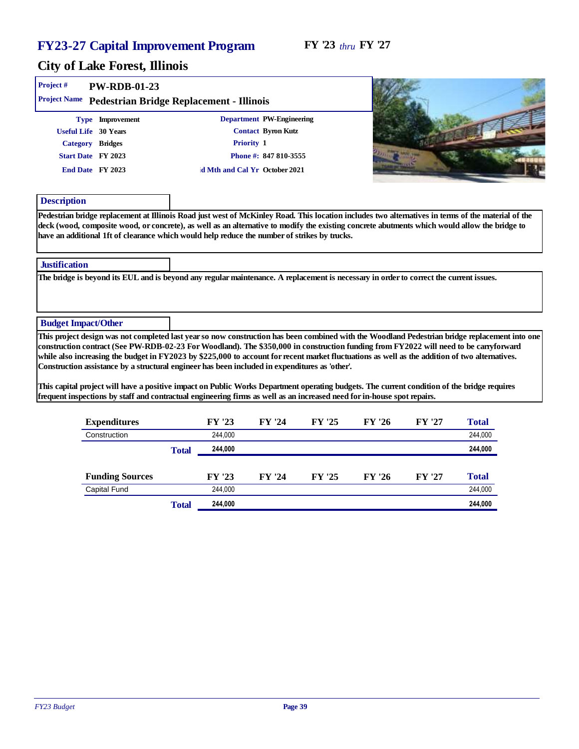#### FY '23 *thru* FY '27

| Project #<br>PW-RDB-01-23                                                                                                                                                                                                                                                                                                                                                                           |              |         |                               |        |        |        |         |  |
|-----------------------------------------------------------------------------------------------------------------------------------------------------------------------------------------------------------------------------------------------------------------------------------------------------------------------------------------------------------------------------------------------------|--------------|---------|-------------------------------|--------|--------|--------|---------|--|
| Project Name Pedestrian Bridge Replacement - Illinois                                                                                                                                                                                                                                                                                                                                               |              |         |                               |        |        |        |         |  |
| Type Improvement                                                                                                                                                                                                                                                                                                                                                                                    |              |         | Department PW-Engineering     |        |        |        |         |  |
| Useful Life 30 Years                                                                                                                                                                                                                                                                                                                                                                                |              |         | Contact Byron Kutz            |        |        |        |         |  |
| Category Bridges                                                                                                                                                                                                                                                                                                                                                                                    |              |         | Priority 1                    |        |        |        |         |  |
| Start Date FY 2023                                                                                                                                                                                                                                                                                                                                                                                  |              |         | Phone #: 847 810-3555         |        |        |        |         |  |
| End Date FY 2023                                                                                                                                                                                                                                                                                                                                                                                    |              |         | d Mth and Cal Yr October 2021 |        |        |        |         |  |
| Description                                                                                                                                                                                                                                                                                                                                                                                         |              |         |                               |        |        |        |         |  |
| Pedestrian bridge replacement at Illinois Road just west of McKinley Road. This location includes two alternatives in terms of the material of the<br>deck (wood, composite wood, or concrete), as well as an alternative to modify the existing concrete abutments which would allow the bridge to<br>have an additional 1ft of clearance which would help reduce the number of strikes by trucks. |              |         |                               |        |        |        |         |  |
| Justification                                                                                                                                                                                                                                                                                                                                                                                       |              |         |                               |        |        |        |         |  |
| The bridge is beyond its EUL and is beyond any regular maintenance. A replacement is necessary in order to correct the current issues.                                                                                                                                                                                                                                                              |              |         |                               |        |        |        |         |  |
|                                                                                                                                                                                                                                                                                                                                                                                                     |              |         |                               |        |        |        |         |  |
|                                                                                                                                                                                                                                                                                                                                                                                                     |              |         |                               |        |        |        |         |  |
| <b>Budget Impact/Other</b>                                                                                                                                                                                                                                                                                                                                                                          |              |         |                               |        |        |        |         |  |
| This project design was not completed last year so now construction has been combined with the Woodland Pedestrian bridge replacement into one                                                                                                                                                                                                                                                      |              |         |                               |        |        |        |         |  |
| construction contract (See PW-RDB-02-23 For Woodland). The \$350,000 in construction funding from FY2022 will need to be carryforward<br>while also increasing the budget in FY2023 by \$225,000 to account for recent market fluctuations as well as the addition of two alternatives.                                                                                                             |              |         |                               |        |        |        |         |  |
| Construction assistance by a structural engineer has been included in expenditures as 'other'.                                                                                                                                                                                                                                                                                                      |              |         |                               |        |        |        |         |  |
|                                                                                                                                                                                                                                                                                                                                                                                                     |              |         |                               |        |        |        |         |  |
| This capital project will have a positive impact on Public Works Department operating budgets. The current condition of the bridge requires                                                                                                                                                                                                                                                         |              |         |                               |        |        |        |         |  |
| frequent inspections by staff and contractual engineering firms as well as an increased need for in-house spot repairs.                                                                                                                                                                                                                                                                             |              |         |                               |        |        |        |         |  |
| Expenditures                                                                                                                                                                                                                                                                                                                                                                                        |              | FY '23  | FY '24                        | FY '25 | FY '26 | FY '27 | Total   |  |
| Construction                                                                                                                                                                                                                                                                                                                                                                                        |              | 244,000 |                               |        |        |        | 244,000 |  |
|                                                                                                                                                                                                                                                                                                                                                                                                     | <b>Total</b> | 244,000 |                               |        |        |        | 244,000 |  |
| <b>Funding Sources</b>                                                                                                                                                                                                                                                                                                                                                                              |              | FY '23  | FY '24                        | FY '25 | FY '26 | FY '27 | Total   |  |
| Capital Fund                                                                                                                                                                                                                                                                                                                                                                                        |              | 244,000 |                               |        |        |        | 244,000 |  |
|                                                                                                                                                                                                                                                                                                                                                                                                     | Total        | 244,000 |                               |        |        |        | 244,000 |  |
|                                                                                                                                                                                                                                                                                                                                                                                                     |              |         |                               |        |        |        |         |  |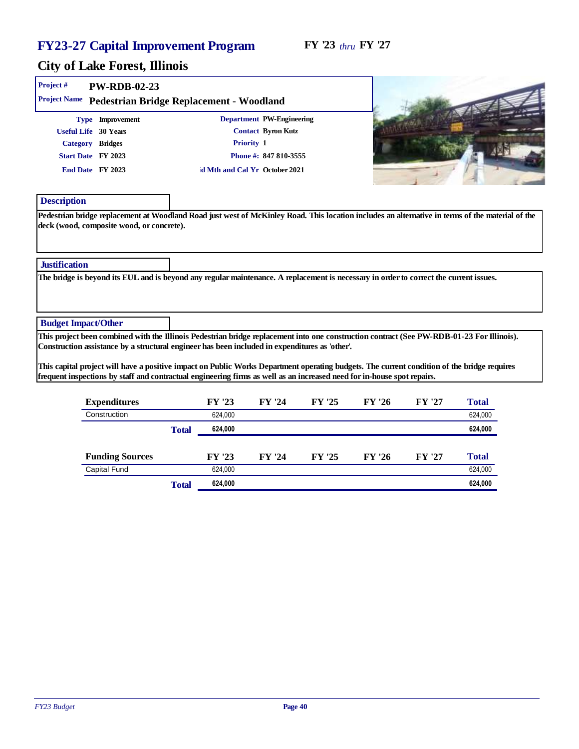| Project #                  | PW-RDB-02-23                                                                                                                                                                                                                                                                                                                                                             |              |         |                                                                                        |        |        |        |         |
|----------------------------|--------------------------------------------------------------------------------------------------------------------------------------------------------------------------------------------------------------------------------------------------------------------------------------------------------------------------------------------------------------------------|--------------|---------|----------------------------------------------------------------------------------------|--------|--------|--------|---------|
|                            | Project Name Pedestrian Bridge Replacement - Woodland                                                                                                                                                                                                                                                                                                                    |              |         |                                                                                        |        |        |        |         |
|                            | Type Improvement<br>Useful Life 30 Years<br>Category Bridges<br>Start Date FY 2023                                                                                                                                                                                                                                                                                       |              |         | Department PW-Engineering<br>Contact Byron Kutz<br>Priority 1<br>Phone #: 847 810-3555 |        |        |        |         |
|                            | End Date FY 2023                                                                                                                                                                                                                                                                                                                                                         |              |         | d Mth and Cal Yr October 2021                                                          |        |        |        |         |
| Description                |                                                                                                                                                                                                                                                                                                                                                                          |              |         |                                                                                        |        |        |        |         |
|                            | Pedestrian bridge replacement at Woodland Road just west of McKinley Road. This location includes an alternative in terms of the material of the<br>deck (wood, composite wood, or concrete).                                                                                                                                                                            |              |         |                                                                                        |        |        |        |         |
| Justification              |                                                                                                                                                                                                                                                                                                                                                                          |              |         |                                                                                        |        |        |        |         |
| <b>Budget Impact/Other</b> |                                                                                                                                                                                                                                                                                                                                                                          |              |         |                                                                                        |        |        |        |         |
|                            | This project been combined with the Illinois Pedestrian bridge replacement into one construction contract (See PW-RDB-01-23 For Illinois).                                                                                                                                                                                                                               |              |         |                                                                                        |        |        |        |         |
|                            | Construction assistance by a structural engineer has been included in expenditures as 'other'.<br>This capital project will have a positive impact on Public Works Department operating budgets. The current condition of the bridge requires<br>frequent inspections by staff and contractual engineering firms as well as an increased need for in-house spot repairs. |              |         |                                                                                        |        |        |        |         |
|                            | Expenditures                                                                                                                                                                                                                                                                                                                                                             |              | FY '23  | FY '24                                                                                 | FY '25 | FY '26 | FY '27 | Total   |
|                            | Construction                                                                                                                                                                                                                                                                                                                                                             |              | 624,000 |                                                                                        |        |        |        | 624,000 |
|                            |                                                                                                                                                                                                                                                                                                                                                                          | <b>Total</b> | 624,000 |                                                                                        |        |        |        | 624,000 |
|                            | <b>Funding Sources</b>                                                                                                                                                                                                                                                                                                                                                   |              | FY '23  | FY '24                                                                                 | FY '25 | FY '26 | FY '27 | Total   |
|                            | Capital Fund                                                                                                                                                                                                                                                                                                                                                             |              | 624,000 |                                                                                        |        |        |        | 624,000 |
|                            |                                                                                                                                                                                                                                                                                                                                                                          | Total        | 624,000 |                                                                                        |        |        |        | 624,000 |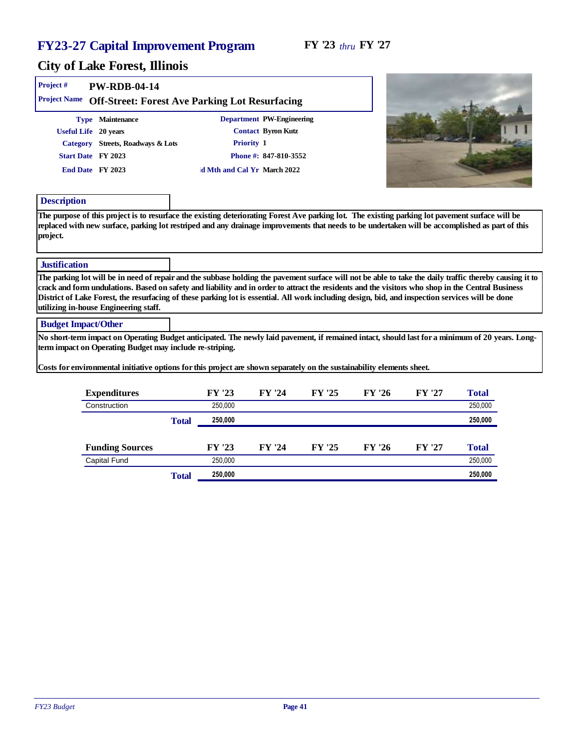#### City of Lake Forest, Illinois

| Project#                   | PW-RDB-04-14                                                                                                                                                                                                                                                                                                                                                                                                                                                                                              |                             |                           |        |        |        |         |  |
|----------------------------|-----------------------------------------------------------------------------------------------------------------------------------------------------------------------------------------------------------------------------------------------------------------------------------------------------------------------------------------------------------------------------------------------------------------------------------------------------------------------------------------------------------|-----------------------------|---------------------------|--------|--------|--------|---------|--|
| <b>Project Name</b>        | Off-Street: Forest Ave Parking Lot Resurfacing                                                                                                                                                                                                                                                                                                                                                                                                                                                            |                             |                           |        |        |        |         |  |
|                            | Type Maintenance                                                                                                                                                                                                                                                                                                                                                                                                                                                                                          |                             | Department PW-Engineering |        |        |        |         |  |
| <b>Useful Life</b>         | 20 years                                                                                                                                                                                                                                                                                                                                                                                                                                                                                                  |                             | Contact Byron Kutz        |        |        |        |         |  |
|                            | Category Streets, Roadways & Lots                                                                                                                                                                                                                                                                                                                                                                                                                                                                         | Priority 1                  |                           |        |        |        |         |  |
|                            | Start Date FY 2023                                                                                                                                                                                                                                                                                                                                                                                                                                                                                        |                             | Phone #: 847-810-3552     |        |        |        |         |  |
|                            | End Date FY 2023                                                                                                                                                                                                                                                                                                                                                                                                                                                                                          | d Mth and Cal Yr March 2022 |                           |        |        |        |         |  |
| Description                |                                                                                                                                                                                                                                                                                                                                                                                                                                                                                                           |                             |                           |        |        |        |         |  |
| project.                   | The purpose of this project is to resurface the existing deteriorating Forest Ave parking lot. The existing parking lot pavement surface will be<br>replaced with new surface, parking lot restriped and any drainage improvements that needs to be undertaken will be accomplished as part of this                                                                                                                                                                                                       |                             |                           |        |        |        |         |  |
| Justification              |                                                                                                                                                                                                                                                                                                                                                                                                                                                                                                           |                             |                           |        |        |        |         |  |
|                            | The parking lot will be in need of repair and the subbase holding the pavement surface will not be able to take the daily traffic thereby causing it to<br>crack and form undulations. Based on safety and liability and in order to attract the residents and the visitors who shop in the Central Business<br>District of Lake Forest, the resurfacing of these parking lot is essential. All work including design, bid, and inspection services will be done<br>utilizing in-house Engineering staff. |                             |                           |        |        |        |         |  |
| <b>Budget Impact/Other</b> |                                                                                                                                                                                                                                                                                                                                                                                                                                                                                                           |                             |                           |        |        |        |         |  |
|                            | No short-term impact on Operating Budget anticipated. The newly laid pavement, if remained intact, should last for a minimum of 20 years. Long-<br>term impact on Operating Budget may include re-striping.<br>Costs for environmental initiative options for this project are shown separately on the sustainability elements sheet.                                                                                                                                                                     |                             |                           |        |        |        |         |  |
|                            |                                                                                                                                                                                                                                                                                                                                                                                                                                                                                                           |                             |                           |        |        |        |         |  |
|                            | Expenditures                                                                                                                                                                                                                                                                                                                                                                                                                                                                                              | FY '23                      | FY '24                    | FY '25 | FY '26 | FY '27 | Total   |  |
|                            | Construction                                                                                                                                                                                                                                                                                                                                                                                                                                                                                              | 250,000                     |                           |        |        |        | 250,000 |  |
|                            |                                                                                                                                                                                                                                                                                                                                                                                                                                                                                                           | 250,000<br>Total            |                           |        |        |        | 250,000 |  |
|                            | <b>Funding Sources</b>                                                                                                                                                                                                                                                                                                                                                                                                                                                                                    | FY '23                      | FY '24                    | FY '25 | FY '26 | FY '27 | Total   |  |

Capital Fund 250,000 250,000 250,000 250,000 250,000 250,000 250,000 250,000 250,000 250,000 250,000 250,000 250,000 250,000 250,000 250,000 250,000 250,000 250,000 250,000 250,000 250,000 250,000 250,000 250,000 250,000 2

Total **250,000 250,000**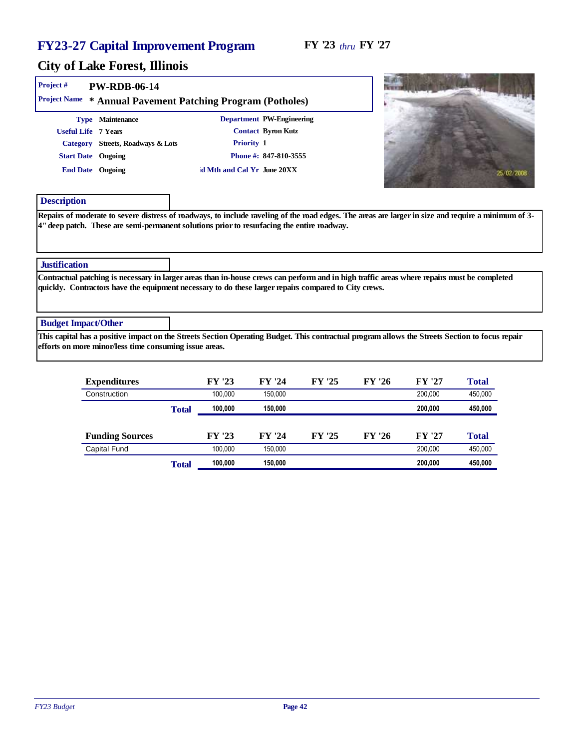| Project#<br><b>Project Name</b>                                      | PW-RDB-06-14                                           | * Annual Pavement Patching Program (Potholes) |                                                                                                      |                                                                                                                                                     |
|----------------------------------------------------------------------|--------------------------------------------------------|-----------------------------------------------|------------------------------------------------------------------------------------------------------|-----------------------------------------------------------------------------------------------------------------------------------------------------|
| Useful Life 7 Years<br><b>Start Date</b> Ongoing<br>End Date Ongoing | Type Maintenance<br>Category Streets, Roadways & Lots  | Priority 1<br>d Mth and Cal Yr June 20XX      | Department PW-Engineering<br>Contact Byron Kutz<br>Phone #: 847-810-3555                             | 25/02/2008                                                                                                                                          |
| Description                                                          |                                                        |                                               | 4" deep patch. These are semi-permanent solutions prior to resurfacing the entire roadway.           | Repairs of moderate to severe distress of roadways, to include raveling of the road edges. The areas are larger in size and require a minimum of 3- |
| <b>Justification</b>                                                 |                                                        |                                               |                                                                                                      |                                                                                                                                                     |
|                                                                      |                                                        |                                               | quickly. Contractors have the equipment necessary to do these larger repairs compared to City crews. | Contractual patching is necessary in larger areas than in-house crews can perform and in high traffic areas where repairs must be completed         |
| <b>Budget Impact/Other</b>                                           |                                                        |                                               |                                                                                                      |                                                                                                                                                     |
|                                                                      | efforts on more minor/less time consuming issue areas. |                                               |                                                                                                      | This capital has a positive impact on the Streets Section Operating Budget. This contractual program allows the Streets Section to focus repair     |

| Expenditures           |       | FY '23  | FY '24  | FY '25 | FY '26 | FY '27  | Total   |
|------------------------|-------|---------|---------|--------|--------|---------|---------|
| Construction           |       | 100.000 | 150.000 |        |        | 200.000 | 450,000 |
|                        | Total | 100,000 | 150.000 |        |        | 200.000 | 450,000 |
|                        |       |         |         |        |        |         |         |
| <b>Funding Sources</b> |       | FY '23  | FY '24  | FY '25 | FY '26 | FY '27  | Total   |
| Capital Fund           |       | 100.000 | 150.000 |        |        | 200.000 | 450,000 |
|                        | Total | 100,000 | 150,000 |        |        | 200.000 | 450,000 |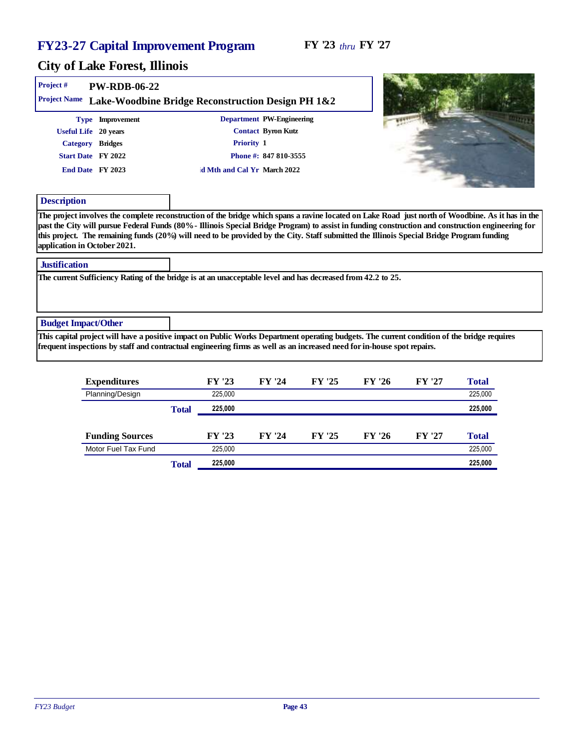| Project #                                            | <b>PW-RDB-06-22</b>  |                                                                                                                                                                                                                                                                        |                           |  |                        |
|------------------------------------------------------|----------------------|------------------------------------------------------------------------------------------------------------------------------------------------------------------------------------------------------------------------------------------------------------------------|---------------------------|--|------------------------|
| Project Name                                         |                      | Lake-Woodbine Bridge Reconstruction Design PH 1&2                                                                                                                                                                                                                      |                           |  |                        |
|                                                      | Type Improvement     |                                                                                                                                                                                                                                                                        | Department PW-Engineering |  |                        |
|                                                      | Useful Life 20 years |                                                                                                                                                                                                                                                                        | Contact Byron Kutz        |  |                        |
|                                                      | Category Bridges     | Priority 1                                                                                                                                                                                                                                                             |                           |  |                        |
|                                                      | Start Date FY 2022   |                                                                                                                                                                                                                                                                        | Phone #: 847 810-3555     |  |                        |
|                                                      | End Date FY 2023     | d Mth and Cal Yr March 2022                                                                                                                                                                                                                                            |                           |  |                        |
| Description                                          |                      |                                                                                                                                                                                                                                                                        |                           |  |                        |
| application in October 2021.<br><b>Justification</b> |                      | this project. The remaining funds (20%) will need to be provided by the City. Staff submitted the Illinois Special Bridge Program funding                                                                                                                              |                           |  |                        |
|                                                      |                      |                                                                                                                                                                                                                                                                        |                           |  |                        |
|                                                      |                      | The current Sufficiency Rating of the bridge is at an unacceptable level and has decreased from 42.2 to 25.                                                                                                                                                            |                           |  |                        |
| <b>Budget Impact/Other</b>                           |                      |                                                                                                                                                                                                                                                                        |                           |  |                        |
|                                                      |                      | This capital project will have a positive impact on Public Works Department operating budgets. The current condition of the bridge requires<br>frequent inspections by staff and contractual engineering firms as well as an increased need for in-house spot repairs. |                           |  |                        |
|                                                      | $Ema$ on diturnoo    | $\Gamma V$ '22                                                                                                                                                                                                                                                         |                           |  | $T_{\alpha\pm\alpha}1$ |

| Expenditures           |       | FY '23  | FY '24 | FY '25 | FY '26 | FY '27 | Total   |
|------------------------|-------|---------|--------|--------|--------|--------|---------|
| Planning/Design        |       | 225.000 |        |        |        |        | 225,000 |
|                        | Total | 225,000 |        |        |        |        | 225,000 |
|                        |       |         |        |        |        |        |         |
| <b>Funding Sources</b> |       | FY '23  | FY '24 | FY '25 | FY '26 | FY '27 | Total   |
| Motor Fuel Tax Fund    |       | 225.000 |        |        |        |        | 225,000 |
|                        | Total | 225,000 |        |        |        |        | 225,000 |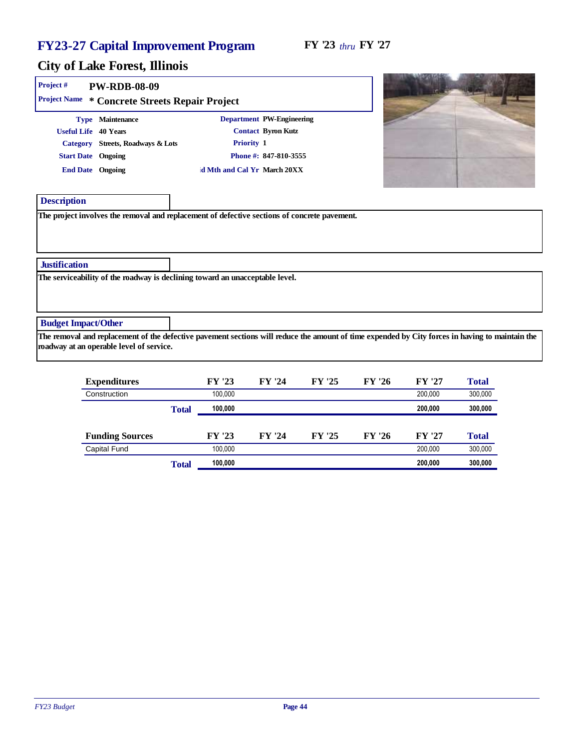#### FY '23 *thru* FY '27

| Project #                                                      | PW-RDB-08-09<br>Project Name * Concrete Streets Repair Project |                                                                                              |                                                                          |        |        |        |                                                                                                                                                 |
|----------------------------------------------------------------|----------------------------------------------------------------|----------------------------------------------------------------------------------------------|--------------------------------------------------------------------------|--------|--------|--------|-------------------------------------------------------------------------------------------------------------------------------------------------|
| Useful Life 40 Years<br>Start Date Ongoing<br>End Date Ongoing | Type Maintenance<br>Category Streets, Roadways & Lots          | Priority 1<br>d Mth and Cal Yr March 20XX                                                    | Department PW-Engineering<br>Contact Byron Kutz<br>Phone #: 847-810-3555 |        |        |        |                                                                                                                                                 |
| Description                                                    |                                                                | The project involves the removal and replacement of defective sections of concrete pavement. |                                                                          |        |        |        |                                                                                                                                                 |
| Justification                                                  |                                                                |                                                                                              |                                                                          |        |        |        |                                                                                                                                                 |
|                                                                |                                                                | The serviceability of the roadway is declining toward an unacceptable level.                 |                                                                          |        |        |        |                                                                                                                                                 |
| <b>Budget Impact/Other</b>                                     | roadway at an operable level of service.                       |                                                                                              |                                                                          |        |        |        | The removal and replacement of the defective pavement sections will reduce the amount of time expended by City forces in having to maintain the |
|                                                                | Expenditures                                                   | FY '23                                                                                       | FY '24                                                                   | FY '25 | FY '26 | FY '27 | Total                                                                                                                                           |

|       |         |            |        |                  |           | 1 otal  |
|-------|---------|------------|--------|------------------|-----------|---------|
|       | 100.000 |            |        |                  | 200.000   | 300,000 |
| Total | 100.000 |            |        |                  | 200,000   | 300,000 |
|       | FY '23  | FY '24     | FY '25 | FY '26           | FY '27    | Total   |
|       | 100.000 |            |        |                  | 200.000   | 300,000 |
| Total | 100,000 |            |        |                  | 200,000   | 300,000 |
|       |         | гт<br>- 40 | ГI 47  | гı<br>$\angle$ . | гт<br>-40 | FI 41   |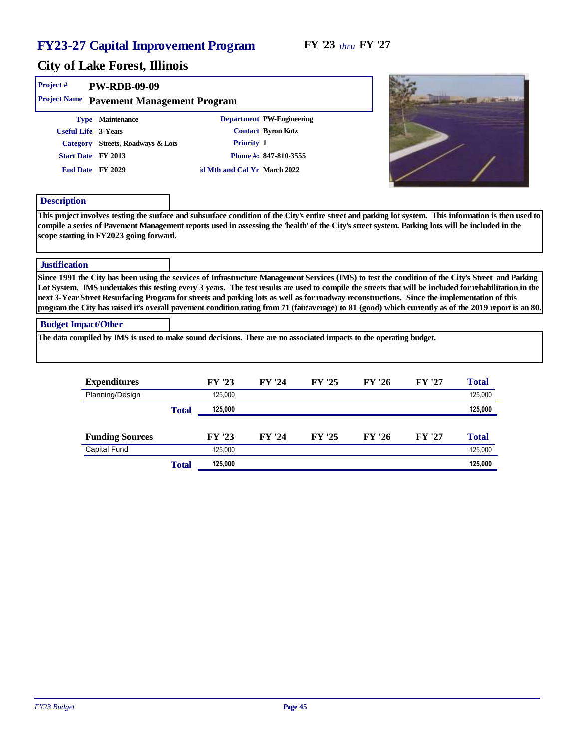| Project #                  | <b>PW-RDB-09-09</b>                                                                                                    |                                                                                                                                                                                                                                                                                                                                                                                                                                                                                                                                                                                                                         |                                                                          |        |       |
|----------------------------|------------------------------------------------------------------------------------------------------------------------|-------------------------------------------------------------------------------------------------------------------------------------------------------------------------------------------------------------------------------------------------------------------------------------------------------------------------------------------------------------------------------------------------------------------------------------------------------------------------------------------------------------------------------------------------------------------------------------------------------------------------|--------------------------------------------------------------------------|--------|-------|
| <b>Project Name</b>        | Pavement Management Program                                                                                            |                                                                                                                                                                                                                                                                                                                                                                                                                                                                                                                                                                                                                         |                                                                          |        |       |
|                            | Type Maintenance<br>Useful Life 3-Years<br>Category Streets, Roadways & Lots<br>Start Date FY 2013<br>End Date FY 2029 | Priority 1<br>d Mth and Cal Yr March 2022                                                                                                                                                                                                                                                                                                                                                                                                                                                                                                                                                                               | Department PW-Engineering<br>Contact Byron Kutz<br>Phone #: 847-810-3555 |        |       |
| Description                | scope starting in FY2023 going forward.                                                                                | This project involves testing the surface and subsurface condition of the City's entire street and parking lot system. This information is then used to<br>compile a series of Pavement Management reports used in assessing the 'health' of the City's street system. Parking lots will be included in the                                                                                                                                                                                                                                                                                                             |                                                                          |        |       |
| Justification              |                                                                                                                        |                                                                                                                                                                                                                                                                                                                                                                                                                                                                                                                                                                                                                         |                                                                          |        |       |
|                            |                                                                                                                        | Since 1991 the City has been using the services of Infrastructure Management Services (IMS) to test the condition of the City's Street and Parking<br>Lot System. IMS undertakes this testing every 3 years. The test results are used to compile the streets that will be included for rehabilitation in the<br>next 3-Year Street Resurfacing Program for streets and parking lots as well as for roadway reconstructions. Since the implementation of this<br>program the City has raised it's overall pavement condition rating from 71 (fair/average) to 81 (good) which currently as of the 2019 report is an 80. |                                                                          |        |       |
| <b>Budget Impact/Other</b> |                                                                                                                        | The data compiled by IMS is used to make sound decisions. There are no associated impacts to the operating budget.                                                                                                                                                                                                                                                                                                                                                                                                                                                                                                      |                                                                          |        |       |
|                            | Expenditures                                                                                                           | FY '23                                                                                                                                                                                                                                                                                                                                                                                                                                                                                                                                                                                                                  | FY '24                                                                   | FY '26 | Total |

| Expenditures           |       | FY '23  | FY '24 | FY '25 | FY '26 | FY '27 | Total   |
|------------------------|-------|---------|--------|--------|--------|--------|---------|
| Planning/Design        |       | 125.000 |        |        |        |        | 125,000 |
|                        | Total | 125.000 |        |        |        |        | 125,000 |
|                        |       |         |        |        |        |        |         |
| <b>Funding Sources</b> |       | FY '23  | FY '24 | FY '25 | FY '26 | FY '27 | Total   |
| Capital Fund           |       | 125.000 |        |        |        |        | 125,000 |
|                        | Total | 125,000 |        |        |        |        | 125,000 |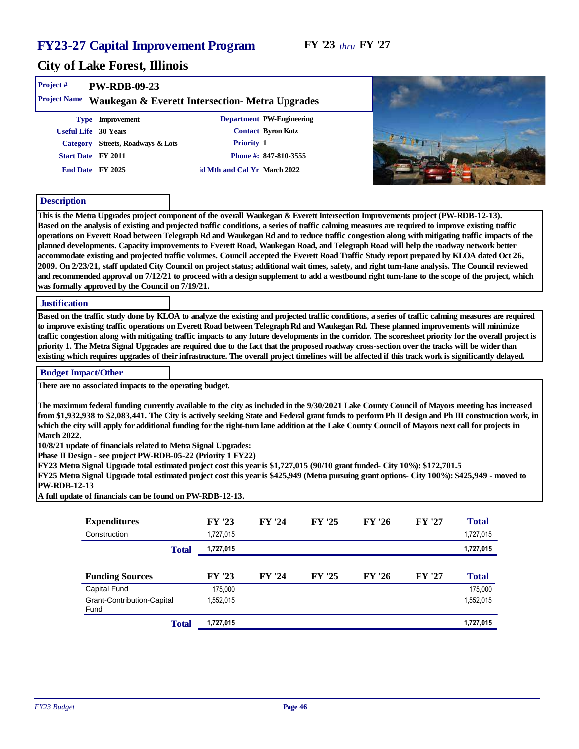| Project#<br>PW-RDB-09-23                                                                                                                                                                                                                                                                               |           |                             |        |        |        |           |  |
|--------------------------------------------------------------------------------------------------------------------------------------------------------------------------------------------------------------------------------------------------------------------------------------------------------|-----------|-----------------------------|--------|--------|--------|-----------|--|
| Project Name Waukegan & Everett Intersection- Metra Upgrades                                                                                                                                                                                                                                           |           |                             |        |        |        |           |  |
| Type Improvement                                                                                                                                                                                                                                                                                       |           | Department PW-Engineering   |        |        |        |           |  |
| Useful Life 30 Years                                                                                                                                                                                                                                                                                   |           | Contact Byron Kutz          |        |        |        |           |  |
| Category Streets, Roadways & Lots                                                                                                                                                                                                                                                                      |           | Priority 1                  |        |        |        |           |  |
| Start Date FY 2011                                                                                                                                                                                                                                                                                     |           | Phone #: 847-810-3555       |        |        |        |           |  |
| End Date FY 2025                                                                                                                                                                                                                                                                                       |           | d Mth and Cal Yr March 2022 |        |        |        |           |  |
|                                                                                                                                                                                                                                                                                                        |           |                             |        |        |        |           |  |
| Description                                                                                                                                                                                                                                                                                            |           |                             |        |        |        |           |  |
| This is the Metra Upgrades project component of the overall Waukegan & Everett Intersection Improvements project (PW-RDB-12-13).                                                                                                                                                                       |           |                             |        |        |        |           |  |
| Based on the analysis of existing and projected traffic conditions, a series of traffic calming measures are required to improve existing traffic                                                                                                                                                      |           |                             |        |        |        |           |  |
| operations on Everett Road between Telegraph Rd and Waukegan Rd and to reduce traffic congestion along with mitigating traffic impacts of the                                                                                                                                                          |           |                             |        |        |        |           |  |
| planned developments. Capacity improvements to Everett Road, Waukegan Road, and Telegraph Road will help the roadway network better                                                                                                                                                                    |           |                             |        |        |        |           |  |
| accommodate existing and projected traffic volumes. Council accepted the Everett Road Traffic Study report prepared by KLOA dated Oct 26,<br>2009. On 2/23/21, staff updated City Council on project status; additional wait times, safety, and right turn-lane analysis. The Council reviewed         |           |                             |        |        |        |           |  |
| and recommended approval on 7/12/21 to proceed with a design supplement to add a westbound right turn-lane to the scope of the project, which                                                                                                                                                          |           |                             |        |        |        |           |  |
| was formally approved by the Council on 7/19/21.                                                                                                                                                                                                                                                       |           |                             |        |        |        |           |  |
| Justification                                                                                                                                                                                                                                                                                          |           |                             |        |        |        |           |  |
| Based on the traffic study done by KLOA to analyze the existing and projected traffic conditions, a series of traffic calming measures are required                                                                                                                                                    |           |                             |        |        |        |           |  |
| to improve existing traffic operations on Everett Road between Telegraph Rd and Waukegan Rd. These planned improvements will minimize                                                                                                                                                                  |           |                             |        |        |        |           |  |
| traffic congestion along with mitigating traffic impacts to any future developments in the corridor. The scoresheet priority for the overall project is                                                                                                                                                |           |                             |        |        |        |           |  |
| priority 1. The Metra Signal Upgrades are required due to the fact that the proposed roadway cross-section over the tracks will be wider than<br>existing which requires upgrades of their infrastructure. The overall project timelines will be affected if this track work is significantly delayed. |           |                             |        |        |        |           |  |
|                                                                                                                                                                                                                                                                                                        |           |                             |        |        |        |           |  |
| <b>Budget Impact/Other</b>                                                                                                                                                                                                                                                                             |           |                             |        |        |        |           |  |
| There are no associated impacts to the operating budget.                                                                                                                                                                                                                                               |           |                             |        |        |        |           |  |
| The maximum federal funding currently available to the city as included in the 9/30/2021 Lake County Council of Mayors meeting has increased                                                                                                                                                           |           |                             |        |        |        |           |  |
| from \$1,932,938 to \$2,083,441. The City is actively seeking State and Federal grant funds to perform Ph II design and Ph III construction work, in                                                                                                                                                   |           |                             |        |        |        |           |  |
| which the city will apply for additional funding for the right-turn lane addition at the Lake County Council of Mayors next call for projects in                                                                                                                                                       |           |                             |        |        |        |           |  |
| March 2022.                                                                                                                                                                                                                                                                                            |           |                             |        |        |        |           |  |
| 10/8/21 update of financials related to Metra Signal Upgrades:<br>Phase II Design - see project PW-RDB-05-22 (Priority 1 FY22)                                                                                                                                                                         |           |                             |        |        |        |           |  |
| FY23 Metra Signal Upgrade total estimated project cost this year is \$1,727,015 (90/10 grant funded- City 10%): \$172,701.5                                                                                                                                                                            |           |                             |        |        |        |           |  |
| FY25 Metra Signal Upgrade total estimated project cost this year is \$425,949 (Metra pursuing grant options- City 100%): \$425,949 - moved to                                                                                                                                                          |           |                             |        |        |        |           |  |
| PW-RDB-12-13                                                                                                                                                                                                                                                                                           |           |                             |        |        |        |           |  |
|                                                                                                                                                                                                                                                                                                        |           |                             |        |        |        |           |  |
| A full update of financials can be found on PW-RDB-12-13.                                                                                                                                                                                                                                              |           |                             |        |        |        |           |  |
| Expenditures                                                                                                                                                                                                                                                                                           | FY '23    | FY '24                      | FY '25 | FY '26 | FY '27 | Total     |  |
| Construction                                                                                                                                                                                                                                                                                           | 1,727,015 |                             |        |        |        | 1,727,015 |  |
| Total                                                                                                                                                                                                                                                                                                  | 1,727,015 |                             |        |        |        | 1,727,015 |  |
|                                                                                                                                                                                                                                                                                                        |           |                             |        |        |        |           |  |
| <b>Funding Sources</b>                                                                                                                                                                                                                                                                                 | FY '23    | FY '24                      | FY '25 | FY '26 | FY '27 | Total     |  |
| Capital Fund                                                                                                                                                                                                                                                                                           | 175,000   |                             |        |        |        | 175,000   |  |
| Grant-Contribution-Capital<br>Fund                                                                                                                                                                                                                                                                     | 1,552,015 |                             |        |        |        | 1,552,015 |  |
| Total                                                                                                                                                                                                                                                                                                  | 1,727,015 |                             |        |        |        | 1,727,015 |  |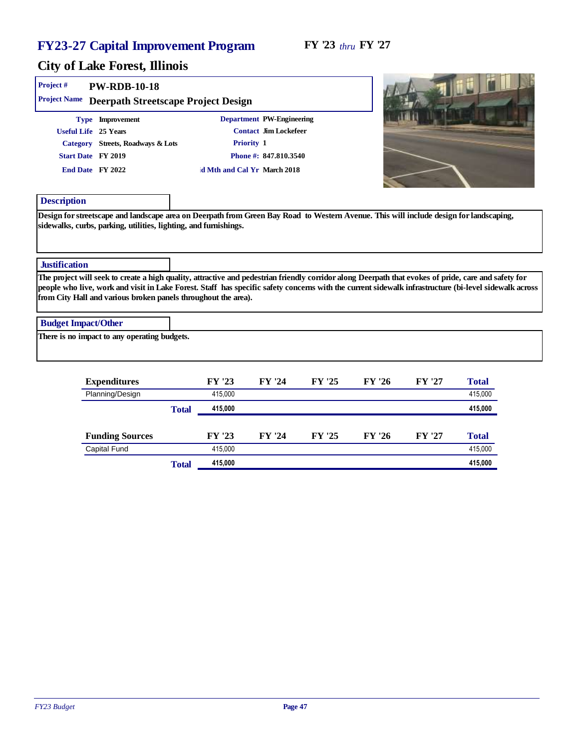| Project #<br>Project Name  | <b>PW-RDB-10-18</b>                          |                                                                                                                                                                                                                                                                                                                                                                                 |                       |        |        |        |         |
|----------------------------|----------------------------------------------|---------------------------------------------------------------------------------------------------------------------------------------------------------------------------------------------------------------------------------------------------------------------------------------------------------------------------------------------------------------------------------|-----------------------|--------|--------|--------|---------|
|                            | Type Improvement                             | Deerpath Streetscape Project Design<br>Department PW-Engineering                                                                                                                                                                                                                                                                                                                |                       |        |        |        |         |
|                            | Useful Life 25 Years                         |                                                                                                                                                                                                                                                                                                                                                                                 | Contact Jim Lockefeer |        |        |        |         |
|                            | Category Streets, Roadways & Lots            | Priority 1                                                                                                                                                                                                                                                                                                                                                                      |                       |        |        |        |         |
|                            | Start Date FY 2019                           |                                                                                                                                                                                                                                                                                                                                                                                 | Phone #: 847.810.3540 |        |        |        |         |
|                            | End Date FY 2022                             | d Mth and Cal Yr March 2018                                                                                                                                                                                                                                                                                                                                                     |                       |        |        |        |         |
|                            |                                              |                                                                                                                                                                                                                                                                                                                                                                                 |                       |        |        |        |         |
| Description                |                                              |                                                                                                                                                                                                                                                                                                                                                                                 |                       |        |        |        |         |
| <b>Justification</b>       |                                              |                                                                                                                                                                                                                                                                                                                                                                                 |                       |        |        |        |         |
|                            |                                              | The project will seek to create a high quality, attractive and pedestrian friendly corridor along Deerpath that evokes of pride, care and safety for<br>people who live, work and visit in Lake Forest. Staff has specific safety concerns with the current sidewalk infrastructure (bi-level sidewalk across<br>from City Hall and various broken panels throughout the area). |                       |        |        |        |         |
| <b>Budget Impact/Other</b> |                                              |                                                                                                                                                                                                                                                                                                                                                                                 |                       |        |        |        |         |
|                            | There is no impact to any operating budgets. |                                                                                                                                                                                                                                                                                                                                                                                 |                       |        |        |        |         |
|                            | Expenditures                                 | FY '23                                                                                                                                                                                                                                                                                                                                                                          | FY '24                | FY '25 | FY '26 | FY '27 | Total   |
|                            | Planning/Design                              | 415.000                                                                                                                                                                                                                                                                                                                                                                         |                       |        |        |        | 415.000 |

|                        | Total | 415,000 |        |        |        |        | 415,000 |
|------------------------|-------|---------|--------|--------|--------|--------|---------|
|                        |       |         |        |        |        |        |         |
| <b>Funding Sources</b> |       | FY '23  | FY '24 | FY '25 | FY '26 | FY '27 | Total   |
| <b>Capital Fund</b>    |       | 415.000 |        |        |        |        | 415,000 |
|                        | Total | 415,000 |        |        |        |        | 415,000 |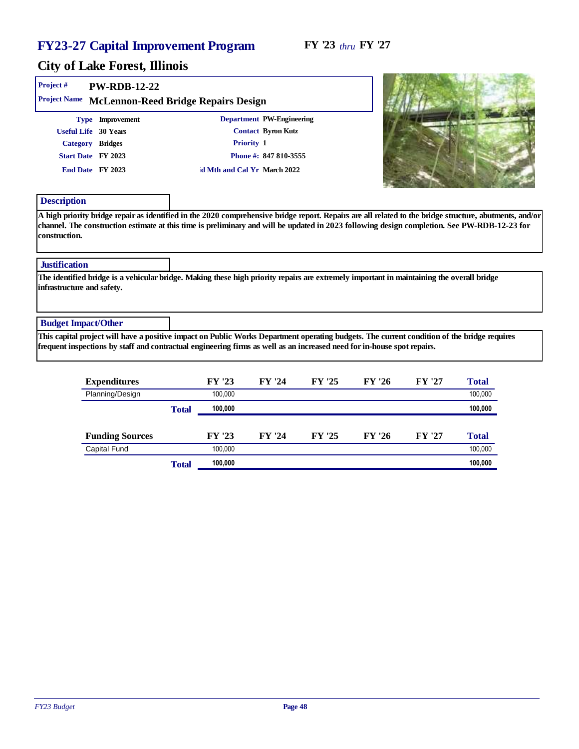#### FY '23 *thru* FY '27

an an ann an

Y PILL

**CONTRACTOR** 

| Project#<br>Project Name              | <b>PW-RDB-12-22</b>                      | McLennon-Reed Bridge Repairs Design                                                                                                                                                                                                                                    |                                                 |        |        |        |       |
|---------------------------------------|------------------------------------------|------------------------------------------------------------------------------------------------------------------------------------------------------------------------------------------------------------------------------------------------------------------------|-------------------------------------------------|--------|--------|--------|-------|
|                                       | Type Improvement<br>Useful Life 30 Years |                                                                                                                                                                                                                                                                        | Department PW-Engineering<br>Contact Byron Kutz |        |        |        |       |
|                                       | Category Bridges                         | Priority 1                                                                                                                                                                                                                                                             |                                                 |        |        |        |       |
|                                       | Start Date FY 2023                       |                                                                                                                                                                                                                                                                        | Phone #: 847 810-3555                           |        |        |        |       |
|                                       | End Date FY 2023                         | d Mth and Cal Yr March 2022                                                                                                                                                                                                                                            |                                                 |        |        |        |       |
| Description                           |                                          |                                                                                                                                                                                                                                                                        |                                                 |        |        |        |       |
| construction.<br><b>Justification</b> |                                          | channel. The construction estimate at this time is preliminary and will be updated in 2023 following design completion. See PW-RDB-12-23 for                                                                                                                           |                                                 |        |        |        |       |
| infrastructure and safety.            |                                          | The identified bridge is a vehicular bridge. Making these high priority repairs are extremely important in maintaining the overall bridge                                                                                                                              |                                                 |        |        |        |       |
| <b>Budget Impact/Other</b>            |                                          |                                                                                                                                                                                                                                                                        |                                                 |        |        |        |       |
|                                       |                                          | This capital project will have a positive impact on Public Works Department operating budgets. The current condition of the bridge requires<br>frequent inspections by staff and contractual engineering firms as well as an increased need for in-house spot repairs. |                                                 |        |        |        |       |
|                                       | Expenditures                             | FY '23                                                                                                                                                                                                                                                                 | FY '24                                          | FY '25 | FY '26 | FY '27 | Total |

| Expenditures           |       | FY 25   | FY 24  | FY 25  | <b>FY 26</b> | FYZI   | 1 otal  |
|------------------------|-------|---------|--------|--------|--------------|--------|---------|
| Planning/Design        |       | 100.000 |        |        |              |        | 100,000 |
|                        | Total | 100,000 |        |        |              |        | 100,000 |
|                        |       |         |        |        |              |        |         |
| <b>Funding Sources</b> |       | FY '23  | FY '24 | FY '25 | FY '26       | FY '27 | Total   |
| Capital Fund           |       | 100.000 |        |        |              |        | 100,000 |
|                        | Total | 100,000 |        |        |              |        | 100,000 |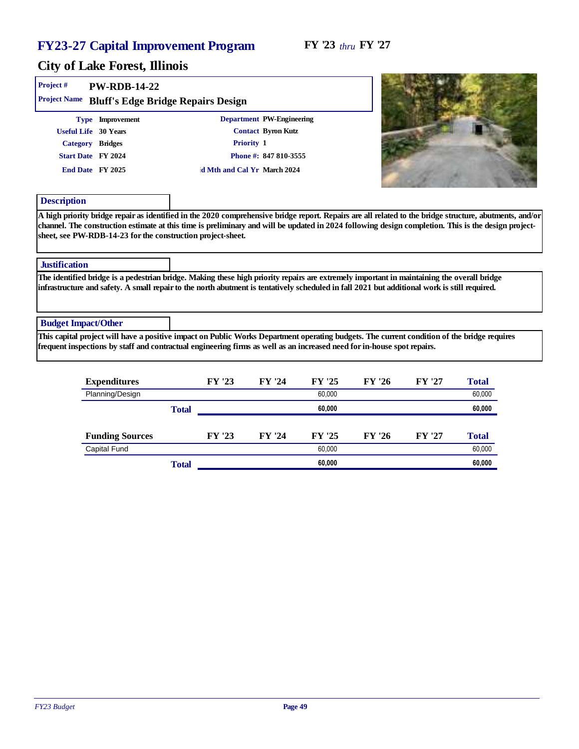#### FY '23 *thru* FY '27

| Project#                   | <b>PW-RDB-14-22</b>                                         |                                                                                                                                                                                                                                                                                            |                           |        |       |
|----------------------------|-------------------------------------------------------------|--------------------------------------------------------------------------------------------------------------------------------------------------------------------------------------------------------------------------------------------------------------------------------------------|---------------------------|--------|-------|
| Project Name               | Bluff's Edge Bridge Repairs Design                          |                                                                                                                                                                                                                                                                                            |                           |        |       |
|                            | Type Improvement                                            |                                                                                                                                                                                                                                                                                            | Department PW-Engineering |        |       |
|                            | Useful Life 30 Years                                        |                                                                                                                                                                                                                                                                                            | Contact Byron Kutz        |        |       |
|                            | Category Bridges                                            | Priority 1                                                                                                                                                                                                                                                                                 |                           |        |       |
|                            | Start Date FY 2024                                          |                                                                                                                                                                                                                                                                                            | Phone #: 847 810-3555     |        |       |
|                            | End Date FY 2025                                            | d Mth and Cal Yr March 2024                                                                                                                                                                                                                                                                |                           |        |       |
| Description                |                                                             |                                                                                                                                                                                                                                                                                            |                           |        |       |
| <b>Justification</b>       | sheet, see PW-RDB-14-23 for the construction project-sheet. |                                                                                                                                                                                                                                                                                            |                           |        |       |
|                            |                                                             | The identified bridge is a pedestrian bridge. Making these high priority repairs are extremely important in maintaining the overall bridge<br>infrastructure and safety. A small repair to the north abutment is tentatively scheduled in fall 2021 but additional work is still required. |                           |        |       |
| <b>Budget Impact/Other</b> |                                                             |                                                                                                                                                                                                                                                                                            |                           |        |       |
|                            |                                                             | This capital project will have a positive impact on Public Works Department operating budgets. The current condition of the bridge requires<br>frequent inspections by staff and contractual engineering firms as well as an increased need for in-house spot repairs.                     |                           |        |       |
|                            | Expenditures                                                | FY '23                                                                                                                                                                                                                                                                                     | FY '25<br>FY '24          | FY '26 | Total |

| Expenditures           |       | FY '23 | FY '24 | FY '25 | FY '26 | FY '27 | Total  |
|------------------------|-------|--------|--------|--------|--------|--------|--------|
| Planning/Design        |       |        |        | 60,000 |        |        | 60,000 |
|                        | Total |        |        | 60,000 |        |        | 60,000 |
|                        |       |        |        |        |        |        |        |
| <b>Funding Sources</b> |       | FY '23 | FY '24 | FY '25 | FY '26 | FY '27 | Total  |
| <b>Capital Fund</b>    |       |        |        | 60,000 |        |        | 60,000 |
|                        | Total |        |        | 60.000 |        |        | 60,000 |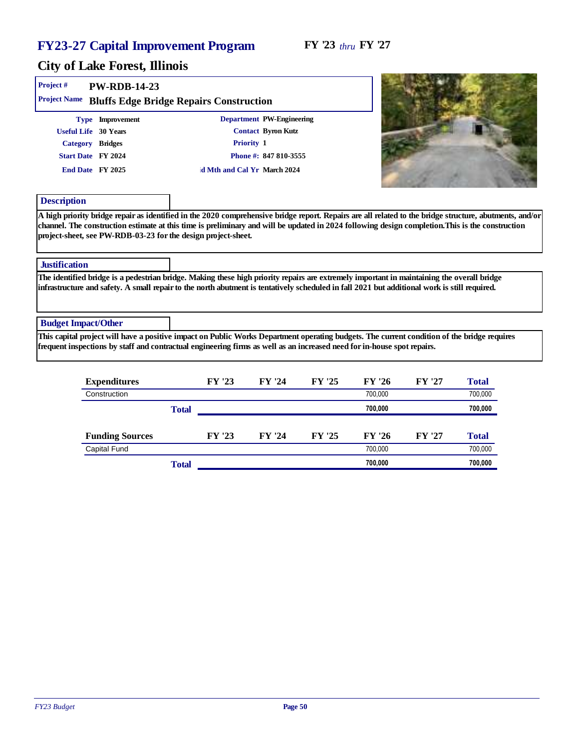#### FY '23 *thru* FY '27

| Project#<br>Project Name   | PW-RDB-14-23                                                                                           | Bluffs Edge Bridge Repairs Construction                                                                                                                                                                                                                                                                     |                                                                          |        |                         |
|----------------------------|--------------------------------------------------------------------------------------------------------|-------------------------------------------------------------------------------------------------------------------------------------------------------------------------------------------------------------------------------------------------------------------------------------------------------------|--------------------------------------------------------------------------|--------|-------------------------|
|                            | Type Improvement<br>Useful Life 30 Years<br>Category Bridges<br>Start Date FY 2024<br>End Date FY 2025 | Priority 1<br>d Mth and Cal Yr March 2024                                                                                                                                                                                                                                                                   | Department PW-Engineering<br>Contact Byron Kutz<br>Phone #: 847 810-3555 |        |                         |
| Description                |                                                                                                        |                                                                                                                                                                                                                                                                                                             |                                                                          |        |                         |
|                            | project-sheet, see PW-RDB-03-23 for the design project-sheet.                                          | A high priority bridge repair as identified in the 2020 comprehensive bridge report. Repairs are all related to the bridge structure, abutments, and/or<br>channel. The construction estimate at this time is preliminary and will be updated in 2024 following design completion. This is the construction |                                                                          |        |                         |
| Justification              |                                                                                                        |                                                                                                                                                                                                                                                                                                             |                                                                          |        |                         |
|                            |                                                                                                        | The identified bridge is a pedestrian bridge. Making these high priority repairs are extremely important in maintaining the overall bridge<br>infrastructure and safety. A small repair to the north abutment is tentatively scheduled in fall 2021 but additional work is still required.                  |                                                                          |        |                         |
| <b>Budget Impact/Other</b> |                                                                                                        |                                                                                                                                                                                                                                                                                                             |                                                                          |        |                         |
|                            |                                                                                                        | This capital project will have a positive impact on Public Works Department operating budgets. The current condition of the bridge requires<br>frequent inspections by staff and contractual engineering firms as well as an increased need for in-house spot repairs.                                      |                                                                          |        |                         |
|                            | $Ema$ on diturnoo                                                                                      | $\Gamma V$ '22                                                                                                                                                                                                                                                                                              |                                                                          | EV 104 | $T_{\alpha\beta\gamma}$ |

|       | FY '23 | FY '24 | FY '25 | FY '26  | FY '27 | Total   |
|-------|--------|--------|--------|---------|--------|---------|
|       |        |        |        | 700.000 |        | 700,000 |
| Total |        |        |        | 700,000 |        | 700,000 |
|       |        |        |        |         |        |         |
|       | FY '23 | FY '24 | FY '25 | FY '26  | FY '27 | Total   |
|       |        |        |        | 700.000 |        | 700,000 |
| Total |        |        |        | 700.000 |        | 700,000 |
|       |        |        |        |         |        |         |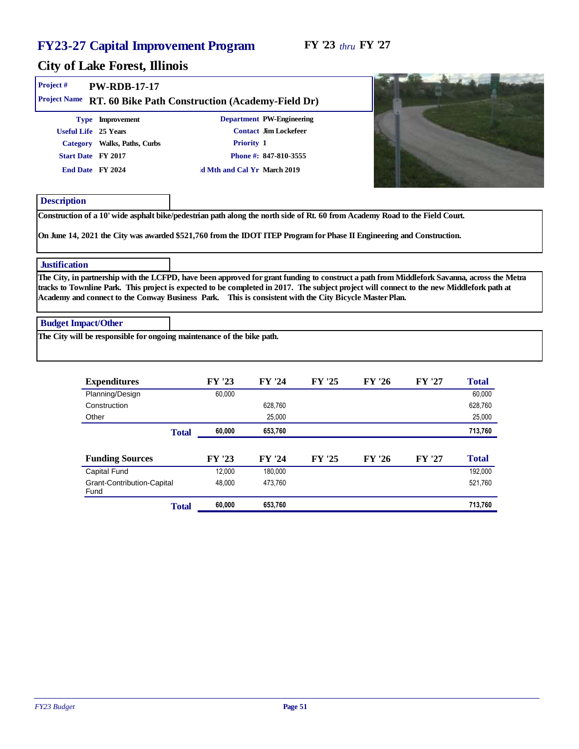| Project#                   | PW-RDB-17-17                 |                                                                                                                                                                                                                                                                                                                                                                                                    |                           |  |
|----------------------------|------------------------------|----------------------------------------------------------------------------------------------------------------------------------------------------------------------------------------------------------------------------------------------------------------------------------------------------------------------------------------------------------------------------------------------------|---------------------------|--|
|                            |                              | Project Name RT. 60 Bike Path Construction (Academy-Field Dr)                                                                                                                                                                                                                                                                                                                                      |                           |  |
|                            | Type Improvement             |                                                                                                                                                                                                                                                                                                                                                                                                    | Department PW-Engineering |  |
|                            | Useful Life 25 Years         |                                                                                                                                                                                                                                                                                                                                                                                                    | Contact Jim Lockefeer     |  |
|                            | Category Walks, Paths, Curbs | Priority 1                                                                                                                                                                                                                                                                                                                                                                                         |                           |  |
|                            | Start Date FY 2017           |                                                                                                                                                                                                                                                                                                                                                                                                    | Phone #: 847-810-3555     |  |
|                            | End Date FY 2024             | d Mth and Cal Yr March 2019                                                                                                                                                                                                                                                                                                                                                                        |                           |  |
|                            |                              |                                                                                                                                                                                                                                                                                                                                                                                                    |                           |  |
| Description                |                              |                                                                                                                                                                                                                                                                                                                                                                                                    |                           |  |
|                            |                              | Construction of a 10' wide asphalt bike/pedestrian path along the north side of Rt. 60 from Academy Road to the Field Court.                                                                                                                                                                                                                                                                       |                           |  |
|                            |                              |                                                                                                                                                                                                                                                                                                                                                                                                    |                           |  |
|                            |                              | On June 14, 2021 the City was awarded \$521,760 from the IDOT ITEP Program for Phase II Engineering and Construction.                                                                                                                                                                                                                                                                              |                           |  |
|                            |                              |                                                                                                                                                                                                                                                                                                                                                                                                    |                           |  |
| <b>Justification</b>       |                              |                                                                                                                                                                                                                                                                                                                                                                                                    |                           |  |
|                            |                              | The City, in partnership with the LCFPD, have been approved for grant funding to construct a path from Middlefork Savanna, across the Metra<br>tracks to Townline Park. This project is expected to be completed in 2017. The subject project will connect to the new Middlefork path at<br>Academy and connect to the Conway Business Park. This is consistent with the City Bicycle Master Plan. |                           |  |
|                            |                              |                                                                                                                                                                                                                                                                                                                                                                                                    |                           |  |
| <b>Budget Impact/Other</b> |                              |                                                                                                                                                                                                                                                                                                                                                                                                    |                           |  |
|                            |                              | The City will be responsible for ongoing maintenance of the bike path.                                                                                                                                                                                                                                                                                                                             |                           |  |

| Expenditures                       | FY '23 | FY '24  | FY '25 | FY '26 | FY '27 | Total   |
|------------------------------------|--------|---------|--------|--------|--------|---------|
| Planning/Design                    | 60,000 |         |        |        |        | 60,000  |
| Construction                       |        | 628,760 |        |        |        | 628,760 |
| Other                              |        | 25,000  |        |        |        | 25,000  |
| Total                              | 60,000 | 653,760 |        |        |        | 713,760 |
|                                    |        |         |        |        |        |         |
| <b>Funding Sources</b>             | FY '23 | FY '24  | FY '25 | FY '26 | FY '27 | Total   |
| Capital Fund                       | 12.000 | 180.000 |        |        |        | 192.000 |
| Grant-Contribution-Capital<br>Fund | 48.000 | 473,760 |        |        |        | 521,760 |
| Total                              | 60,000 | 653,760 |        |        |        | 713,760 |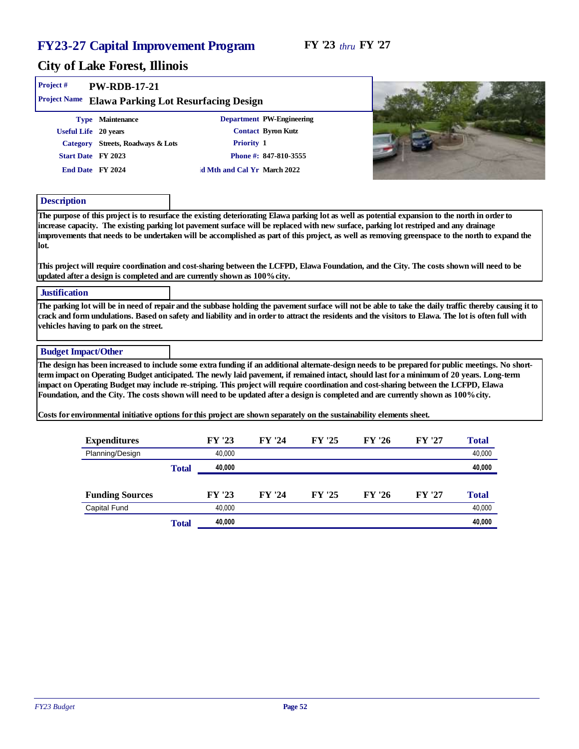| Project #<br>PW-RDB-17-21<br>Project Name Elawa Parking Lot Resurfacing Design                                                                                                                                                                                                                                                                                                                                                                                                                                                                                                                                                                                                                           |                  |                                                                                                                       |        |        |        |                  |
|----------------------------------------------------------------------------------------------------------------------------------------------------------------------------------------------------------------------------------------------------------------------------------------------------------------------------------------------------------------------------------------------------------------------------------------------------------------------------------------------------------------------------------------------------------------------------------------------------------------------------------------------------------------------------------------------------------|------------------|-----------------------------------------------------------------------------------------------------------------------|--------|--------|--------|------------------|
| Type Maintenance<br>Useful Life 20 years<br>Category Streets, Roadways & Lots<br>Start Date FY 2023<br>End Date FY 2024                                                                                                                                                                                                                                                                                                                                                                                                                                                                                                                                                                                  |                  | Department PW-Engineering<br>Contact Byron Kutz<br>Priority 1<br>Phone #: 847-810-3555<br>d Mth and Cal Yr March 2022 |        |        |        |                  |
| Description<br>The purpose of this project is to resurface the existing deteriorating Elawa parking lot as well as potential expansion to the north in order to<br>increase capacity. The existing parking lot pavement surface will be replaced with new surface, parking lot restriped and any drainage                                                                                                                                                                                                                                                                                                                                                                                                |                  |                                                                                                                       |        |        |        |                  |
| improvements that needs to be undertaken will be accomplished as part of this project, as well as removing greenspace to the north to expand the<br>lot.<br>This project will require coordination and cost-sharing between the LCFPD, Elawa Foundation, and the City. The costs shown will need to be                                                                                                                                                                                                                                                                                                                                                                                                   |                  |                                                                                                                       |        |        |        |                  |
| updated after a design is completed and are currently shown as 100% city.<br>Justification<br>The parking lot will be in need of repair and the subbase holding the pavement surface will not be able to take the daily traffic thereby causing it to<br>crack and form undulations. Based on safety and liability and in order to attract the residents and the visitors to Elawa. The lot is often full with                                                                                                                                                                                                                                                                                           |                  |                                                                                                                       |        |        |        |                  |
| vehicles having to park on the street.<br><b>Budget Impact/Other</b>                                                                                                                                                                                                                                                                                                                                                                                                                                                                                                                                                                                                                                     |                  |                                                                                                                       |        |        |        |                  |
| The design has been increased to include some extra funding if an additional alternate-design needs to be prepared for public meetings. No short-<br>term impact on Operating Budget anticipated. The newly laid pavement, if remained intact, should last for a minimum of 20 years. Long-term<br>impact on Operating Budget may include re-striping. This project will require coordination and cost-sharing between the LCFPD, Elawa<br>Foundation, and the City. The costs shown will need to be updated after a design is completed and are currently shown as 100% city.<br>Costs for environmental initiative options for this project are shown separately on the sustainability elements sheet. |                  |                                                                                                                       |        |        |        |                  |
| Expenditures                                                                                                                                                                                                                                                                                                                                                                                                                                                                                                                                                                                                                                                                                             | FY '23           | FY '24                                                                                                                | FY '25 | FY '26 | FY '27 | Total            |
| Planning/Design<br>Total                                                                                                                                                                                                                                                                                                                                                                                                                                                                                                                                                                                                                                                                                 | 40,000<br>40,000 |                                                                                                                       |        |        |        | 40,000<br>40,000 |
| <b>Funding Sources</b>                                                                                                                                                                                                                                                                                                                                                                                                                                                                                                                                                                                                                                                                                   | FY '23           | FY '24                                                                                                                | FY '25 | FY '26 | FY '27 | Total            |
| <b>Capital Fund</b><br>Total                                                                                                                                                                                                                                                                                                                                                                                                                                                                                                                                                                                                                                                                             | 40,000<br>40,000 |                                                                                                                       |        |        |        | 40,000<br>40,000 |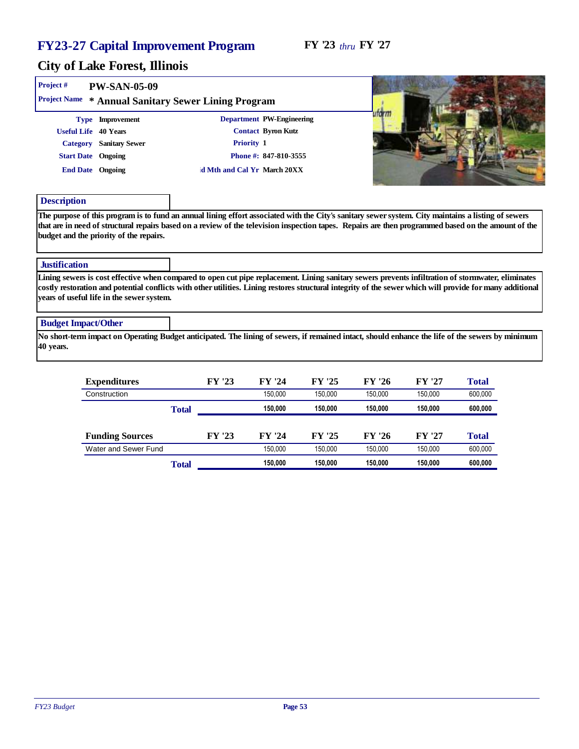#### City of Lake Forest, Illinois

| Project#                   | <b>PW-SAN-05-09</b>                                                                                                                                                                                                                                                                                                                                          |       |        |                             |         |         |         |         |  |
|----------------------------|--------------------------------------------------------------------------------------------------------------------------------------------------------------------------------------------------------------------------------------------------------------------------------------------------------------------------------------------------------------|-------|--------|-----------------------------|---------|---------|---------|---------|--|
|                            | Project Name * Annual Sanitary Sewer Lining Program                                                                                                                                                                                                                                                                                                          |       |        |                             |         |         |         |         |  |
|                            | Type Improvement                                                                                                                                                                                                                                                                                                                                             |       |        | Department PW-Engineering   |         | utarm   |         |         |  |
|                            | Useful Life 40 Years                                                                                                                                                                                                                                                                                                                                         |       |        | Contact Byron Kutz          |         |         |         |         |  |
|                            | Category Sanitary Sewer                                                                                                                                                                                                                                                                                                                                      |       |        | Priority 1                  |         |         |         |         |  |
|                            | Start Date Ongoing                                                                                                                                                                                                                                                                                                                                           |       |        | Phone #: 847-810-3555       |         |         |         |         |  |
|                            | End Date Ongoing                                                                                                                                                                                                                                                                                                                                             |       |        | d Mth and Cal Yr March 20XX |         |         |         |         |  |
| Description                |                                                                                                                                                                                                                                                                                                                                                              |       |        |                             |         |         |         |         |  |
| Justification              |                                                                                                                                                                                                                                                                                                                                                              |       |        |                             |         |         |         |         |  |
|                            | Lining sewers is cost effective when compared to open cut pipe replacement. Lining sanitary sewers prevents infiltration of stormwater, eliminates<br>costly restoration and potential conflicts with other utilities. Lining restores structural integrity of the sewer which will provide for many additional<br>years of useful life in the sewer system. |       |        |                             |         |         |         |         |  |
| <b>Budget Impact/Other</b> |                                                                                                                                                                                                                                                                                                                                                              |       |        |                             |         |         |         |         |  |
| 40 years.                  | No short-term impact on Operating Budget anticipated. The lining of sewers, if remained intact, should enhance the life of the sewers by minimum                                                                                                                                                                                                             |       |        |                             |         |         |         |         |  |
|                            | Expenditures                                                                                                                                                                                                                                                                                                                                                 |       | FY '23 | FY '24                      | FY '25  | FY '26  | FY '27  | Total   |  |
|                            | Construction                                                                                                                                                                                                                                                                                                                                                 |       |        | 150,000                     | 150,000 | 150,000 | 150,000 | 600,000 |  |
|                            |                                                                                                                                                                                                                                                                                                                                                              | Total |        | 150,000                     | 150,000 | 150,000 | 150,000 | 600,000 |  |
|                            | <b>Funding Sources</b>                                                                                                                                                                                                                                                                                                                                       |       | FY '23 | FY '24                      | FY '25  | FY '26  | FY '27  | Total   |  |
|                            | Water and Sewer Fund                                                                                                                                                                                                                                                                                                                                         |       |        | 150.000                     | 150.000 | 150.000 | 150.000 | 600.000 |  |

Total **150,000 150,000 150,000 150,000 600,000**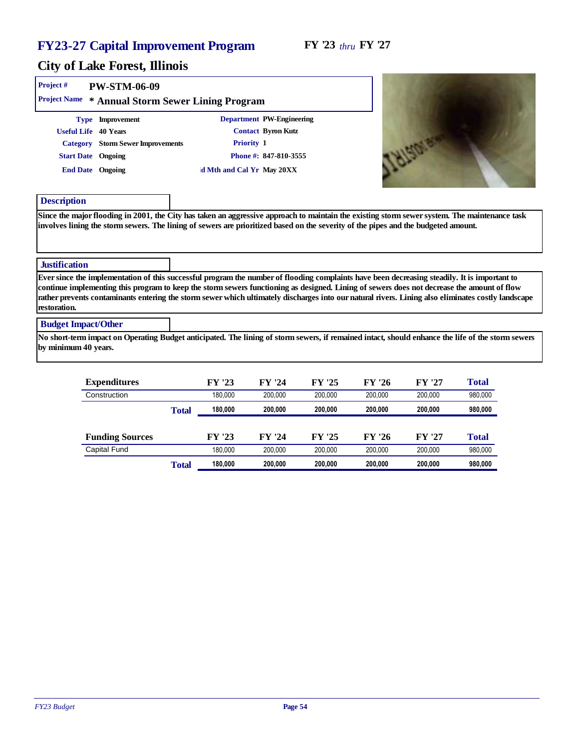sewer system. The maintenance task

#### City of Lake Forest, Illinois

| Project #<br><b>Project Name</b><br>∗ | PW-STM-06-09                    | Annual Storm Sewer Lining Program |                           |                                                                                                                                                                                                                                                                       |  |
|---------------------------------------|---------------------------------|-----------------------------------|---------------------------|-----------------------------------------------------------------------------------------------------------------------------------------------------------------------------------------------------------------------------------------------------------------------|--|
| Type                                  | Improvement                     |                                   | Department PW-Engineering |                                                                                                                                                                                                                                                                       |  |
| Useful Life 40 Years                  |                                 |                                   | Contact Byron Kutz        |                                                                                                                                                                                                                                                                       |  |
| Category                              | <b>Storm Sewer Improvements</b> | Priority 1                        |                           |                                                                                                                                                                                                                                                                       |  |
| <b>Start Date</b> Ongoing             |                                 |                                   | Phone #: 847-810-3555     |                                                                                                                                                                                                                                                                       |  |
|                                       | End Date Ongoing                | d Mth and Cal Yr May 20XX         |                           |                                                                                                                                                                                                                                                                       |  |
| Description                           |                                 |                                   |                           |                                                                                                                                                                                                                                                                       |  |
|                                       |                                 |                                   |                           | Since the major flooding in 2001, the City has taken an aggressive approach to maintain the existing storm sewer system. The ma<br>involves lining the storm sewers. The lining of sewers are prioritized based on the severity of the pipes and the budgeted amount. |  |

#### **Justification**

Ever since the implementation of this successful program the number of flooding complaints have been decreasing steadily. It is important to continue implementing this program to keep the storm sewers functioning as designed. Lining of sewers does not decrease the amount of flow rather prevents contaminants entering the storm sewer which ultimately discharges into our natural rivers. Lining also eliminates costly landscape restoration.

#### Budget Impact/Other

No short-term impact on Operating Budget anticipated. The lining of storm sewers, if remained intact, should enhance the life of the storm sewers by minimum 40 years.

| Expenditures           |       | FY '23  | FY '24  | FY '25  | FY '26  | FY '27  | Total   |
|------------------------|-------|---------|---------|---------|---------|---------|---------|
| Construction           |       | 180.000 | 200.000 | 200.000 | 200.000 | 200.000 | 980,000 |
|                        | Total | 180.000 | 200.000 | 200.000 | 200.000 | 200.000 | 980,000 |
|                        |       |         |         |         |         |         |         |
| <b>Funding Sources</b> |       | FY '23  | FY '24  | FY '25  | FY '26  | FY '27  | Total   |
| Capital Fund           |       | 180.000 | 200.000 | 200.000 | 200.000 | 200.000 | 980,000 |
|                        | Total | 180,000 | 200.000 | 200.000 | 200.000 | 200,000 | 980,000 |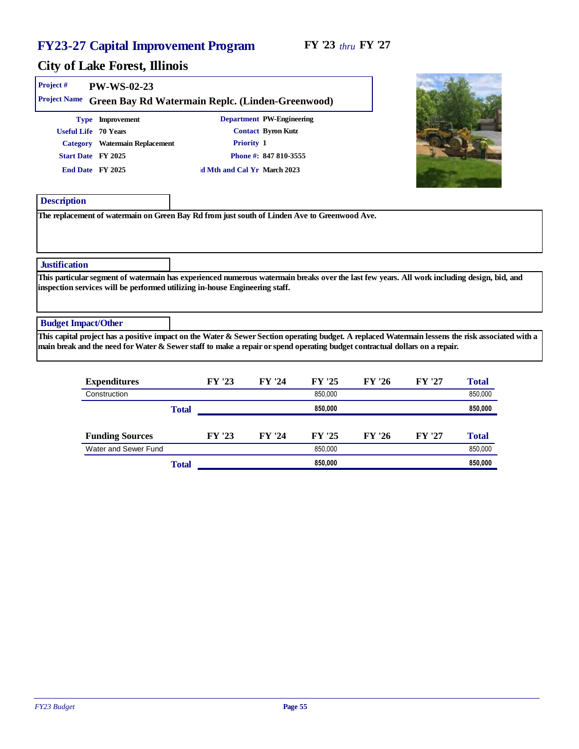| Project#                   | PW-WS-02-23                                                                 |                             |                                                                                                                             |                                                                                                                                                   |
|----------------------------|-----------------------------------------------------------------------------|-----------------------------|-----------------------------------------------------------------------------------------------------------------------------|---------------------------------------------------------------------------------------------------------------------------------------------------|
| Project Name               | Green Bay Rd Watermain Replc. (Linden-Greenwood)                            |                             |                                                                                                                             |                                                                                                                                                   |
|                            | Type Improvement                                                            |                             | Department PW-Engineering                                                                                                   |                                                                                                                                                   |
|                            | Useful Life 70 Years                                                        |                             | Contact Byron Kutz                                                                                                          |                                                                                                                                                   |
|                            | Category Watermain Replacement                                              | Priority 1                  |                                                                                                                             |                                                                                                                                                   |
|                            | Start Date FY 2025                                                          |                             | Phone #: 847 810-3555                                                                                                       |                                                                                                                                                   |
|                            | End Date FY 2025                                                            | d Mth and Cal Yr March 2023 |                                                                                                                             |                                                                                                                                                   |
| Description                |                                                                             |                             |                                                                                                                             |                                                                                                                                                   |
|                            |                                                                             |                             |                                                                                                                             |                                                                                                                                                   |
| <b>Justification</b>       |                                                                             |                             |                                                                                                                             |                                                                                                                                                   |
|                            | inspection services will be performed utilizing in-house Engineering staff. |                             |                                                                                                                             | This particular segment of watermain has experienced numerous watermain breaks over the last few years. All work including design, bid, and       |
| <b>Budget Impact/Other</b> |                                                                             |                             |                                                                                                                             |                                                                                                                                                   |
|                            |                                                                             |                             | main break and the need for Water & Sewer staff to make a repair or spend operating budget contractual dollars on a repair. | This capital project has a positive impact on the Water & Sewer Section operating budget. A replaced Watermain lessens the risk associated with a |
|                            |                                                                             |                             |                                                                                                                             |                                                                                                                                                   |

| Expenditures           |       | FY '23 | FY '24 | FY '25  | FY '26 | FY '27 | Total   |
|------------------------|-------|--------|--------|---------|--------|--------|---------|
| Construction           |       |        |        | 850,000 |        |        | 850,000 |
|                        | Total |        |        | 850,000 |        |        | 850,000 |
|                        |       |        |        |         |        |        |         |
| <b>Funding Sources</b> |       | FY '23 | FY '24 | FY '25  | FY '26 | FY '27 | Total   |
| Water and Sewer Fund   |       |        |        | 850.000 |        |        | 850,000 |
|                        | Total |        |        | 850,000 |        |        | 850,000 |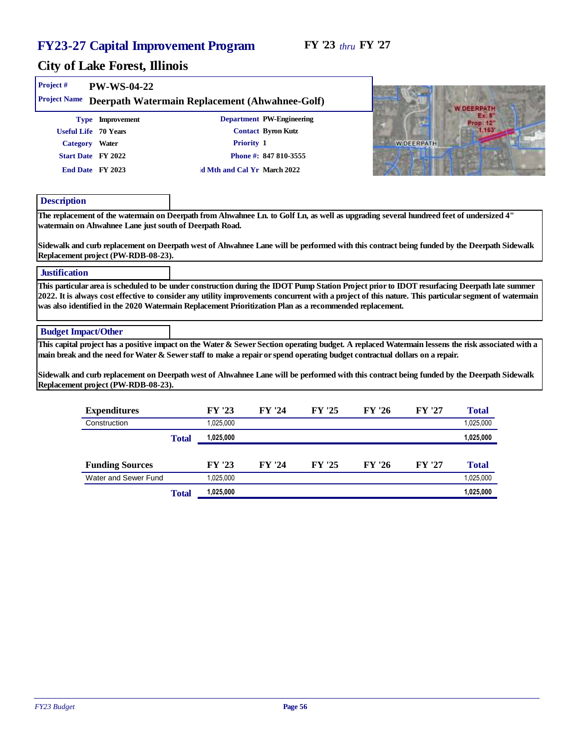| Project #     | PW-WS-04-22                                                                                                                                                                                                                                                                                                                                                                                                                                                                                                                                                                                                                                                        |       |                                  |                                                                                                                       |        |        |                   |                                                |  |
|---------------|--------------------------------------------------------------------------------------------------------------------------------------------------------------------------------------------------------------------------------------------------------------------------------------------------------------------------------------------------------------------------------------------------------------------------------------------------------------------------------------------------------------------------------------------------------------------------------------------------------------------------------------------------------------------|-------|----------------------------------|-----------------------------------------------------------------------------------------------------------------------|--------|--------|-------------------|------------------------------------------------|--|
| Description   | Project Name Deerpath Watermain Replacement (Ahwahnee-Golf)<br>Type Improvement<br>Useful Life 70 Years<br>Category Water<br>Start Date FY 2022<br>End Date FY 2023<br>The replacement of the watermain on Deerpath from Ahwahnee Ln. to Golf Ln, as well as upgrading several hundreed feet of undersized 4"                                                                                                                                                                                                                                                                                                                                                      |       |                                  | Department PW-Engineering<br>Contact Byron Kutz<br>Priority 1<br>Phone #: 847 810-3555<br>d Mth and Cal Yr March 2022 |        |        | <b>W DEERPATH</b> | <b>W DEERPATH</b><br>2433<br>rop: 12"<br>1.163 |  |
| Justification | watermain on Ahwahnee Lane just south of Deerpath Road.<br>Sidewalk and curb replacement on Deerpath west of Ahwahnee Lane will be performed with this contract being funded by the Deerpath Sidewalk<br>Replacement project (PW-RDB-08-23).<br>This particular area is scheduled to be under construction during the IDOT Pump Station Project prior to IDOT resurfacing Deerpath late summer<br>2022. It is always cost effective to consider any utility improvements concurrent with a project of this nature. This particular segment of watermain<br>was also identified in the 2020 Watermain Replacement Prioritization Plan as a recommended replacement. |       |                                  |                                                                                                                       |        |        |                   |                                                |  |
|               | <b>Budget Impact/Other</b><br>This capital project has a positive impact on the Water & Sewer Section operating budget. A replaced Watermain lessens the risk associated with a<br>main break and the need for Water & Sewer staff to make a repair or spend operating budget contractual dollars on a repair.<br>Sidewalk and curb replacement on Deerpath west of Ahwahnee Lane will be performed with this contract being funded by the Deerpath Sidewalk<br>Replacement project (PW-RDB-08-23).                                                                                                                                                                |       |                                  |                                                                                                                       |        |        |                   |                                                |  |
|               | Expenditures<br>Construction                                                                                                                                                                                                                                                                                                                                                                                                                                                                                                                                                                                                                                       | Total | FY '23<br>1,025,000<br>1,025,000 | FY '24                                                                                                                | FY '25 | FY '26 | FY '27            | Total<br>1,025,000<br>1,025,000                |  |
|               | <b>Funding Sources</b><br>Water and Sewer Fund                                                                                                                                                                                                                                                                                                                                                                                                                                                                                                                                                                                                                     |       | FY '23<br>1,025,000              | FY '24                                                                                                                | FY '25 | FY '26 | FY '27            | Total<br>1,025,000                             |  |
|               |                                                                                                                                                                                                                                                                                                                                                                                                                                                                                                                                                                                                                                                                    | Total | 1,025,000                        |                                                                                                                       |        |        |                   | 1,025,000                                      |  |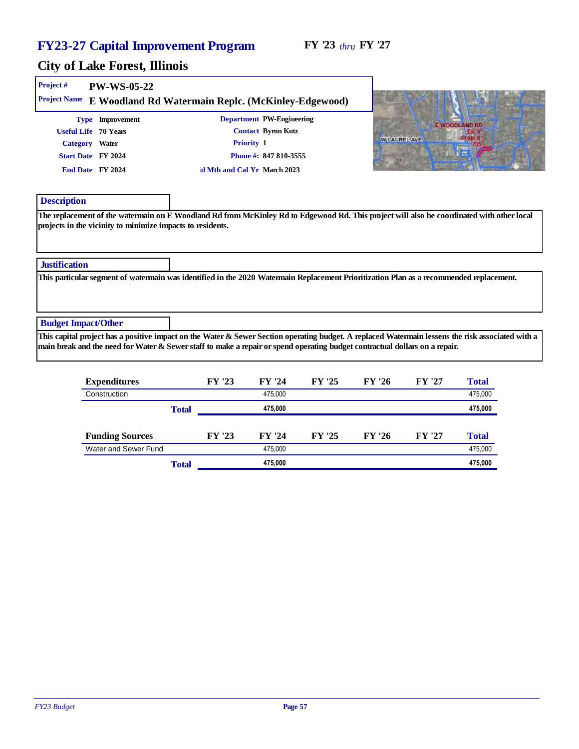| Project #                  | PW-WS-05-22                                                |                                                    |                                                 |                                                                                                                                                                                                                                                                                  |
|----------------------------|------------------------------------------------------------|----------------------------------------------------|-------------------------------------------------|----------------------------------------------------------------------------------------------------------------------------------------------------------------------------------------------------------------------------------------------------------------------------------|
| Project Name               |                                                            | E Woodland Rd Watermain Replc. (McKinley-Edgewood) |                                                 |                                                                                                                                                                                                                                                                                  |
|                            | Type Improvement<br>Useful Life 70 Years                   |                                                    | Department PW-Engineering<br>Contact Byron Kutz | <b>E WOODLAND RD</b>                                                                                                                                                                                                                                                             |
|                            | Category Water                                             | Priority 1                                         |                                                 | <b>WILAUREL AVE</b>                                                                                                                                                                                                                                                              |
|                            | Start Date FY 2024                                         |                                                    | Phone #: 847 810-3555                           |                                                                                                                                                                                                                                                                                  |
|                            | End Date FY 2024                                           | d Mth and Cal Yr March 2023                        |                                                 |                                                                                                                                                                                                                                                                                  |
| Description                |                                                            |                                                    |                                                 |                                                                                                                                                                                                                                                                                  |
|                            | projects in the vicinity to minimize impacts to residents. |                                                    |                                                 | The replacement of the watermain on E Woodland Rd from McKinley Rd to Edgewood Rd. This project will also be coordinated with other local                                                                                                                                        |
| Justification              |                                                            |                                                    |                                                 |                                                                                                                                                                                                                                                                                  |
|                            |                                                            |                                                    |                                                 | This particular segment of watermain was identified in the 2020 Watermain Replacement Prioritization Plan as a recommended replacement.                                                                                                                                          |
| <b>Budget Impact/Other</b> |                                                            |                                                    |                                                 |                                                                                                                                                                                                                                                                                  |
|                            |                                                            |                                                    |                                                 | This capital project has a positive impact on the Water & Sewer Section operating budget. A replaced Watermain lessens the risk associated with a<br>main break and the need for Water & Sewer staff to make a repair or spend operating budget contractual dollars on a repair. |
|                            |                                                            |                                                    |                                                 |                                                                                                                                                                                                                                                                                  |

| Expenditures           |       | FY '23 | FY '24  | FY '25 | FY '26 | FY '27 | Total   |
|------------------------|-------|--------|---------|--------|--------|--------|---------|
| Construction           |       |        | 475.000 |        |        |        | 475,000 |
|                        | Total |        | 475.000 |        |        |        | 475,000 |
|                        |       |        |         |        |        |        |         |
| <b>Funding Sources</b> |       | FY '23 | FY '24  | FY '25 | FY '26 | FY '27 | Total   |
| Water and Sewer Fund   |       |        | 475.000 |        |        |        | 475,000 |
|                        | Total |        | 475.000 |        |        |        | 475,000 |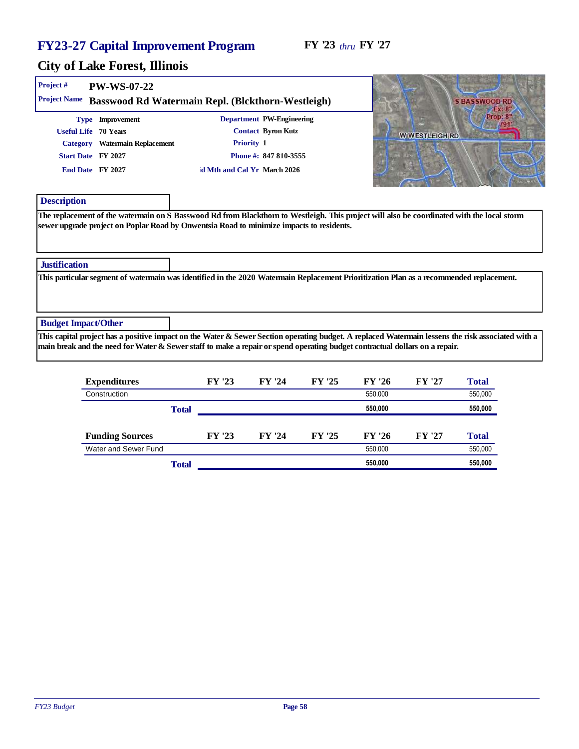| Project #                  | PW-WS-07-22                                                                                                          |                                                                                                                                                                                                                                        |                                                                                                                                                   |
|----------------------------|----------------------------------------------------------------------------------------------------------------------|----------------------------------------------------------------------------------------------------------------------------------------------------------------------------------------------------------------------------------------|---------------------------------------------------------------------------------------------------------------------------------------------------|
| <b>Project Name</b>        |                                                                                                                      | Basswood Rd Watermain Repl. (Blckthorn-Westleigh)                                                                                                                                                                                      | S RASSWOOD RE                                                                                                                                     |
|                            | Type Improvement<br>Useful Life 70 Years<br>Category Watermain Replacement<br>Start Date FY 2027<br>End Date FY 2027 | Department PW-Engineering<br>Contact Byron Kutz<br>Priority 1<br>Phone #: 847 810-3555<br>d Mth and Cal Yr March 2026                                                                                                                  | Pront 8<br><b>W WESTLEIGH RD</b>                                                                                                                  |
| Description                |                                                                                                                      | The replacement of the watermain on S Basswood Rd from Blackthorn to Westleigh. This project will also be coordinated with the local storm<br>sewer upgrade project on Poplar Road by Onwentsia Road to minimize impacts to residents. |                                                                                                                                                   |
| Justification              |                                                                                                                      |                                                                                                                                                                                                                                        |                                                                                                                                                   |
|                            |                                                                                                                      | This particular segment of watermain was identified in the 2020 Watermain Replacement Prioritization Plan as a recommended replacement.                                                                                                |                                                                                                                                                   |
| <b>Budget Impact/Other</b> |                                                                                                                      | main break and the need for Water & Sewer staff to make a repair or spend operating budget contractual dollars on a repair.                                                                                                            | This capital project has a positive impact on the Water & Sewer Section operating budget. A replaced Watermain lessens the risk associated with a |
|                            |                                                                                                                      |                                                                                                                                                                                                                                        |                                                                                                                                                   |

|       | FY '23 | FY '24 | FY '25 | FY '26  | FY '27 | Total   |
|-------|--------|--------|--------|---------|--------|---------|
|       |        |        |        | 550.000 |        | 550,000 |
| Total |        |        |        | 550,000 |        | 550,000 |
|       |        |        |        |         |        |         |
|       | FY '23 | FY '24 | FY '25 | FY '26  | FY '27 | Total   |
|       |        |        |        | 550.000 |        | 550,000 |
| Total |        |        |        | 550,000 |        | 550,000 |
|       |        |        |        |         |        |         |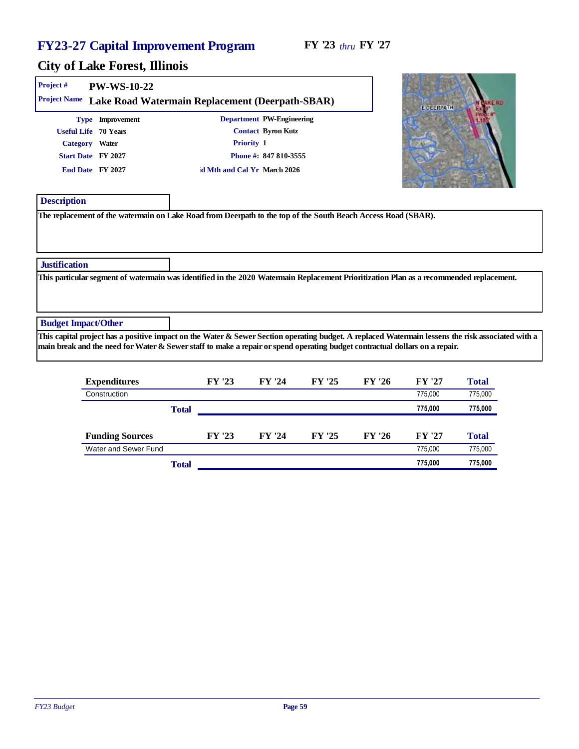**CANADA AND COMPANY OF PERSONAL PROPERTY** 

| Project #                  | <b>PW-WS-10-22</b>                                                                                   |                                                 |                                                                                                               |                                                                                                                                                                                                                                                                                  |
|----------------------------|------------------------------------------------------------------------------------------------------|-------------------------------------------------|---------------------------------------------------------------------------------------------------------------|----------------------------------------------------------------------------------------------------------------------------------------------------------------------------------------------------------------------------------------------------------------------------------|
| Project Name               |                                                                                                      | Lake Road Watermain Replacement (Deerpath-SBAR) |                                                                                                               | 51,540<br><b>LIDELRPATH</b>                                                                                                                                                                                                                                                      |
|                            | Type Improvement<br>Useful Life 70 Years<br>Category Water<br>Start Date FY 2027<br>End Date FY 2027 | Priority 1<br>d Mth and Cal Yr March 2026       | Department PW-Engineering<br>Contact Byron Kutz<br>Phone #: 847 810-3555                                      |                                                                                                                                                                                                                                                                                  |
| Description                |                                                                                                      |                                                 | The replacement of the watermain on Lake Road from Deerpath to the top of the South Beach Access Road (SBAR). |                                                                                                                                                                                                                                                                                  |
|                            |                                                                                                      |                                                 |                                                                                                               |                                                                                                                                                                                                                                                                                  |
| Justification              |                                                                                                      |                                                 |                                                                                                               |                                                                                                                                                                                                                                                                                  |
|                            |                                                                                                      |                                                 |                                                                                                               | This particular segment of watermain was identified in the 2020 Watermain Replacement Prioritization Plan as a recommended replacement.                                                                                                                                          |
| <b>Budget Impact/Other</b> |                                                                                                      |                                                 |                                                                                                               |                                                                                                                                                                                                                                                                                  |
|                            |                                                                                                      |                                                 |                                                                                                               | This capital project has a positive impact on the Water & Sewer Section operating budget. A replaced Watermain lessens the risk associated with a<br>main break and the need for Water & Sewer staff to make a repair or spend operating budget contractual dollars on a repair. |
|                            |                                                                                                      |                                                 |                                                                                                               |                                                                                                                                                                                                                                                                                  |

| Expenditures           |       | FY '23 | FY '24 | FY '25 | FY '26 | FY '27  | Total   |
|------------------------|-------|--------|--------|--------|--------|---------|---------|
| Construction           |       |        |        |        |        | 775.000 | 775,000 |
|                        | Total |        |        |        |        | 775,000 | 775,000 |
|                        |       |        |        |        |        |         |         |
| <b>Funding Sources</b> |       | FY '23 | FY '24 | FY '25 | FY '26 | FY '27  | Total   |
| Water and Sewer Fund   |       |        |        |        |        | 775.000 | 775,000 |
|                        | Total |        |        |        |        | 775.000 | 775,000 |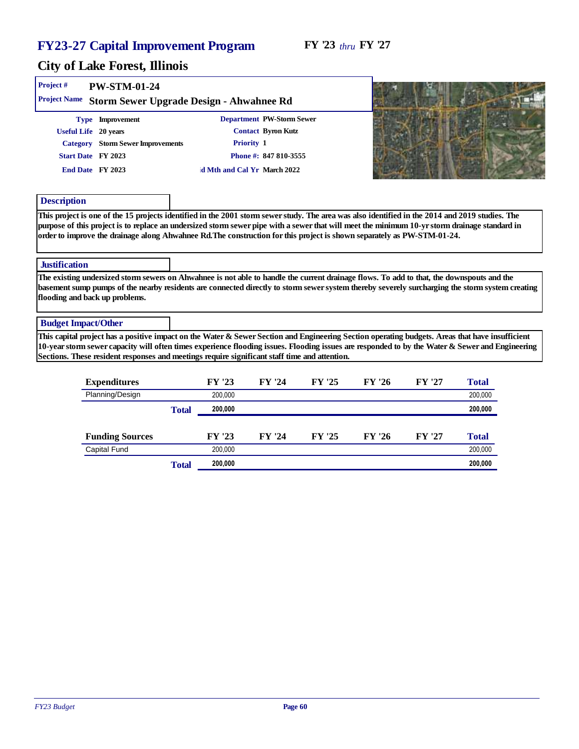|                            |                                                                                                                                                                                                                                                                                                                                                                                                                            | 200,000<br>Total            |                           |        |        | 200,000 |
|----------------------------|----------------------------------------------------------------------------------------------------------------------------------------------------------------------------------------------------------------------------------------------------------------------------------------------------------------------------------------------------------------------------------------------------------------------------|-----------------------------|---------------------------|--------|--------|---------|
|                            | Planning/Design                                                                                                                                                                                                                                                                                                                                                                                                            | 200,000                     |                           |        |        | 200.000 |
|                            | Expenditures                                                                                                                                                                                                                                                                                                                                                                                                               | FY '23                      | FY '24<br>FY '25          | FY '26 | FY '27 | Total   |
|                            | This capital project has a positive impact on the Water & Sewer Section and Engineering Section operating budgets. Areas that have insufficient<br>10-year storm sewer capacity will often times experience flooding issues. Flooding issues are responded to by the Water & Sewer and Engineering<br>Sections. These resident responses and meetings require significant staff time and attention.                        |                             |                           |        |        |         |
| <b>Budget Impact/Other</b> |                                                                                                                                                                                                                                                                                                                                                                                                                            |                             |                           |        |        |         |
|                            | The existing undersized storm sewers on Ahwahnee is not able to handle the current drainage flows. To add to that, the downspouts and the<br>basement sump pumps of the nearby residents are connected directly to storm sewer system thereby severely surcharging the storm system creating<br>flooding and back up problems.                                                                                             |                             |                           |        |        |         |
| Justification              |                                                                                                                                                                                                                                                                                                                                                                                                                            |                             |                           |        |        |         |
|                            | This project is one of the 15 projects identified in the 2001 storm sewer study. The area was also identified in the 2014 and 2019 studies. The<br>purpose of this project is to replace an undersized storm sewer pipe with a sewer that will meet the minimum 10-yr storm drainage standard in<br>order to improve the drainage along Ahwahnee Rd.The construction for this project is shown separately as PW-STM-01-24. |                             |                           |        |        |         |
| Description                |                                                                                                                                                                                                                                                                                                                                                                                                                            |                             |                           |        |        |         |
|                            |                                                                                                                                                                                                                                                                                                                                                                                                                            |                             |                           |        |        |         |
|                            | End Date FY 2023                                                                                                                                                                                                                                                                                                                                                                                                           | d Mth and Cal Yr March 2022 |                           |        |        |         |
|                            | Category Storm Sewer Improvements<br>Start Date FY 2023                                                                                                                                                                                                                                                                                                                                                                    | Priority 1                  | Phone #: 847 810-3555     |        |        |         |
|                            | Useful Life 20 years                                                                                                                                                                                                                                                                                                                                                                                                       |                             | Contact Byron Kutz        |        |        |         |
|                            | Type Improvement                                                                                                                                                                                                                                                                                                                                                                                                           |                             | Department PW-Storm Sewer |        |        |         |
| Project#                   | PW-STM-01-24<br>Project Name Storm Sewer Upgrade Design - Ahwahnee Rd                                                                                                                                                                                                                                                                                                                                                      |                             |                           |        |        |         |

| <b>Funding Sources</b> |       | 23<br>EV | '24<br><b>EV</b> | FY '25 | 126<br>FY. | FУ | $\tau_{\text{otal}}$ |
|------------------------|-------|----------|------------------|--------|------------|----|----------------------|
| Capital Fund           |       | 200.000  |                  |        |            |    | 200,000              |
|                        | Total | 200.000  |                  |        |            |    | 200,000              |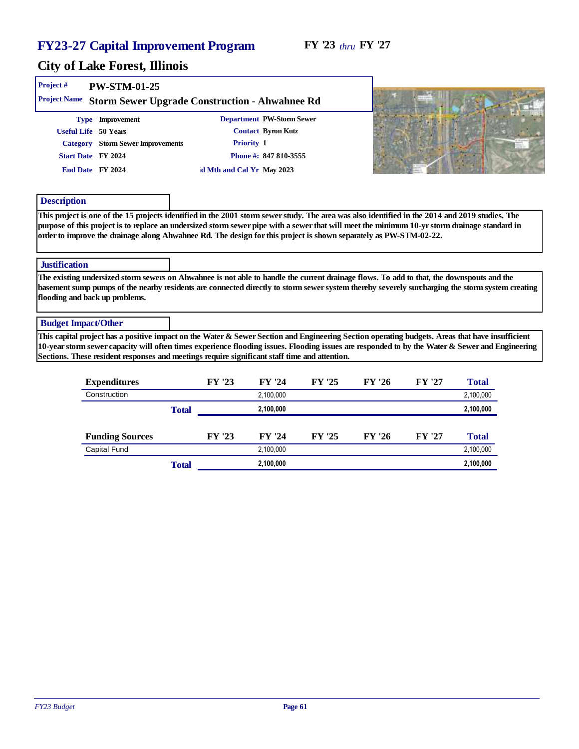#### City of Lake Forest, Illinois

| Project #<br>Project Name | $PW-STM-01-25$                    | Storm Sewer Upgrade Construction - Ahwahnee Rd |
|---------------------------|-----------------------------------|------------------------------------------------|
|                           | Type Improvement                  | Department PW-Storm Sewer                      |
| Useful Life 50 Years      |                                   | Contact Byron Kutz                             |
|                           | Category Storm Sewer Improvements | Priority 1                                     |
| Start Date FY 2024        |                                   | Phone #: 847 810-3555                          |
| End Date FY 2024          |                                   | d Mth and Cal Yr May 2023                      |
| Description<br>$-1$<br>.  | $\sim$ $\sim$                     | $\cdots$ $\cdots$ $\cdots$<br>$\sim$           |



This project is one of the 15 projects identified in the 2001 storm sewer study. The area was also identified in the 2014 and 2019 studies. The purpose of this project is to replace an undersized storm sewer pipe with a sewer that will meet the minimum 10-yr storm drainage standard in order to improve the drainage along Ahwahnee Rd. The design for this project is shown separately as PW-STM-02-22.

#### **Justification**

The existing undersized storm sewers on Ahwahnee is not able to handle the current drainage flows. To add to that, the downspouts and the basement sump pumps of the nearby residents are connected directly to storm sewer system thereby severely surcharging the storm system creating flooding and back up problems.

#### Budget Impact/Other

This capital project has a positive impact on the Water & Sewer Section and Engineering Section operating budgets. Areas that have insufficient 10-year storm sewer capacity will often times experience flooding issues. Flooding issues are responded to by the Water & Sewer and Engineering Sections. These resident responses and meetings require significant staff time and attention.

| Expenditures           |       | FY '23 | FY '24    | FY '25 | FY '26 | FY '27 | Total     |
|------------------------|-------|--------|-----------|--------|--------|--------|-----------|
| Construction           |       |        | 2,100,000 |        |        |        | 2,100,000 |
|                        | Total |        | 2,100,000 |        |        |        | 2,100,000 |
|                        |       |        |           |        |        |        |           |
| <b>Funding Sources</b> |       | FY '23 | FY '24    | FY '25 | FY '26 | FY '27 | Total     |
| Capital Fund           |       |        | 2,100,000 |        |        |        | 2,100,000 |
|                        | Total |        | 2,100,000 |        |        |        | 2,100,000 |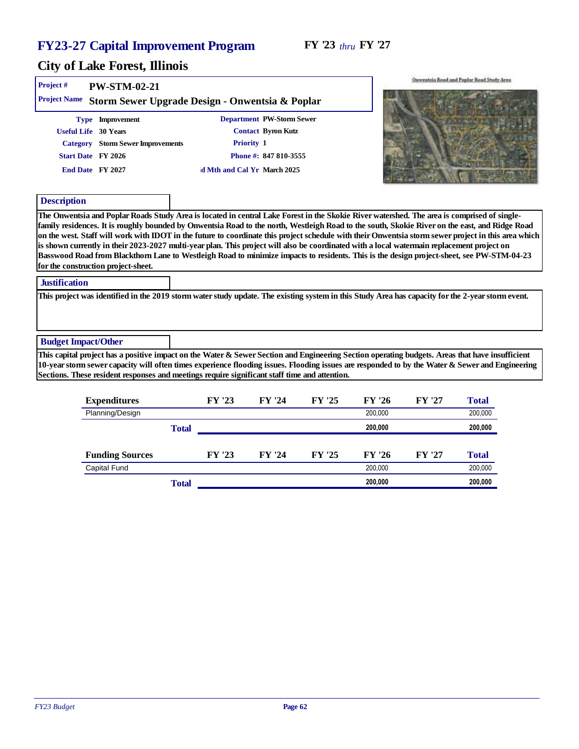| Project#                   | PW-STM-02-21                                                                                                   |                                           |                                                                          | Onventria Road and Poplar Road Study Area                                                                                                                                                                                                                                                                                                                                                                                                                                                                                                                                                                                                                                                                                                        |
|----------------------------|----------------------------------------------------------------------------------------------------------------|-------------------------------------------|--------------------------------------------------------------------------|--------------------------------------------------------------------------------------------------------------------------------------------------------------------------------------------------------------------------------------------------------------------------------------------------------------------------------------------------------------------------------------------------------------------------------------------------------------------------------------------------------------------------------------------------------------------------------------------------------------------------------------------------------------------------------------------------------------------------------------------------|
| <b>Project Name</b>        | Storm Sewer Upgrade Design - Onwentsia & Poplar                                                                |                                           |                                                                          |                                                                                                                                                                                                                                                                                                                                                                                                                                                                                                                                                                                                                                                                                                                                                  |
| Category<br>Description    | Type Improvement<br>Useful Life 30 Years<br>Storm Sewer Improvements<br>Start Date FY 2026<br>End Date FY 2027 | Priority 1<br>d Mth and Cal Yr March 2025 | Department PW-Storm Sewer<br>Contact Byron Kutz<br>Phone #: 847 810-3555 |                                                                                                                                                                                                                                                                                                                                                                                                                                                                                                                                                                                                                                                                                                                                                  |
|                            | for the construction project-sheet.                                                                            |                                           |                                                                          | The Onwentsia and Poplar Roads Study Area is located in central Lake Forest in the Skokie River watershed. The area is comprised of single-<br>family residences. It is roughly bounded by Onwentsia Road to the north, Westleigh Road to the south, Skokie River on the east, and Ridge Road<br>on the west. Staff will work with IDOT in the future to coordinate this project schedule with their Onwentsia storm sewer project in this area which<br>is shown currently in their 2023-2027 multi-year plan. This project will also be coordinated with a local watermain replacement project on<br>Basswood Road from Blackthorn Lane to Westleigh Road to minimize impacts to residents. This is the design project-sheet, see PW-STM-04-23 |
| <b>Justification</b>       |                                                                                                                |                                           |                                                                          | This project was identified in the 2019 storm water study update. The existing system in this Study Area has capacity for the 2-year storm event.                                                                                                                                                                                                                                                                                                                                                                                                                                                                                                                                                                                                |
| <b>Budget Impact/Other</b> | Sections. These resident responses and meetings require significant staff time and attention.                  |                                           |                                                                          | This capital project has a positive impact on the Water & Sewer Section and Engineering Section operating budgets. Areas that have insufficient<br>10-year storm sewer capacity will often times experience flooding issues. Flooding issues are responded to by the Water & Sewer and Engineering                                                                                                                                                                                                                                                                                                                                                                                                                                               |
|                            |                                                                                                                |                                           |                                                                          |                                                                                                                                                                                                                                                                                                                                                                                                                                                                                                                                                                                                                                                                                                                                                  |

|       | FY '23 | FY '24 | FY '25 | FY '26  | FY '27 | Total   |
|-------|--------|--------|--------|---------|--------|---------|
|       |        |        |        | 200.000 |        | 200,000 |
| Total |        |        |        | 200.000 |        | 200,000 |
|       |        |        |        |         |        |         |
|       | FY '23 | FY '24 | FY '25 | FY '26  | FY '27 | Total   |
|       |        |        |        | 200,000 |        | 200,000 |
| Total |        |        |        | 200.000 |        | 200,000 |
|       |        |        |        |         |        |         |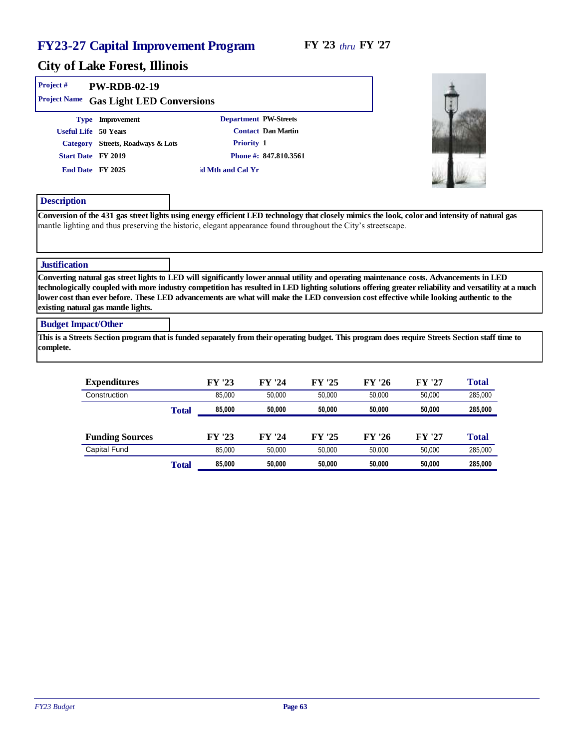#### City of Lake Forest, Illinois

| Project #<br>Project Name | PW-RDB-02-19<br>Gas Light LED Conversions |                       |  |
|---------------------------|-------------------------------------------|-----------------------|--|
|                           | Type Improvement                          | Department PW-Streets |  |
| Useful Life 50 Years      |                                           | Contact Dan Martin    |  |
| Category                  | Streets, Roadways & Lots                  | Priority 1            |  |
| Start Date FY 2019        |                                           | Phone #: 847.810.3561 |  |
| End Date FY 2025          |                                           | d Mth and Cal Yr      |  |
|                           |                                           |                       |  |
| Description               |                                           |                       |  |

Conversion of the 431 gas street lights using energy efficient LED technology that closely mimics the look, color and intensity of natural gas mantle lighting and thus preserving the historic, elegant appearance found throughout the City's streetscape.

#### **Justification**

Converting natural gas street lights to LED will significantly lower annual utility and operating maintenance costs. Advancements in LED technologically coupled with more industry competition has resulted in LED lighting solutions offering greater reliability and versatility at a much lower cost than ever before. These LED advancements are what will make the LED conversion cost effective while looking authentic to the existing natural gas mantle lights.

#### Budget Impact/Other

This is a Streets Section program that is funded separately from their operating budget. This program does require Streets Section staff time to complete.

| Expenditures           |       | FY '23 | FY '24 | FY '25 | FY '26 | FY '27 | Total   |
|------------------------|-------|--------|--------|--------|--------|--------|---------|
| Construction           |       | 85.000 | 50.000 | 50.000 | 50.000 | 50.000 | 285,000 |
|                        | Total | 85,000 | 50,000 | 50,000 | 50,000 | 50,000 | 285,000 |
|                        |       |        |        |        |        |        |         |
| <b>Funding Sources</b> |       | FY '23 | FY '24 | FY '25 | FY '26 | FY '27 | Total   |
| Capital Fund           |       | 85.000 | 50,000 | 50.000 | 50.000 | 50.000 | 285,000 |
|                        | Total | 85,000 | 50.000 | 50,000 | 50,000 | 50,000 | 285,000 |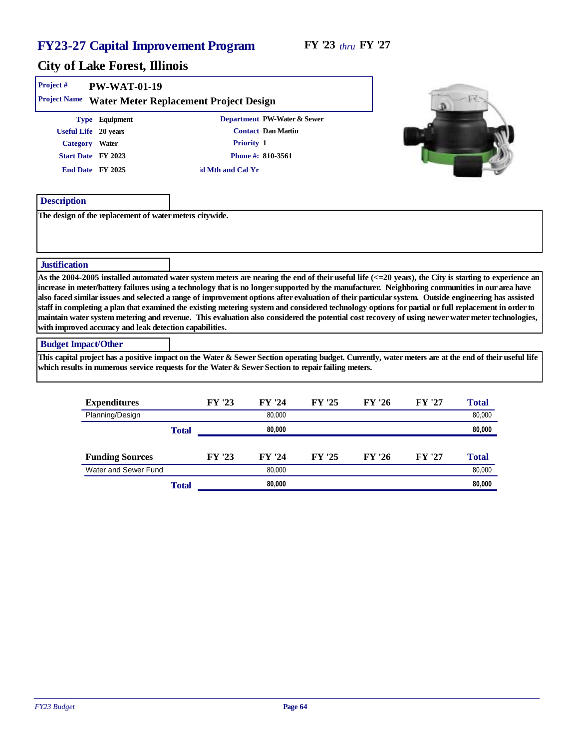# City of Lake Forest, Illinois

| Project #<br>Project Name  | <b>PW-WAT-01-19</b><br>Water Meter Replacement Project Design                                                                                                                                                                                                                                                                                                                                                                                                                                                                                                                                                                                                                                                                                                                                                                                                 |              |                  |                                                                                      |        |        |        |        |  |
|----------------------------|---------------------------------------------------------------------------------------------------------------------------------------------------------------------------------------------------------------------------------------------------------------------------------------------------------------------------------------------------------------------------------------------------------------------------------------------------------------------------------------------------------------------------------------------------------------------------------------------------------------------------------------------------------------------------------------------------------------------------------------------------------------------------------------------------------------------------------------------------------------|--------------|------------------|--------------------------------------------------------------------------------------|--------|--------|--------|--------|--|
|                            | Type Equipment<br>Useful Life 20 years<br>Category Water<br>Start Date FY 2023<br>End Date FY 2025                                                                                                                                                                                                                                                                                                                                                                                                                                                                                                                                                                                                                                                                                                                                                            |              | d Mth and Cal Yr | Department PW-Water & Sewer<br>Contact Dan Martin<br>Priority 1<br>Phone #: 810-3561 |        |        |        |        |  |
| Description                | The design of the replacement of water meters citywide.                                                                                                                                                                                                                                                                                                                                                                                                                                                                                                                                                                                                                                                                                                                                                                                                       |              |                  |                                                                                      |        |        |        |        |  |
|                            |                                                                                                                                                                                                                                                                                                                                                                                                                                                                                                                                                                                                                                                                                                                                                                                                                                                               |              |                  |                                                                                      |        |        |        |        |  |
| Justification              |                                                                                                                                                                                                                                                                                                                                                                                                                                                                                                                                                                                                                                                                                                                                                                                                                                                               |              |                  |                                                                                      |        |        |        |        |  |
|                            | As the 2004-2005 installed automated water system meters are nearing the end of their useful life $\langle \langle -20 \rangle$ years), the City is starting to experience an<br>increase in meter/battery failures using a technology that is no longer supported by the manufacturer. Neighboring communities in our area have<br>also faced similar issues and selected a range of improvement options after evaluation of their particular system. Outside engineering has assisted<br>staff in completing a plan that examined the existing metering system and considered technology options for partial or full replacement in order to<br>maintain water system metering and revenue. This evaluation also considered the potential cost recovery of using newer water meter technologies,<br>with improved accuracy and leak detection capabilities. |              |                  |                                                                                      |        |        |        |        |  |
| <b>Budget Impact/Other</b> |                                                                                                                                                                                                                                                                                                                                                                                                                                                                                                                                                                                                                                                                                                                                                                                                                                                               |              |                  |                                                                                      |        |        |        |        |  |
|                            | This capital project has a positive impact on the Water & Sewer Section operating budget. Currently, water meters are at the end of their useful life<br>which results in numerous service requests for the Water & Sewer Section to repair failing meters.                                                                                                                                                                                                                                                                                                                                                                                                                                                                                                                                                                                                   |              |                  |                                                                                      |        |        |        |        |  |
|                            | Expenditures                                                                                                                                                                                                                                                                                                                                                                                                                                                                                                                                                                                                                                                                                                                                                                                                                                                  |              | FY '23           | FY '24                                                                               | FY '25 | FY '26 | FY '27 | Total  |  |
|                            | Planning/Design                                                                                                                                                                                                                                                                                                                                                                                                                                                                                                                                                                                                                                                                                                                                                                                                                                               |              |                  | 80,000                                                                               |        |        |        | 80,000 |  |
|                            |                                                                                                                                                                                                                                                                                                                                                                                                                                                                                                                                                                                                                                                                                                                                                                                                                                                               | <b>Total</b> |                  | 80,000                                                                               |        |        |        | 80,000 |  |
|                            | <b>Funding Sources</b>                                                                                                                                                                                                                                                                                                                                                                                                                                                                                                                                                                                                                                                                                                                                                                                                                                        |              | FY '23           | FY '24                                                                               | FY '25 | FY '26 | FY '27 | Total  |  |
|                            | Water and Sewer Fund                                                                                                                                                                                                                                                                                                                                                                                                                                                                                                                                                                                                                                                                                                                                                                                                                                          |              |                  | 80,000                                                                               |        |        |        | 80,000 |  |

Total **80,000 80,000**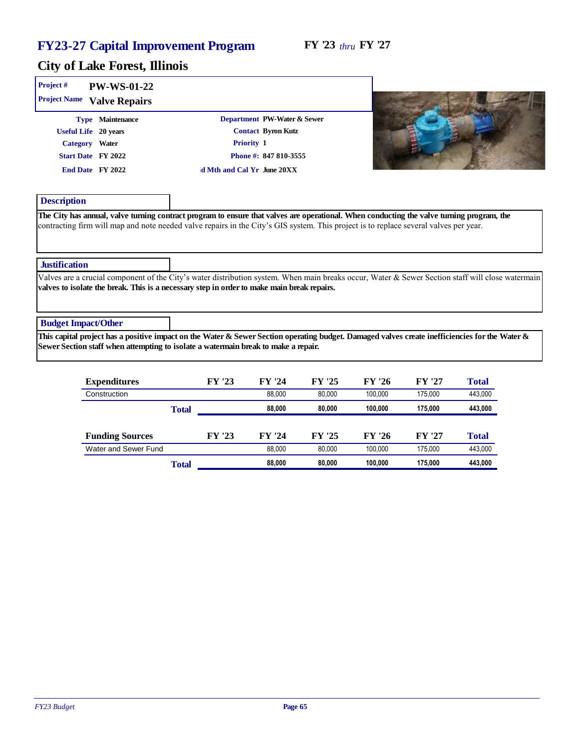| Project#<br>PW-WS-01-22<br>Project Name<br>Valve Repairs                                                |                                                                                                                                                                                                                                                                                    |                                                                                                                                                   |
|---------------------------------------------------------------------------------------------------------|------------------------------------------------------------------------------------------------------------------------------------------------------------------------------------------------------------------------------------------------------------------------------------|---------------------------------------------------------------------------------------------------------------------------------------------------|
| Maintenance<br>Type<br>Useful Life 20 years<br>Category Water<br>Start Date FY 2022<br>End Date FY 2022 | Department PW-Water & Sewer<br>Contact Byron Kutz<br>Priority 1<br>Phone #: 847 810-3555<br>d Mth and Cal Yr June 20XX                                                                                                                                                             |                                                                                                                                                   |
| Description                                                                                             | The City has annual, valve turning contract program to ensure that valves are operational. When conducting the valve turning program, the<br>contracting firm will map and note needed valve repairs in the City's GIS system. This project is to replace several valves per year. |                                                                                                                                                   |
| Justification                                                                                           | valves to isolate the break. This is a necessary step in order to make main break repairs.                                                                                                                                                                                         | Valves are a crucial component of the City's water distribution system. When main breaks occur, Water & Sewer Section staff will close watermain  |
| <b>Budget Impact/Other</b>                                                                              | Sewer Section staff when attempting to isolate a watermain break to make a repair.                                                                                                                                                                                                 | This capital project has a positive impact on the Water & Sewer Section operating budget. Damaged valves create inefficiencies for the Water $\&$ |

| Expenditures           |       | FY '23 | FY '24 | FY '25 | FY '26  | FY '27  | Total   |
|------------------------|-------|--------|--------|--------|---------|---------|---------|
| Construction           |       |        | 88.000 | 80.000 | 100.000 | 175.000 | 443,000 |
|                        | Total |        | 88,000 | 80,000 | 100.000 | 175.000 | 443,000 |
|                        |       |        |        |        |         |         |         |
| <b>Funding Sources</b> |       | FY '23 | FY '24 | FY '25 | FY '26  | FY '27  | Total   |
| Water and Sewer Fund   |       |        | 88.000 | 80.000 | 100.000 | 175.000 | 443.000 |
|                        | Total |        | 88,000 | 80,000 | 100.000 | 175.000 | 443,000 |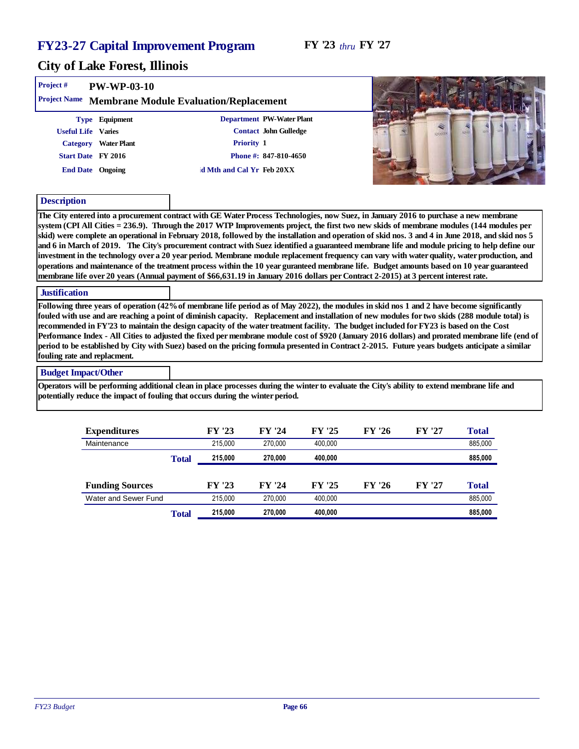#### FY '23 *thru* FY '27

| Project #                                            | PW-WP-03-10          |                                                                                                     |                                                                                                                                                                                                                                                                                                                                                                                                                                                                                                                                                                                                                                                                                                                                                                                                                                                                                                                                                                                                                                                                                                                                                                                                                                                                                                                                                                                                                                                                                                                                                                                                                                        |
|------------------------------------------------------|----------------------|-----------------------------------------------------------------------------------------------------|----------------------------------------------------------------------------------------------------------------------------------------------------------------------------------------------------------------------------------------------------------------------------------------------------------------------------------------------------------------------------------------------------------------------------------------------------------------------------------------------------------------------------------------------------------------------------------------------------------------------------------------------------------------------------------------------------------------------------------------------------------------------------------------------------------------------------------------------------------------------------------------------------------------------------------------------------------------------------------------------------------------------------------------------------------------------------------------------------------------------------------------------------------------------------------------------------------------------------------------------------------------------------------------------------------------------------------------------------------------------------------------------------------------------------------------------------------------------------------------------------------------------------------------------------------------------------------------------------------------------------------------|
|                                                      |                      | Project Name Membrane Module Evaluation/Replacement                                                 |                                                                                                                                                                                                                                                                                                                                                                                                                                                                                                                                                                                                                                                                                                                                                                                                                                                                                                                                                                                                                                                                                                                                                                                                                                                                                                                                                                                                                                                                                                                                                                                                                                        |
|                                                      | Type Equipment       | Department PW-Water Plant                                                                           |                                                                                                                                                                                                                                                                                                                                                                                                                                                                                                                                                                                                                                                                                                                                                                                                                                                                                                                                                                                                                                                                                                                                                                                                                                                                                                                                                                                                                                                                                                                                                                                                                                        |
| Useful Life Varies                                   |                      | Contact John Gulledge                                                                               | veidos                                                                                                                                                                                                                                                                                                                                                                                                                                                                                                                                                                                                                                                                                                                                                                                                                                                                                                                                                                                                                                                                                                                                                                                                                                                                                                                                                                                                                                                                                                                                                                                                                                 |
|                                                      | Category Water Plant | Priority 1                                                                                          |                                                                                                                                                                                                                                                                                                                                                                                                                                                                                                                                                                                                                                                                                                                                                                                                                                                                                                                                                                                                                                                                                                                                                                                                                                                                                                                                                                                                                                                                                                                                                                                                                                        |
|                                                      | Start Date FY 2016   | Phone #: 847-810-4650                                                                               |                                                                                                                                                                                                                                                                                                                                                                                                                                                                                                                                                                                                                                                                                                                                                                                                                                                                                                                                                                                                                                                                                                                                                                                                                                                                                                                                                                                                                                                                                                                                                                                                                                        |
|                                                      | End Date Ongoing     | d Mth and Cal Yr Feb 20XX                                                                           |                                                                                                                                                                                                                                                                                                                                                                                                                                                                                                                                                                                                                                                                                                                                                                                                                                                                                                                                                                                                                                                                                                                                                                                                                                                                                                                                                                                                                                                                                                                                                                                                                                        |
| Description                                          |                      |                                                                                                     |                                                                                                                                                                                                                                                                                                                                                                                                                                                                                                                                                                                                                                                                                                                                                                                                                                                                                                                                                                                                                                                                                                                                                                                                                                                                                                                                                                                                                                                                                                                                                                                                                                        |
| <b>Justification</b><br>fouling rate and replacment. |                      |                                                                                                     | system (CPI All Cities = 236.9). Through the 2017 WTP Improvements project, the first two new skids of membrane modules (144 modules per<br>skid) were complete an operational in February 2018, followed by the installation and operation of skid nos. 3 and 4 in June 2018, and skid nos 5<br>and 6 in March of 2019. The City's procurement contract with Suez identified a guaranteed membrane life and module pricing to help define our<br>investment in the technology over a 20 year period. Membrane module replacement frequency can vary with water quality, water production, and<br>operations and maintenance of the treatment process within the 10 year guranteed membrane life. Budget amounts based on 10 year guaranteed<br>membrane life over 20 years (Annual payment of \$66,631.19 in January 2016 dollars per Contract 2-2015) at 3 percent interest rate.<br>Following three years of operation (42% of membrane life period as of May 2022), the modules in skid nos 1 and 2 have become significantly<br>fouled with use and are reaching a point of diminish capacity. Replacement and installation of new modules for two skids (288 module total) is<br>recommended in FY'23 to maintain the design capacity of the water treatment facility. The budget included for FY23 is based on the Cost<br>Performance Index - All Cities to adjusted the fixed per membrane module cost of \$920 (January 2016 dollars) and prorated membrane life (end of<br>period to be established by City with Suez) based on the pricing formula presented in Contract 2-2015. Future years budgets anticipate a similar |
| <b>Budget Impact/Other</b>                           |                      |                                                                                                     | Operators will be performing additional clean in place processes during the winter to evaluate the City's ability to extend membrane life and                                                                                                                                                                                                                                                                                                                                                                                                                                                                                                                                                                                                                                                                                                                                                                                                                                                                                                                                                                                                                                                                                                                                                                                                                                                                                                                                                                                                                                                                                          |
|                                                      | $E$ ynondituros      | potentially reduce the impact of fouling that occurs during the winter period.<br>EV <sub>102</sub> | ピハ いく<br>EV '77<br>$T_{\alpha \alpha 1}$                                                                                                                                                                                                                                                                                                                                                                                                                                                                                                                                                                                                                                                                                                                                                                                                                                                                                                                                                                                                                                                                                                                                                                                                                                                                                                                                                                                                                                                                                                                                                                                               |

| Expenditures           |       | FY '23  | FY '24  | FY '25  | FY '26 | FY '27 | Total   |
|------------------------|-------|---------|---------|---------|--------|--------|---------|
| Maintenance            |       | 215,000 | 270,000 | 400.000 |        |        | 885,000 |
|                        | Total | 215,000 | 270,000 | 400.000 |        |        | 885,000 |
|                        |       |         |         |         |        |        |         |
| <b>Funding Sources</b> |       | FY '23  | FY '24  | FY '25  | FY '26 | FY '27 | Total   |
| Water and Sewer Fund   |       | 215.000 | 270.000 | 400.000 |        |        | 885,000 |
|                        | Total | 215,000 | 270,000 | 400.000 |        |        | 885,000 |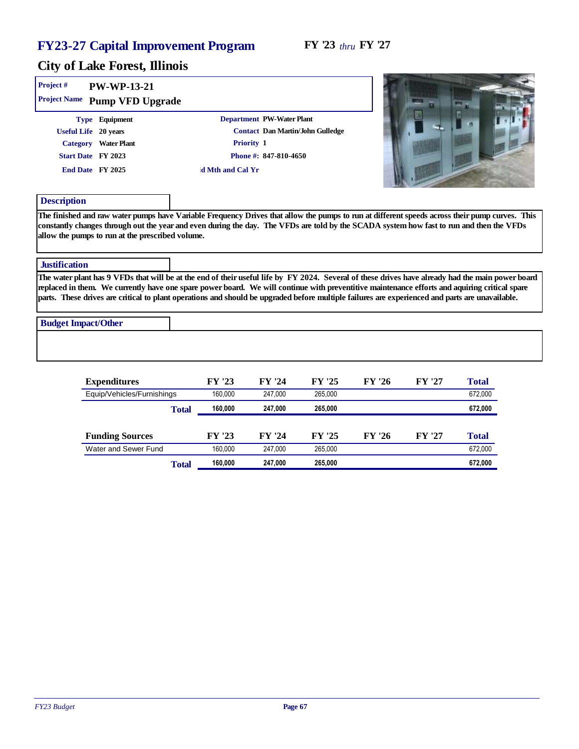| Project #<br>PW-WP-13-21<br>Project Name Pump VFD Upgrade |                                                                                                                                                                                                                                                                                                                                                                                                                                                       |  |
|-----------------------------------------------------------|-------------------------------------------------------------------------------------------------------------------------------------------------------------------------------------------------------------------------------------------------------------------------------------------------------------------------------------------------------------------------------------------------------------------------------------------------------|--|
| Type Equipment                                            | Department PW-Water Plant                                                                                                                                                                                                                                                                                                                                                                                                                             |  |
| Useful Life 20 years                                      | Contact Dan Martin/John Gulledge                                                                                                                                                                                                                                                                                                                                                                                                                      |  |
| Category Water Plant                                      | Priority 1                                                                                                                                                                                                                                                                                                                                                                                                                                            |  |
| Start Date FY 2023                                        | Phone #: 847-810-4650                                                                                                                                                                                                                                                                                                                                                                                                                                 |  |
| End Date FY 2025                                          | d Mth and Cal Yr                                                                                                                                                                                                                                                                                                                                                                                                                                      |  |
| Description                                               |                                                                                                                                                                                                                                                                                                                                                                                                                                                       |  |
| allow the pumps to run at the prescribed volume.          | The finished and raw water pumps have Variable Frequency Drives that allow the pumps to run at different speeds across their pump curves. This<br>constantly changes through out the year and even during the day. The VFDs are told by the SCADA system how fast to run and then the VFDs                                                                                                                                                            |  |
| <b>Justification</b>                                      |                                                                                                                                                                                                                                                                                                                                                                                                                                                       |  |
|                                                           | The water plant has 9 VFDs that will be at the end of their useful life by FY 2024. Several of these drives have already had the main power board<br>replaced in them. We currently have one spare power board. We will continue with preventitive maintenance efforts and aquiring critical spare<br>parts. These drives are critical to plant operations and should be upgraded before multiple failures are experienced and parts are unavailable. |  |
| <b>Budget Impact/Other</b>                                |                                                                                                                                                                                                                                                                                                                                                                                                                                                       |  |
|                                                           |                                                                                                                                                                                                                                                                                                                                                                                                                                                       |  |

| Expenditures               |       | FY '23  | FY '24  | FY '25  | FY '26 | FY '27 | Total   |
|----------------------------|-------|---------|---------|---------|--------|--------|---------|
| Equip/Vehicles/Furnishings |       | 160.000 | 247.000 | 265.000 |        |        | 672,000 |
|                            | Total | 160.000 | 247,000 | 265,000 |        |        | 672,000 |
|                            |       |         |         |         |        |        |         |
| <b>Funding Sources</b>     |       | FY '23  | FY '24  | FY '25  | FY '26 | FY '27 | Total   |
| Water and Sewer Fund       |       | 160.000 | 247.000 | 265.000 |        |        | 672,000 |
|                            | Total | 160,000 | 247,000 | 265,000 |        |        | 672,000 |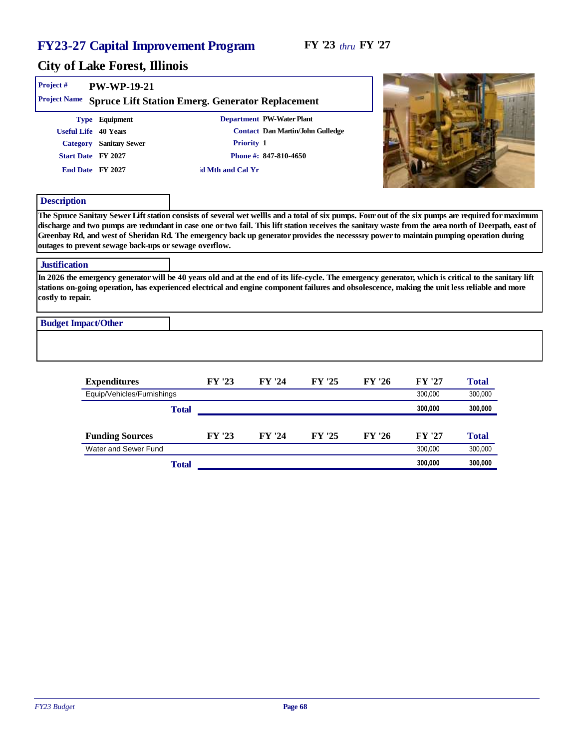and the state of the control of

| Project #                  | PW-WP-19-21                                                                                                 | Project Name Spruce Lift Station Emerg. Generator Replacement                                                                                                                                                                                                                                            |                                                    |                                  |        |        |                                                                                                                                                    |
|----------------------------|-------------------------------------------------------------------------------------------------------------|----------------------------------------------------------------------------------------------------------------------------------------------------------------------------------------------------------------------------------------------------------------------------------------------------------|----------------------------------------------------|----------------------------------|--------|--------|----------------------------------------------------------------------------------------------------------------------------------------------------|
|                            | Type Equipment<br>Useful Life 40 Years<br>Category Sanitary Sewer<br>Start Date FY 2027<br>End Date FY 2027 | Priority 1<br>d Mth and Cal Yr                                                                                                                                                                                                                                                                           | Department PW-Water Plant<br>Phone #: 847-810-4650 | Contact Dan Martin/John Gulledge |        |        |                                                                                                                                                    |
| Description                | outages to prevent sewage back-ups or sewage overflow.                                                      | discharge and two pumps are redundant in case one or two fail. This lift station receives the sanitary waste from the area north of Deerpath, east of<br>Greenbay Rd, and west of Sheridan Rd. The emergency back up generator provides the necesssry power to maintain pumping operation during         |                                                    |                                  |        |        | The Spruce Sanitary Sewer Lift station consists of several wet wellls and a total of six pumps. Four out of the six pumps are required for maximum |
| <b>Justification</b>       |                                                                                                             |                                                                                                                                                                                                                                                                                                          |                                                    |                                  |        |        |                                                                                                                                                    |
| costly to repair.          |                                                                                                             | In 2026 the emergency generator will be 40 years old and at the end of its life-cycle. The emergency generator, which is critical to the sanitary lift<br>stations on-going operation, has experienced electrical and engine component failures and obsolescence, making the unit less reliable and more |                                                    |                                  |        |        |                                                                                                                                                    |
| <b>Budget Impact/Other</b> |                                                                                                             |                                                                                                                                                                                                                                                                                                          |                                                    |                                  |        |        |                                                                                                                                                    |
|                            | Expenditures                                                                                                | FY '23                                                                                                                                                                                                                                                                                                   | FY '24                                             | FY '25                           | FY '26 | FY '27 | Total                                                                                                                                              |

| Expenditures               |       | FI 43  | F Y 24 | FΥ<br>- 2.J | FY ZO  | FY ZI   | 1 otal  |
|----------------------------|-------|--------|--------|-------------|--------|---------|---------|
| Equip/Vehicles/Furnishings |       |        |        |             |        | 300.000 | 300,000 |
|                            | Total |        |        |             |        | 300,000 | 300,000 |
| <b>Funding Sources</b>     |       | FY '23 | FY '24 | FY '25      | FY '26 | FY '27  | Total   |
| Water and Sewer Fund       |       |        |        |             |        | 300.000 | 300,000 |
|                            | Total |        |        |             |        | 300,000 | 300,000 |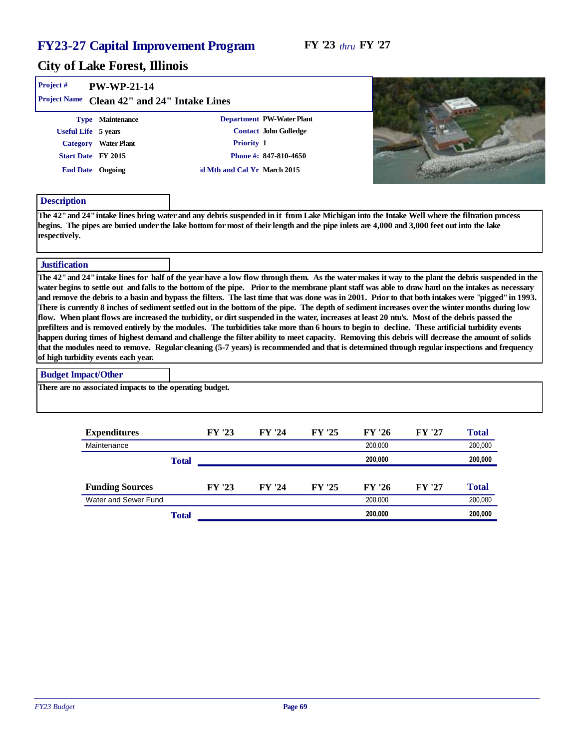#### FY '23 *thru* FY '27

| Project#                   | PW-WP-21-14                                                                                                                                                                                                                                                                                                                                                                                                                                                                                                                                                                                                                                                                                                                                                                                                                                                                                                                                                                                                                                                                                                                                                                                                                                                            |                               |                             |        |         |        |         |  |
|----------------------------|------------------------------------------------------------------------------------------------------------------------------------------------------------------------------------------------------------------------------------------------------------------------------------------------------------------------------------------------------------------------------------------------------------------------------------------------------------------------------------------------------------------------------------------------------------------------------------------------------------------------------------------------------------------------------------------------------------------------------------------------------------------------------------------------------------------------------------------------------------------------------------------------------------------------------------------------------------------------------------------------------------------------------------------------------------------------------------------------------------------------------------------------------------------------------------------------------------------------------------------------------------------------|-------------------------------|-----------------------------|--------|---------|--------|---------|--|
|                            | Project Name Clean 42" and 24" Intake Lines                                                                                                                                                                                                                                                                                                                                                                                                                                                                                                                                                                                                                                                                                                                                                                                                                                                                                                                                                                                                                                                                                                                                                                                                                            |                               |                             |        |         |        |         |  |
|                            | Type Maintenance                                                                                                                                                                                                                                                                                                                                                                                                                                                                                                                                                                                                                                                                                                                                                                                                                                                                                                                                                                                                                                                                                                                                                                                                                                                       |                               | Department PW-Water Plant   |        |         |        |         |  |
|                            | Useful Life 5 years                                                                                                                                                                                                                                                                                                                                                                                                                                                                                                                                                                                                                                                                                                                                                                                                                                                                                                                                                                                                                                                                                                                                                                                                                                                    |                               | Contact John Gulledge       |        |         |        |         |  |
|                            | Category Water Plant                                                                                                                                                                                                                                                                                                                                                                                                                                                                                                                                                                                                                                                                                                                                                                                                                                                                                                                                                                                                                                                                                                                                                                                                                                                   |                               | Priority 1                  |        |         |        |         |  |
|                            | Start Date FY 2015                                                                                                                                                                                                                                                                                                                                                                                                                                                                                                                                                                                                                                                                                                                                                                                                                                                                                                                                                                                                                                                                                                                                                                                                                                                     |                               | Phone #: 847-810-4650       |        |         |        |         |  |
|                            | End Date Ongoing                                                                                                                                                                                                                                                                                                                                                                                                                                                                                                                                                                                                                                                                                                                                                                                                                                                                                                                                                                                                                                                                                                                                                                                                                                                       |                               | d Mth and Cal Yr March 2015 |        |         |        |         |  |
| Description                |                                                                                                                                                                                                                                                                                                                                                                                                                                                                                                                                                                                                                                                                                                                                                                                                                                                                                                                                                                                                                                                                                                                                                                                                                                                                        |                               |                             |        |         |        |         |  |
| respectively.              | The 42" and 24" intake lines bring water and any debris suspended in it from Lake Michigan into the Intake Well where the filtration process<br>begins. The pipes are buried under the lake bottom for most of their length and the pipe inlets are 4,000 and 3,000 feet out into the lake                                                                                                                                                                                                                                                                                                                                                                                                                                                                                                                                                                                                                                                                                                                                                                                                                                                                                                                                                                             |                               |                             |        |         |        |         |  |
| <b>Justification</b>       |                                                                                                                                                                                                                                                                                                                                                                                                                                                                                                                                                                                                                                                                                                                                                                                                                                                                                                                                                                                                                                                                                                                                                                                                                                                                        |                               |                             |        |         |        |         |  |
|                            | The 42" and 24" intake lines for half of the year have a low flow through them. As the water makes it way to the plant the debris suspended in the<br>water begins to settle out and falls to the bottom of the pipe. Prior to the membrane plant staff was able to draw hard on the intakes as necessary<br>and remove the debris to a basin and bypass the filters. The last time that was done was in 2001. Prior to that both intakes were "pigged" in 1993.<br>There is currently 8 inches of sediment settled out in the bottom of the pipe. The depth of sediment increases over the winter months during low<br>flow. When plant flows are increased the turbidity, or dirt suspended in the water, increases at least 20 ntu's. Most of the debris passed the<br>prefilters and is removed entirely by the modules. The turbidities take more than 6 hours to begin to decline. These artificial turbidity events<br>happen during times of highest demand and challenge the filter ability to meet capacity. Removing this debris will decrease the amount of solids<br>that the modules need to remove. Regular cleaning (5-7 years) is recommended and that is determined through regular inspections and frequency<br>of high turbidity events each year. |                               |                             |        |         |        |         |  |
| <b>Budget Impact/Other</b> |                                                                                                                                                                                                                                                                                                                                                                                                                                                                                                                                                                                                                                                                                                                                                                                                                                                                                                                                                                                                                                                                                                                                                                                                                                                                        |                               |                             |        |         |        |         |  |
|                            | There are no associated impacts to the operating budget.                                                                                                                                                                                                                                                                                                                                                                                                                                                                                                                                                                                                                                                                                                                                                                                                                                                                                                                                                                                                                                                                                                                                                                                                               |                               |                             |        |         |        |         |  |
|                            | Expenditures                                                                                                                                                                                                                                                                                                                                                                                                                                                                                                                                                                                                                                                                                                                                                                                                                                                                                                                                                                                                                                                                                                                                                                                                                                                           | FY '23                        | FY '24                      | FY '25 | FY '26  | FY '27 | Total   |  |
|                            | Maintenance                                                                                                                                                                                                                                                                                                                                                                                                                                                                                                                                                                                                                                                                                                                                                                                                                                                                                                                                                                                                                                                                                                                                                                                                                                                            |                               |                             |        | 200,000 |        | 200,000 |  |
|                            |                                                                                                                                                                                                                                                                                                                                                                                                                                                                                                                                                                                                                                                                                                                                                                                                                                                                                                                                                                                                                                                                                                                                                                                                                                                                        | $T_{\alpha \uparrow \alpha}1$ |                             |        | 200,000 |        | 200 000 |  |

|                        | Total |        | 200.000 |        |         | 200.000 |         |
|------------------------|-------|--------|---------|--------|---------|---------|---------|
|                        |       |        |         |        |         |         |         |
| <b>Funding Sources</b> |       | FY '23 | FY '24  | FY '25 | FY '26  | FY '27  | Total   |
| Water and Sewer Fund   |       |        |         |        | 200.000 |         | 200.000 |
|                        | Total |        |         |        | 200.000 |         | 200,000 |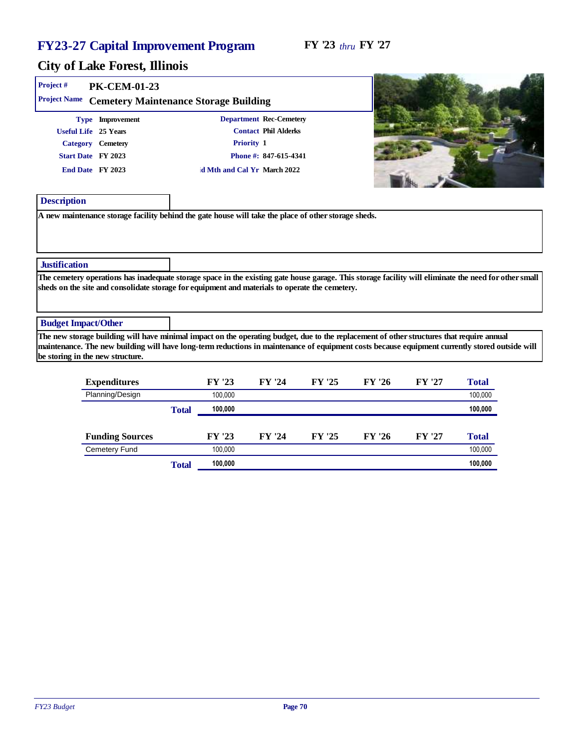| Project #                  |                                                                                                                                                                                                                                                                                                                                 |                             |                         |        |        |        |         |
|----------------------------|---------------------------------------------------------------------------------------------------------------------------------------------------------------------------------------------------------------------------------------------------------------------------------------------------------------------------------|-----------------------------|-------------------------|--------|--------|--------|---------|
|                            | PK-CEM-01-23                                                                                                                                                                                                                                                                                                                    |                             |                         |        |        |        |         |
| Project Name               | Cemetery Maintenance Storage Building                                                                                                                                                                                                                                                                                           |                             |                         |        |        |        |         |
|                            | Type Improvement                                                                                                                                                                                                                                                                                                                |                             | Department Rec-Cemetery |        |        |        |         |
|                            | Useful Life 25 Years                                                                                                                                                                                                                                                                                                            |                             | Contact Phil Alderks    |        |        |        |         |
|                            | Category Cemetery                                                                                                                                                                                                                                                                                                               | Priority 1                  |                         |        |        |        |         |
|                            | Start Date FY 2023                                                                                                                                                                                                                                                                                                              |                             | Phone #: 847-615-4341   |        |        |        |         |
|                            | End Date FY 2023                                                                                                                                                                                                                                                                                                                | d Mth and Cal Yr March 2022 |                         |        |        |        |         |
|                            |                                                                                                                                                                                                                                                                                                                                 |                             |                         |        |        |        |         |
| Description                |                                                                                                                                                                                                                                                                                                                                 |                             |                         |        |        |        |         |
|                            |                                                                                                                                                                                                                                                                                                                                 |                             |                         |        |        |        |         |
| Justification              |                                                                                                                                                                                                                                                                                                                                 |                             |                         |        |        |        |         |
|                            | The cemetery operations has inadequate storage space in the existing gate house garage. This storage facility will eliminate the need for other small<br>sheds on the site and consolidate storage for equipment and materials to operate the cemetery.                                                                         |                             |                         |        |        |        |         |
| <b>Budget Impact/Other</b> |                                                                                                                                                                                                                                                                                                                                 |                             |                         |        |        |        |         |
|                            | The new storage building will have minimal impact on the operating budget, due to the replacement of other structures that require annual<br>maintenance. The new building will have long-term reductions in maintenance of equipment costs because equipment currently stored outside will<br>be storing in the new structure. |                             |                         |        |        |        |         |
|                            | Expenditures                                                                                                                                                                                                                                                                                                                    | FY '23                      | FY '24                  | FY '25 | FY '26 | FY '27 | Total   |
|                            | Planning/Design                                                                                                                                                                                                                                                                                                                 | 100,000                     |                         |        |        |        | 100,000 |
|                            |                                                                                                                                                                                                                                                                                                                                 | 100,000<br>Total            |                         |        |        |        | 100,000 |

| <b>Funding Sources</b> |       | FY '23  | FY '24 | FY '25 | FY '26 | FY '27 | Total   |
|------------------------|-------|---------|--------|--------|--------|--------|---------|
| Cemetery Fund          |       | 100.000 |        |        |        |        | 100,000 |
|                        | Total | 100,000 |        |        |        |        | 100,000 |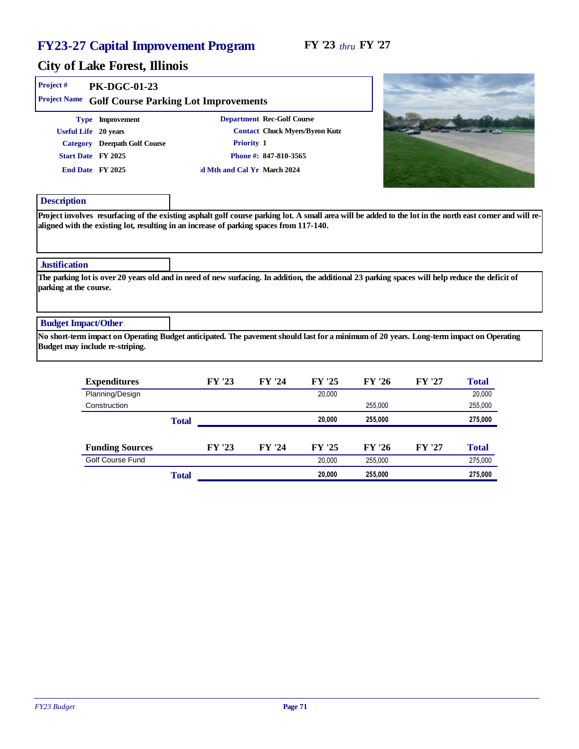#### FY '23 *thru* FY '27

| Project#                                | PK-DGC-01-23                    |                                                                                                                                                  |                            |                                |         |        |         |
|-----------------------------------------|---------------------------------|--------------------------------------------------------------------------------------------------------------------------------------------------|----------------------------|--------------------------------|---------|--------|---------|
| Project Name                            |                                 | Golf Course Parking Lot Improvements                                                                                                             |                            |                                |         |        |         |
|                                         | Type Improvement                |                                                                                                                                                  | Department Rec-Golf Course |                                |         |        |         |
|                                         | Useful Life 20 years            |                                                                                                                                                  |                            | Contact Chuck Myers/Byron Kutz |         |        |         |
|                                         | Category Deerpath Golf Course   | Priority 1                                                                                                                                       |                            |                                |         |        |         |
|                                         | Start Date FY 2025              |                                                                                                                                                  | Phone #: 847-810-3565      |                                |         |        |         |
|                                         | End Date FY 2025                | d Mth and Cal Yr March 2024                                                                                                                      |                            |                                |         |        |         |
| Description                             |                                 |                                                                                                                                                  |                            |                                |         |        |         |
| Justification<br>parking at the course. |                                 | The parking lot is over 20 years old and in need of new surfacing. In addition, the additional 23 parking spaces will help reduce the deficit of |                            |                                |         |        |         |
| <b>Budget Impact/Other</b>              |                                 |                                                                                                                                                  |                            |                                |         |        |         |
|                                         | Budget may include re-striping. | No short-term impact on Operating Budget anticipated. The pavement should last for a minimum of 20 years. Long-term impact on Operating          |                            |                                |         |        |         |
|                                         | Expenditures                    | FY '23                                                                                                                                           | FY '24                     | FY '25                         | FY '26  | FY '27 | Total   |
|                                         | Planning/Design                 |                                                                                                                                                  |                            | 20,000                         |         |        | 20,000  |
|                                         | Construction                    |                                                                                                                                                  |                            |                                | 255,000 |        | 255,000 |
|                                         |                                 | Total                                                                                                                                            |                            | 20,000                         | 255,000 |        | 275,000 |

|                        | Total |        |        | 20,000 | 255,000 |       | 275,000 |
|------------------------|-------|--------|--------|--------|---------|-------|---------|
| Golf Course Fund       |       |        |        | 20.000 | 255,000 |       | 275.000 |
| <b>Funding Sources</b> |       | FY '23 | FY '24 | FY '25 | FY '26  | FY'27 | Total   |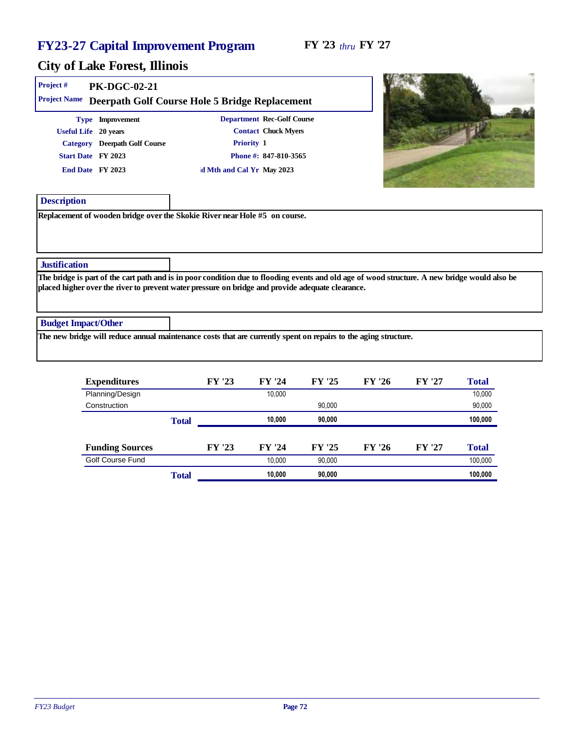| Project #<br>Project Name  | PK-DGC-02-21                                                                                                        | Deerpath Golf Course Hole 5 Bridge Replacement                                                                                                                                                                                                    |  |
|----------------------------|---------------------------------------------------------------------------------------------------------------------|---------------------------------------------------------------------------------------------------------------------------------------------------------------------------------------------------------------------------------------------------|--|
|                            | Type Improvement<br>Useful Life 20 years<br>Category Deerpath Golf Course<br>Start Date FY 2023<br>End Date FY 2023 | Department Rec-Golf Course<br><b>Contact Chuck Myers</b><br>Priority 1<br>Phone #: 847-810-3565<br>d Mth and Cal Yr May 2023                                                                                                                      |  |
| Description                |                                                                                                                     | Replacement of wooden bridge over the Skokie River near Hole #5 on course.                                                                                                                                                                        |  |
| Justification              |                                                                                                                     |                                                                                                                                                                                                                                                   |  |
|                            |                                                                                                                     | The bridge is part of the cart path and is in poor condition due to flooding events and old age of wood structure. A new bridge would also be<br>placed higher over the river to prevent water pressure on bridge and provide adequate clearance. |  |
| <b>Budget Impact/Other</b> |                                                                                                                     | The new bridge will reduce annual maintenance costs that are currently spent on repairs to the aging structure.                                                                                                                                   |  |
|                            |                                                                                                                     |                                                                                                                                                                                                                                                   |  |

| Expenditures           |       | FY '23 | FY '24 | FY '25 | FY '26 | FY '27 | Total   |
|------------------------|-------|--------|--------|--------|--------|--------|---------|
| Planning/Design        |       |        | 10,000 |        |        |        | 10,000  |
| Construction           |       |        |        | 90.000 |        |        | 90,000  |
|                        | Total |        | 10,000 | 90,000 |        |        | 100,000 |
|                        |       |        |        |        |        |        |         |
| <b>Funding Sources</b> |       | FY '23 | FY '24 | FY '25 | FY '26 | FY '27 | Total   |
| Golf Course Fund       |       |        | 10.000 | 90,000 |        |        | 100,000 |
|                        | Total |        | 10,000 | 90,000 |        |        | 100,000 |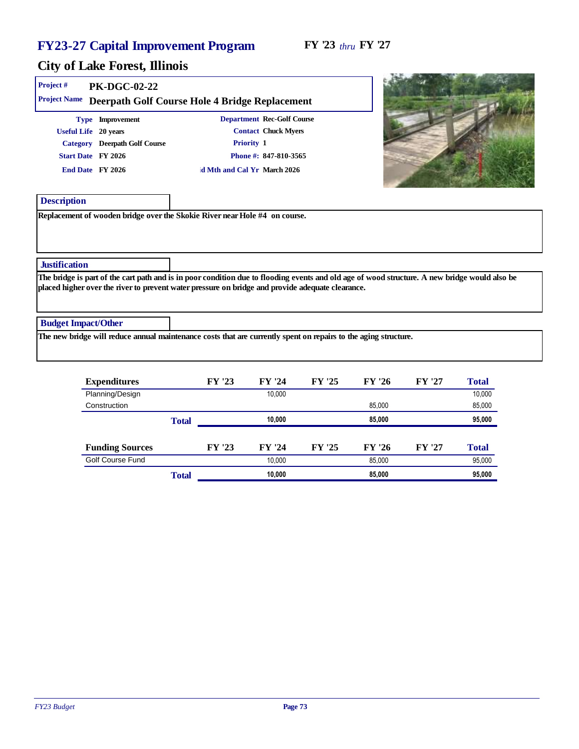| Project #<br>Project Name  | <b>PK-DGC-02-22</b>                                                                                                 | Deerpath Golf Course Hole 4 Bridge Replacement                                                                                                                                                                                                    |  |
|----------------------------|---------------------------------------------------------------------------------------------------------------------|---------------------------------------------------------------------------------------------------------------------------------------------------------------------------------------------------------------------------------------------------|--|
|                            | Type Improvement<br>Useful Life 20 years<br>Category Deerpath Golf Course<br>Start Date FY 2026<br>End Date FY 2026 | Department Rec-Golf Course<br><b>Contact Chuck Myers</b><br>Priority 1<br>Phone #: 847-810-3565<br>d Mth and Cal Yr March 2026                                                                                                                    |  |
| Description                |                                                                                                                     |                                                                                                                                                                                                                                                   |  |
|                            |                                                                                                                     | Replacement of wooden bridge over the Skokie River near Hole #4 on course.                                                                                                                                                                        |  |
| <b>Justification</b>       |                                                                                                                     |                                                                                                                                                                                                                                                   |  |
|                            |                                                                                                                     | The bridge is part of the cart path and is in poor condition due to flooding events and old age of wood structure. A new bridge would also be<br>placed higher over the river to prevent water pressure on bridge and provide adequate clearance. |  |
| <b>Budget Impact/Other</b> |                                                                                                                     |                                                                                                                                                                                                                                                   |  |
|                            |                                                                                                                     | The new bridge will reduce annual maintenance costs that are currently spent on repairs to the aging structure.                                                                                                                                   |  |

| Expenditures           |       | FY '23 | FY '24 | FY '25 | FY '26 | FY '27 | Total  |
|------------------------|-------|--------|--------|--------|--------|--------|--------|
| Planning/Design        |       |        | 10.000 |        |        |        | 10,000 |
| Construction           |       |        |        |        | 85.000 |        | 85,000 |
|                        | Total |        | 10,000 |        | 85,000 |        | 95,000 |
|                        |       |        |        |        |        |        |        |
| <b>Funding Sources</b> |       | FY '23 | FY '24 | FY '25 | FY '26 | FY '27 | Total  |
| Golf Course Fund       |       |        | 10.000 |        | 85,000 |        | 95,000 |
|                        | Total |        | 10,000 |        | 85,000 |        | 95,000 |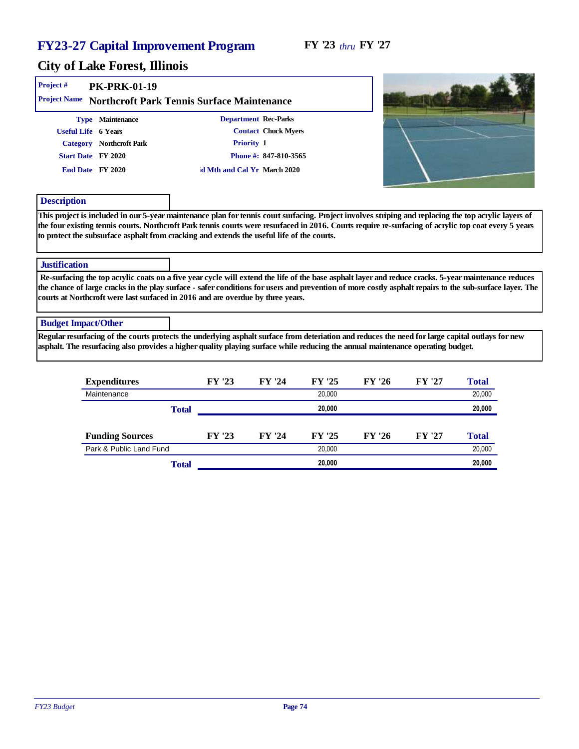| Project#<br>Project Name   | <b>PK-PRK-01-19</b>                                                                       |                                                                                                                                                                                                                                                                                                                                                                                                              |                                                                             |        |        |        |        |
|----------------------------|-------------------------------------------------------------------------------------------|--------------------------------------------------------------------------------------------------------------------------------------------------------------------------------------------------------------------------------------------------------------------------------------------------------------------------------------------------------------------------------------------------------------|-----------------------------------------------------------------------------|--------|--------|--------|--------|
|                            | Type Maintenance<br>Useful Life 6 Years<br>Category Northcroft Park<br>Start Date FY 2020 | Northcroft Park Tennis Surface Maintenance<br>Priority 1                                                                                                                                                                                                                                                                                                                                                     | Department Rec-Parks<br><b>Contact Chuck Myers</b><br>Phone #: 847-810-3565 |        |        |        |        |
|                            | End Date FY 2020                                                                          | d Mth and Cal Yr March 2020                                                                                                                                                                                                                                                                                                                                                                                  |                                                                             |        |        |        |        |
| Description                |                                                                                           |                                                                                                                                                                                                                                                                                                                                                                                                              |                                                                             |        |        |        |        |
|                            |                                                                                           | This project is included in our 5-year maintenance plan for tennis court surfacing. Project involves striping and replacing the top acrylic layers of<br>the four existing tennis courts. Northcroft Park tennis courts were resurfaced in 2016. Courts require re-surfacing of acrylic top coat every 5 years<br>to protect the subsurface asphalt from cracking and extends the useful life of the courts. |                                                                             |        |        |        |        |
| Justification              |                                                                                           |                                                                                                                                                                                                                                                                                                                                                                                                              |                                                                             |        |        |        |        |
|                            |                                                                                           | Re-surfacing the top acrylic coats on a five year cycle will extend the life of the base asphalt layer and reduce cracks. 5-year maintenance reduces<br>the chance of large cracks in the play surface - safer conditions for users and prevention of more costly asphalt repairs to the sub-surface layer. The<br>courts at Northcroft were last surfaced in 2016 and are overdue by three years.           |                                                                             |        |        |        |        |
| <b>Budget Impact/Other</b> |                                                                                           |                                                                                                                                                                                                                                                                                                                                                                                                              |                                                                             |        |        |        |        |
|                            |                                                                                           | Regular resurfacing of the courts protects the underlying asphalt surface from deteriation and reduces the need for large capital outlays for new<br>asphalt. The resurfacing also provides a higher quality playing surface while reducing the annual maintenance operating budget.                                                                                                                         |                                                                             |        |        |        |        |
|                            | Expenditures                                                                              | FY '23                                                                                                                                                                                                                                                                                                                                                                                                       | FY '24                                                                      | FY '25 | FY '26 | FY '27 | Total  |
|                            | Maintenance                                                                               |                                                                                                                                                                                                                                                                                                                                                                                                              |                                                                             | 20.000 |        |        | 20.000 |

| Total                   |        |        | 20.000 |        |        | 20,000 |
|-------------------------|--------|--------|--------|--------|--------|--------|
| <b>Funding Sources</b>  | FY '23 | FY '24 | FY '25 | FY '26 | FY '27 | Total  |
| Park & Public Land Fund |        |        | 20.000 |        |        | 20,000 |
| Total                   |        |        | 20,000 |        |        | 20,000 |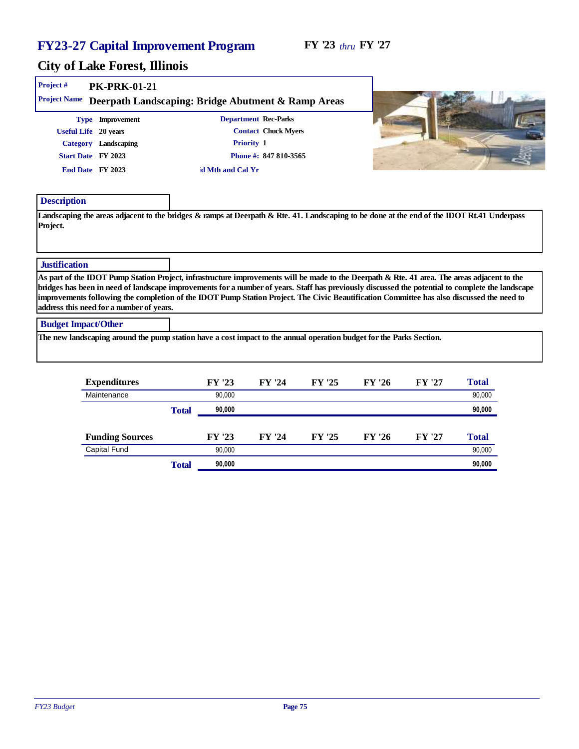| Project #                  | <b>PK-PRK-01-21</b>                                                                |                                                                                                                                                                                                                                                                                                                                                                                                                                               |                                                                             |        |        |       |  |
|----------------------------|------------------------------------------------------------------------------------|-----------------------------------------------------------------------------------------------------------------------------------------------------------------------------------------------------------------------------------------------------------------------------------------------------------------------------------------------------------------------------------------------------------------------------------------------|-----------------------------------------------------------------------------|--------|--------|-------|--|
| <b>Project Name</b>        |                                                                                    | Deerpath Landscaping: Bridge Abutment & Ramp Areas                                                                                                                                                                                                                                                                                                                                                                                            |                                                                             |        |        |       |  |
| Useful Life 20 years       | Type Improvement<br>Category Landscaping<br>Start Date FY 2023<br>End Date FY 2023 | Priority 1<br>d Mth and Cal Yr                                                                                                                                                                                                                                                                                                                                                                                                                | Department Rec-Parks<br><b>Contact Chuck Myers</b><br>Phone #: 847 810-3565 |        |        |       |  |
| Description<br>Project.    |                                                                                    | Landscaping the areas adjacent to the bridges & ramps at Deerpath & Rte. 41. Landscaping to be done at the end of the IDOT Rt.41 Underpass                                                                                                                                                                                                                                                                                                    |                                                                             |        |        |       |  |
| <b>Justification</b>       |                                                                                    |                                                                                                                                                                                                                                                                                                                                                                                                                                               |                                                                             |        |        |       |  |
|                            | address this need for a number of years.                                           | As part of the IDOT Pump Station Project, infrastructure improvements will be made to the Deerpath & Rte. 41 area. The areas adjacent to the<br>bridges has been in need of landscape improvements for a number of years. Staff has previously discussed the potential to complete the landscape<br>improvements following the completion of the IDOT Pump Station Project. The Civic Beautification Committee has also discussed the need to |                                                                             |        |        |       |  |
| <b>Budget Impact/Other</b> |                                                                                    |                                                                                                                                                                                                                                                                                                                                                                                                                                               |                                                                             |        |        |       |  |
|                            |                                                                                    | The new landscaping around the pump station have a cost impact to the annual operation budget for the Parks Section.                                                                                                                                                                                                                                                                                                                          |                                                                             |        |        |       |  |
|                            | Expenditures                                                                       | FY '23                                                                                                                                                                                                                                                                                                                                                                                                                                        | FY '24                                                                      | FY '26 | FY '27 | Total |  |

| Expenditures           |       | FY '23 | FY '24 | FY '25 | FY '26 | FY '27 | Total  |
|------------------------|-------|--------|--------|--------|--------|--------|--------|
| Maintenance            |       | 90.000 |        |        |        |        | 90,000 |
|                        | Total | 90,000 |        |        |        |        | 90,000 |
|                        |       |        |        |        |        |        |        |
| <b>Funding Sources</b> |       | FY '23 | FY '24 | FY '25 | FY '26 | FY '27 | Total  |
| Capital Fund           |       | 90.000 |        |        |        |        | 90,000 |
|                        | Total | 90,000 |        |        |        |        | 90,000 |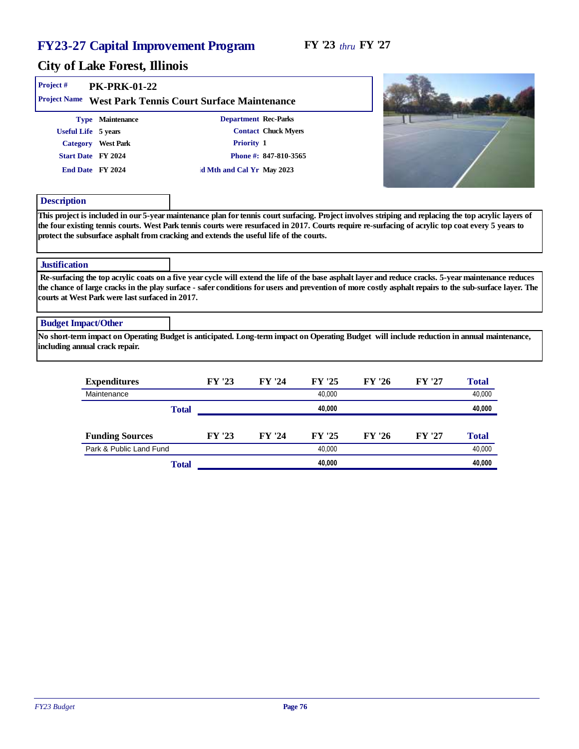×

#### City of Lake Forest, Illinois

| Project#<br>Project Name | <b>PK-PRK-01-22</b><br>West Park Tennis Court Surface Maintenance                                                                                                                                                                                                                                                                                                  |                           |                            |        |        |        |        |  |
|--------------------------|--------------------------------------------------------------------------------------------------------------------------------------------------------------------------------------------------------------------------------------------------------------------------------------------------------------------------------------------------------------------|---------------------------|----------------------------|--------|--------|--------|--------|--|
|                          | Type Maintenance                                                                                                                                                                                                                                                                                                                                                   |                           | Department Rec-Parks       |        |        |        |        |  |
|                          | Useful Life 5 years                                                                                                                                                                                                                                                                                                                                                |                           | <b>Contact Chuck Myers</b> |        |        |        |        |  |
|                          | Category West Park                                                                                                                                                                                                                                                                                                                                                 | Priority 1                |                            |        |        |        |        |  |
|                          | Start Date FY 2024                                                                                                                                                                                                                                                                                                                                                 |                           | Phone #: 847-810-3565      |        |        |        |        |  |
|                          | End Date FY 2024                                                                                                                                                                                                                                                                                                                                                   | d Mth and Cal Yr May 2023 |                            |        |        |        |        |  |
| Description              |                                                                                                                                                                                                                                                                                                                                                                    |                           |                            |        |        |        |        |  |
|                          | the four existing tennis courts. West Park tennis courts were resurfaced in 2017. Courts require re-surfacing of acrylic top coat every 5 years to<br>protect the subsurface asphalt from cracking and extends the useful life of the courts.                                                                                                                      |                           |                            |        |        |        |        |  |
| Justification            |                                                                                                                                                                                                                                                                                                                                                                    |                           |                            |        |        |        |        |  |
|                          | Re-surfacing the top acrylic coats on a five year cycle will extend the life of the base asphalt layer and reduce cracks. 5-year maintenance reduces<br>the chance of large cracks in the play surface - safer conditions for users and prevention of more costly asphalt repairs to the sub-surface layer. The<br>courts at West Park were last surfaced in 2017. |                           |                            |        |        |        |        |  |
|                          | <b>Budget Impact/Other</b>                                                                                                                                                                                                                                                                                                                                         |                           |                            |        |        |        |        |  |
|                          | No short-term impact on Operating Budget is anticipated. Long-term impact on Operating Budget will include reduction in annual maintenance,<br>including annual crack repair.                                                                                                                                                                                      |                           |                            |        |        |        |        |  |
|                          | Expenditures                                                                                                                                                                                                                                                                                                                                                       | FY '23                    | FY '24                     | FY '25 | FY '26 | FY '27 | Total  |  |
|                          | Maintenance                                                                                                                                                                                                                                                                                                                                                        |                           |                            | 40,000 |        |        | 40,000 |  |
|                          |                                                                                                                                                                                                                                                                                                                                                                    | Total                     |                            | 40,000 |        |        | 40,000 |  |
|                          | <b>Funding Sources</b>                                                                                                                                                                                                                                                                                                                                             | FY '23                    | FY '24                     | FY '25 | FY '26 | FY '27 | Total  |  |
|                          | Park & Public Land Fund                                                                                                                                                                                                                                                                                                                                            |                           |                            | 40,000 |        |        | 40,000 |  |
|                          |                                                                                                                                                                                                                                                                                                                                                                    | Total                     |                            | 40.000 |        |        | 40.000 |  |

*FY23 Budget* Page 76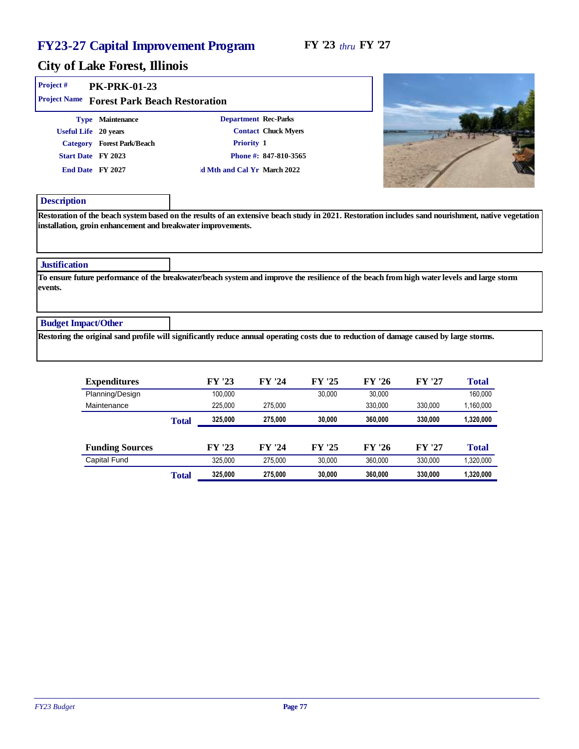#### FY '23 *thru* FY '27

| Project#<br>Project Name        | <b>PK-PRK-01-23</b>                                                                                                                               |                                                                                                                                         |                                                                                                                                                    |
|---------------------------------|---------------------------------------------------------------------------------------------------------------------------------------------------|-----------------------------------------------------------------------------------------------------------------------------------------|----------------------------------------------------------------------------------------------------------------------------------------------------|
|                                 | Forest Park Beach Restoration<br>Type Maintenance<br>Useful Life 20 years<br>Category Forest Park/Beach<br>Start Date FY 2023<br>End Date FY 2027 | Department Rec-Parks<br><b>Contact Chuck Myers</b><br>Priority 1<br>Phone #: 847-810-3565<br>d Mth and Cal Yr March 2022                |                                                                                                                                                    |
| Description                     |                                                                                                                                                   | installation, groin enhancement and breakwater improvements.                                                                            | Restoration of the beach system based on the results of an extensive beach study in 2021. Restoration includes sand nourishment, native vegetation |
| <b>Justification</b><br>events. |                                                                                                                                                   |                                                                                                                                         | To ensure future performance of the breakwater/beach system and improve the resilience of the beach from high water levels and large storm         |
| <b>Budget Impact/Other</b>      |                                                                                                                                                   | Restoring the original sand profile will significantly reduce annual operating costs due to reduction of damage caused by large storms. |                                                                                                                                                    |
|                                 |                                                                                                                                                   |                                                                                                                                         |                                                                                                                                                    |

| Expenditures           |       | FY '23  | FY '24  | FY '25 | FY '26  | FY '27  | Total     |
|------------------------|-------|---------|---------|--------|---------|---------|-----------|
| Planning/Design        |       | 100.000 |         | 30.000 | 30,000  |         | 160,000   |
| Maintenance            |       | 225.000 | 275.000 |        | 330.000 | 330,000 | 1,160,000 |
|                        | Total | 325,000 | 275,000 | 30,000 | 360,000 | 330,000 | 1,320,000 |
|                        |       |         |         |        |         |         |           |
| <b>Funding Sources</b> |       | FY '23  | FY '24  | FY '25 | FY '26  | FY '27  | Total     |
| <b>Capital Fund</b>    |       | 325.000 | 275.000 | 30.000 | 360.000 | 330.000 | 1,320,000 |
|                        | Total | 325,000 | 275,000 | 30,000 | 360,000 | 330,000 | 1,320,000 |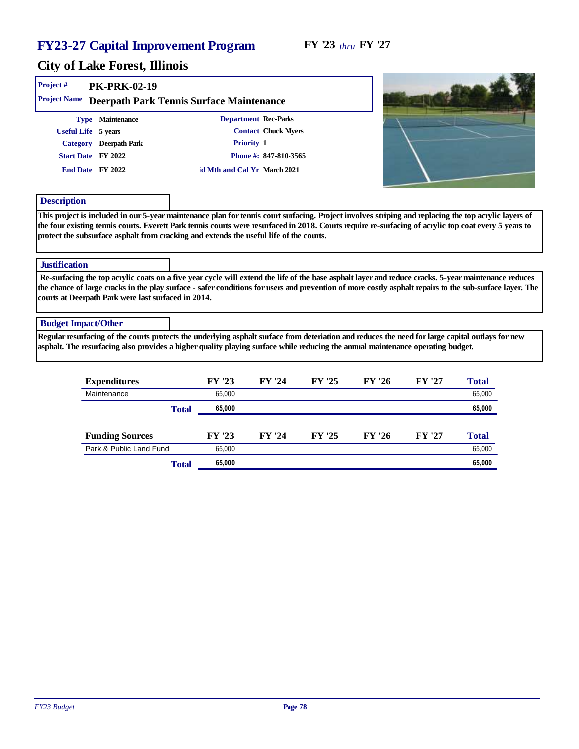| Project#                   | <b>PK-PRK-02-19</b>                                 |                                                                                                                                                                                                                                                                                                                 |                            |        |        |        |       |
|----------------------------|-----------------------------------------------------|-----------------------------------------------------------------------------------------------------------------------------------------------------------------------------------------------------------------------------------------------------------------------------------------------------------------|----------------------------|--------|--------|--------|-------|
| Project Name               |                                                     | Deerpath Park Tennis Surface Maintenance                                                                                                                                                                                                                                                                        |                            |        |        |        |       |
|                            | Type Maintenance                                    | Department Rec-Parks                                                                                                                                                                                                                                                                                            |                            |        |        |        |       |
| Useful Life 5 years        |                                                     |                                                                                                                                                                                                                                                                                                                 | <b>Contact Chuck Myers</b> |        |        |        |       |
|                            | Category Deerpath Park                              | Priority 1                                                                                                                                                                                                                                                                                                      |                            |        |        |        |       |
|                            | Start Date FY 2022                                  |                                                                                                                                                                                                                                                                                                                 | Phone #: 847-810-3565      |        |        |        |       |
|                            | End Date FY 2022                                    | d Mth and Cal Yr March 2021                                                                                                                                                                                                                                                                                     |                            |        |        |        |       |
| Description                |                                                     |                                                                                                                                                                                                                                                                                                                 |                            |        |        |        |       |
| <b>Justification</b>       |                                                     | the four existing tennis courts. Everett Park tennis courts were resurfaced in 2018. Courts require re-surfacing of acrylic top coat every 5 years to<br>protect the subsurface asphalt from cracking and extends the useful life of the courts.                                                                |                            |        |        |        |       |
|                            | courts at Deerpath Park were last surfaced in 2014. | Re-surfacing the top acrylic coats on a five year cycle will extend the life of the base asphalt layer and reduce cracks. 5-year maintenance reduces<br>the chance of large cracks in the play surface - safer conditions for users and prevention of more costly asphalt repairs to the sub-surface layer. The |                            |        |        |        |       |
| <b>Budget Impact/Other</b> |                                                     |                                                                                                                                                                                                                                                                                                                 |                            |        |        |        |       |
|                            |                                                     | Regular resurfacing of the courts protects the underlying asphalt surface from deteriation and reduces the need for large capital outlays for new<br>asphalt. The resurfacing also provides a higher quality playing surface while reducing the annual maintenance operating budget.                            |                            |        |        |        |       |
|                            | Expenditures                                        | FY '23                                                                                                                                                                                                                                                                                                          | FY '24                     | FY '25 | FY '26 | FY '27 | Total |

| Maintenance             | 65.000 |        |        |        |        | 65,000 |
|-------------------------|--------|--------|--------|--------|--------|--------|
| Total                   | 65,000 |        |        |        |        | 65,000 |
|                         |        |        |        |        |        |        |
| <b>Funding Sources</b>  | FY '23 | FY '24 | FY '25 | FY '26 | FY '27 | Total  |
| Park & Public Land Fund | 65.000 |        |        |        |        | 65,000 |
| Total                   | 65,000 |        |        |        |        | 65,000 |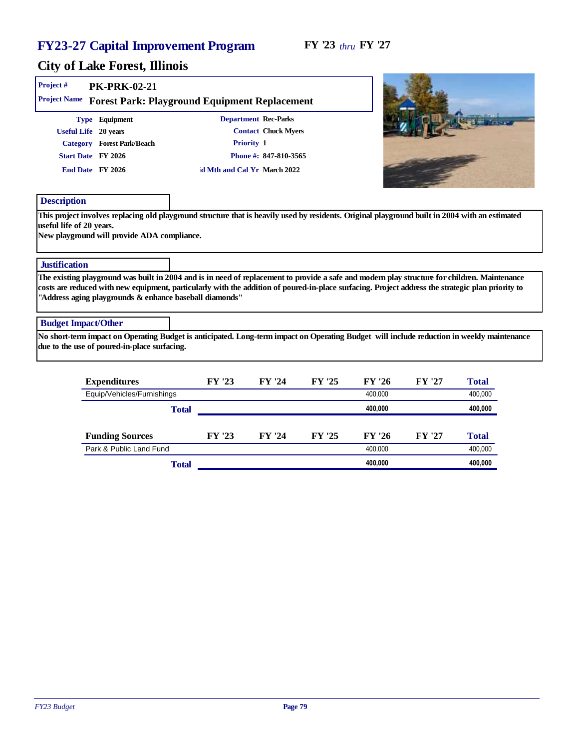# City of Lake Forest, Illinois

| Project #                  | <b>PK-PRK-02-21</b>                                                                                                                                                                                          |       |        |                             |        |         |        |         |  |
|----------------------------|--------------------------------------------------------------------------------------------------------------------------------------------------------------------------------------------------------------|-------|--------|-----------------------------|--------|---------|--------|---------|--|
|                            | Project Name Forest Park: Playground Equipment Replacement                                                                                                                                                   |       |        |                             |        |         |        |         |  |
|                            | Type Equipment                                                                                                                                                                                               |       |        | Department Rec-Parks        |        |         |        |         |  |
|                            | Useful Life 20 years                                                                                                                                                                                         |       |        | <b>Contact Chuck Myers</b>  |        |         |        |         |  |
|                            | Category Forest Park/Beach                                                                                                                                                                                   |       |        | Priority 1                  |        |         |        |         |  |
|                            | Start Date FY 2026                                                                                                                                                                                           |       |        | Phone #: 847-810-3565       |        |         |        |         |  |
|                            | End Date FY 2026                                                                                                                                                                                             |       |        | d Mth and Cal Yr March 2022 |        |         |        |         |  |
| Description                |                                                                                                                                                                                                              |       |        |                             |        |         |        |         |  |
| <b>Justification</b>       | The existing playground was built in 2004 and is in need of replacement to provide a safe and modern play structure for children. Maintenance                                                                |       |        |                             |        |         |        |         |  |
|                            | costs are reduced with new equipment, particularly with the addition of poured-in-place surfacing. Project address the strategic plan priority to<br>"Address aging playgrounds & enhance baseball diamonds" |       |        |                             |        |         |        |         |  |
| <b>Budget Impact/Other</b> |                                                                                                                                                                                                              |       |        |                             |        |         |        |         |  |
|                            | No short-term impact on Operating Budget is anticipated. Long-term impact on Operating Budget will include reduction in weekly maintenance<br>due to the use of poured-in-place surfacing.                   |       |        |                             |        |         |        |         |  |
|                            | Expenditures                                                                                                                                                                                                 |       | FY '23 | FY '24                      | FY '25 | FY '26  | FY '27 | Total   |  |
|                            | Equip/Vehicles/Furnishings                                                                                                                                                                                   |       |        |                             |        | 400.000 |        | 400,000 |  |
|                            |                                                                                                                                                                                                              | Total |        |                             |        | 400,000 |        | 400,000 |  |
|                            | <b>Funding Sources</b>                                                                                                                                                                                       |       | FY '23 | FY '24                      | FY '25 | FY '26  | FY '27 | Total   |  |

Park & Public Land Fund 400,000 400,000 400,000 400,000 400,000 400,000 400,000 400,000 400,000 400,000 400,000

Total **400,000 400,000**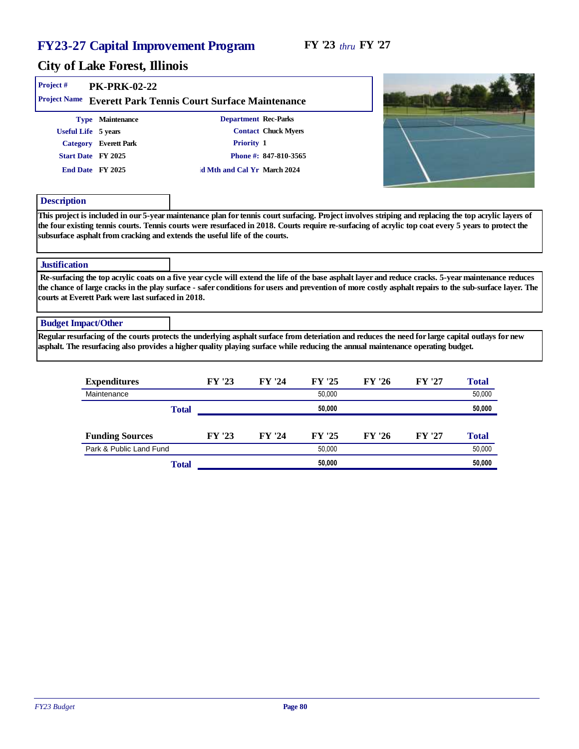| Project#<br><b>PK-PRK-02-22</b><br>Project Name                                                            | Everett Park Tennis Court Surface Maintenance                                                                                                                                                                                                                                                                 |  |
|------------------------------------------------------------------------------------------------------------|---------------------------------------------------------------------------------------------------------------------------------------------------------------------------------------------------------------------------------------------------------------------------------------------------------------|--|
| Type Maintenance<br>Useful Life 5 years<br>Category Everett Park<br>Start Date FY 2025<br>End Date FY 2025 | Department Rec-Parks<br><b>Contact Chuck Myers</b><br>Priority 1<br>Phone #: 847-810-3565<br>d Mth and Cal Yr March 2024                                                                                                                                                                                      |  |
| Description<br>subsurface asphalt from cracking and extends the useful life of the courts.                 | This project is included in our 5-year maintenance plan for tennis court surfacing. Project involves striping and replacing the top acrylic layers of<br>the four existing tennis courts. Tennis courts were resurfaced in 2018. Courts require re-surfacing of acrylic top coat every 5 years to protect the |  |
| Justification                                                                                              | Re-surfacing the top acrylic coats on a five year cycle will extend the life of the base asphalt layer and reduce cracks. 5-year maintenance reduces                                                                                                                                                          |  |
| courts at Everett Park were last surfaced in 2018.                                                         | the chance of large cracks in the play surface - safer conditions for users and prevention of more costly asphalt repairs to the sub-surface layer. The                                                                                                                                                       |  |
| <b>Budget Impact/Other</b>                                                                                 |                                                                                                                                                                                                                                                                                                               |  |
|                                                                                                            | Regular resurfacing of the courts protects the underlying asphalt surface from deteriation and reduces the need for large capital outlays for new<br>asphalt. The resurfacing also provides a higher quality playing surface while reducing the annual maintenance operating budget.                          |  |

| Expenditures            |       | FY '23 | FY '24 | FY '25 | FY '26 | FY '27 | Total  |
|-------------------------|-------|--------|--------|--------|--------|--------|--------|
| Maintenance             |       |        |        | 50.000 |        |        | 50,000 |
|                         | Total |        |        | 50,000 |        |        | 50,000 |
|                         |       |        |        |        |        |        |        |
| <b>Funding Sources</b>  |       | FY '23 | FY '24 | FY '25 | FY '26 | FY '27 | Total  |
| Park & Public Land Fund |       |        | 50.000 |        |        | 50,000 |        |
|                         | Total |        |        | 50,000 |        |        | 50,000 |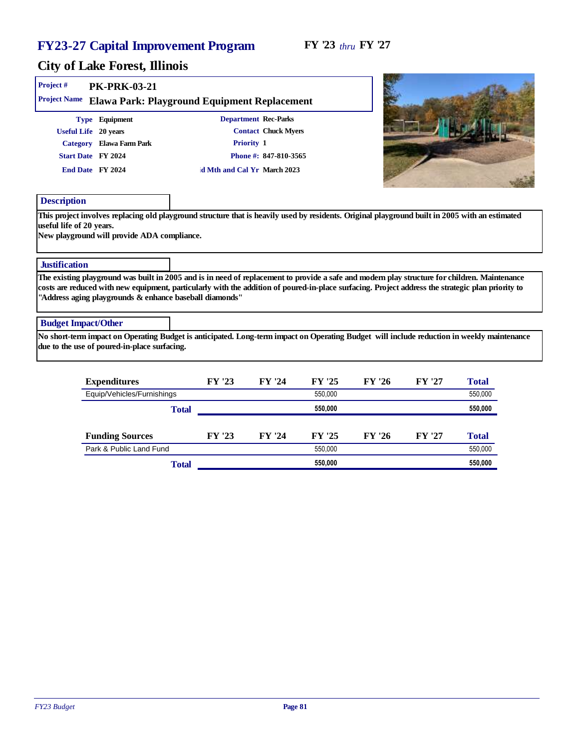# City of Lake Forest, Illinois

| Project#                   | <b>PK-PRK-03-21</b>                                                                                                                                                                                                                                                                                                                                           |       |        |                             |         |        |        |         |  |
|----------------------------|---------------------------------------------------------------------------------------------------------------------------------------------------------------------------------------------------------------------------------------------------------------------------------------------------------------------------------------------------------------|-------|--------|-----------------------------|---------|--------|--------|---------|--|
| Project Name               | Elawa Park: Playground Equipment Replacement                                                                                                                                                                                                                                                                                                                  |       |        |                             |         |        |        |         |  |
|                            | Type Equipment                                                                                                                                                                                                                                                                                                                                                |       |        | Department Rec-Parks        |         |        |        |         |  |
|                            | Useful Life 20 years                                                                                                                                                                                                                                                                                                                                          |       |        | <b>Contact Chuck Myers</b>  |         |        |        |         |  |
|                            | Category Elawa Farm Park                                                                                                                                                                                                                                                                                                                                      |       |        | Priority 1                  |         |        |        |         |  |
|                            | Start Date FY 2024                                                                                                                                                                                                                                                                                                                                            |       |        | Phone #: 847-810-3565       |         |        |        |         |  |
|                            | End Date FY 2024                                                                                                                                                                                                                                                                                                                                              |       |        | d Mth and Cal Yr March 2023 |         |        |        |         |  |
| Description                |                                                                                                                                                                                                                                                                                                                                                               |       |        |                             |         |        |        |         |  |
| <b>Justification</b>       | New playground will provide ADA compliance.                                                                                                                                                                                                                                                                                                                   |       |        |                             |         |        |        |         |  |
|                            | The existing playground was built in 2005 and is in need of replacement to provide a safe and modern play structure for children. Maintenance<br>costs are reduced with new equipment, particularly with the addition of poured-in-place surfacing. Project address the strategic plan priority to<br>"Address aging playgrounds & enhance baseball diamonds" |       |        |                             |         |        |        |         |  |
| <b>Budget Impact/Other</b> |                                                                                                                                                                                                                                                                                                                                                               |       |        |                             |         |        |        |         |  |
|                            | No short-term impact on Operating Budget is anticipated. Long-term impact on Operating Budget will include reduction in weekly maintenance<br>due to the use of poured-in-place surfacing.                                                                                                                                                                    |       |        |                             |         |        |        |         |  |
|                            | Expenditures                                                                                                                                                                                                                                                                                                                                                  |       | FY '23 | FY '24                      | FY '25  | FY '26 | FY '27 | Total   |  |
|                            | Equip/Vehicles/Furnishings                                                                                                                                                                                                                                                                                                                                    |       |        |                             | 550,000 |        |        | 550,000 |  |
|                            |                                                                                                                                                                                                                                                                                                                                                               | Total |        |                             | 550,000 |        |        | 550,000 |  |
|                            | <b>Funding Sources</b>                                                                                                                                                                                                                                                                                                                                        |       | FY '23 | FY '24                      | FY '25  | FY '26 | FY '27 | Total   |  |

Park & Public Land Fund 550,000 550,000 550,000 550,000 550,000 550,000 550,000 550,000 550,000 550,000 550,000

Total **550,000 550,000**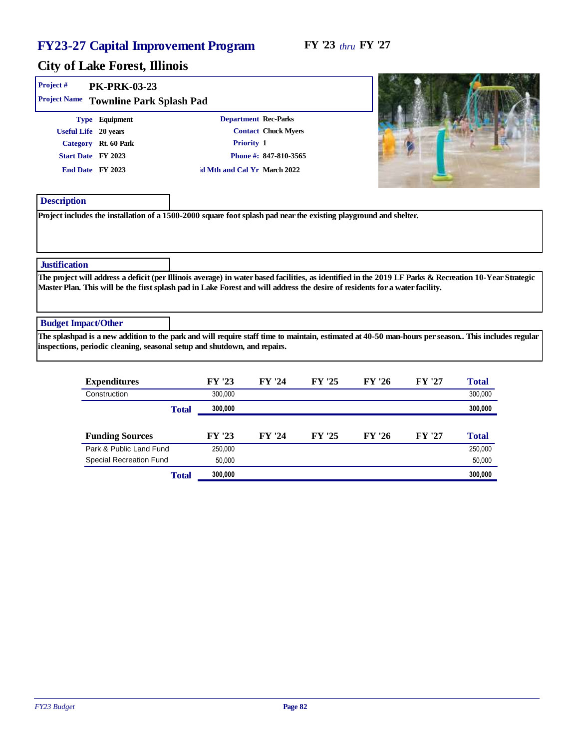| Project #<br>Project Name  | <b>PK-PRK-03-23</b><br>Townline Park Splash Pad                                                          |                                                                                                                   |                                                     |                                                                                                                                                                                                                                                                                        |
|----------------------------|----------------------------------------------------------------------------------------------------------|-------------------------------------------------------------------------------------------------------------------|-----------------------------------------------------|----------------------------------------------------------------------------------------------------------------------------------------------------------------------------------------------------------------------------------------------------------------------------------------|
|                            | Type Equipment<br>Useful Life 20 years<br>Category Rt. 60 Park<br>Start Date FY 2023<br>End Date FY 2023 | Department Rec-Parks<br>Priority 1<br>d Mth and Cal Yr March 2022                                                 | <b>Contact Chuck Myers</b><br>Phone #: 847-810-3565 |                                                                                                                                                                                                                                                                                        |
| Description                |                                                                                                          | Project includes the installation of a 1500-2000 square foot splash pad near the existing playground and shelter. |                                                     |                                                                                                                                                                                                                                                                                        |
| Justification              |                                                                                                          |                                                                                                                   |                                                     |                                                                                                                                                                                                                                                                                        |
|                            |                                                                                                          |                                                                                                                   |                                                     | The project will address a deficit (per Illinois average) in water based facilities, as identified in the 2019 LF Parks & Recreation 10-Year Strategic<br>Master Plan. This will be the first splash pad in Lake Forest and will address the desire of residents for a water facility. |
| <b>Budget Impact/Other</b> |                                                                                                          |                                                                                                                   |                                                     |                                                                                                                                                                                                                                                                                        |
|                            |                                                                                                          | inspections, periodic cleaning, seasonal setup and shutdown, and repairs.                                         |                                                     | The splashpad is a new addition to the park and will require staff time to maintain, estimated at 40-50 man-hours per season. This includes regular                                                                                                                                    |
|                            |                                                                                                          |                                                                                                                   |                                                     |                                                                                                                                                                                                                                                                                        |

| Expenditures                   |       | FY '23  | FY '24 | FY '25 | FY '26 | FY '27 | Total   |
|--------------------------------|-------|---------|--------|--------|--------|--------|---------|
| Construction                   |       | 300.000 |        |        |        |        | 300,000 |
|                                | Total | 300,000 |        |        |        |        | 300,000 |
|                                |       |         |        |        |        |        |         |
| <b>Funding Sources</b>         |       | FY '23  | FY '24 | FY '25 | FY '26 | FY '27 | Total   |
| Park & Public Land Fund        |       | 250,000 |        |        |        |        | 250,000 |
| <b>Special Recreation Fund</b> |       | 50.000  |        |        |        |        | 50,000  |
|                                | Total | 300,000 |        |        |        |        | 300,000 |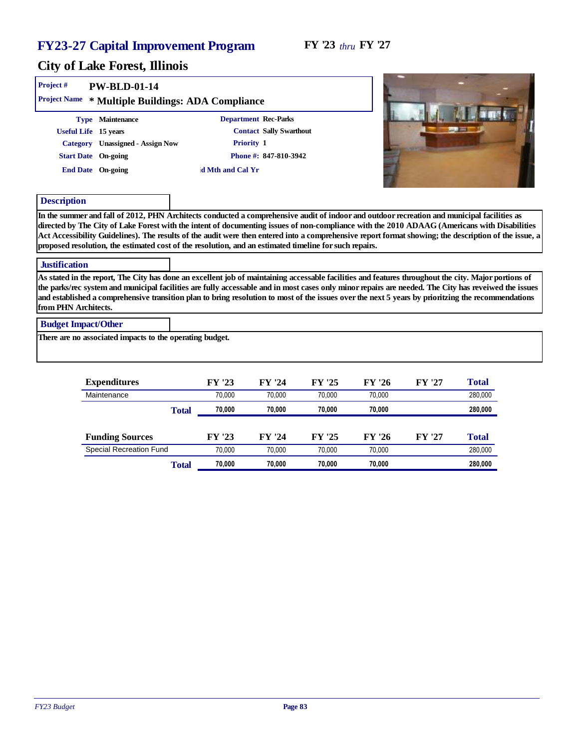#### City of Lake Forest, Illinois

| Project#<br>$PW-BLD-01-14$<br>Project Name * Multiple Buildings: ADA Compliance                                          |                                                                                                                     |                                                                                                                                                                                                                                                                                                                                                                                                                                                      |
|--------------------------------------------------------------------------------------------------------------------------|---------------------------------------------------------------------------------------------------------------------|------------------------------------------------------------------------------------------------------------------------------------------------------------------------------------------------------------------------------------------------------------------------------------------------------------------------------------------------------------------------------------------------------------------------------------------------------|
| Type Maintenance<br>Useful Life 15 years<br>Category Unassigned - Assign Now<br>Start Date On-going<br>End Date On-going | Department Rec-Parks<br><b>Contact Sally Swarthout</b><br>Priority 1<br>Phone #: $847-810-3942$<br>d Mth and Cal Yr |                                                                                                                                                                                                                                                                                                                                                                                                                                                      |
| Description                                                                                                              |                                                                                                                     |                                                                                                                                                                                                                                                                                                                                                                                                                                                      |
|                                                                                                                          | proposed resolution, the estimated cost of the resolution, and an estimated timeline for such repairs.              | In the summer and fall of 2012, PHN Architects conducted a comprehensive audit of indoor and outdoor recreation and municipal facilities as<br>directed by The City of Lake Forest with the intent of documenting issues of non-compliance with the 2010 ADAAG (Americans with Disabilities<br>Act Accessibility Guidelines). The results of the audit were then entered into a comprehensive report format showing; the description of the issue, a |
| <b>Justification</b>                                                                                                     |                                                                                                                     |                                                                                                                                                                                                                                                                                                                                                                                                                                                      |
|                                                                                                                          |                                                                                                                     | $\lambda$ and the component of the contract of the contract of the contract of the contract of the contract of the contract of the contract of the contract of the contract of the contract of the contract of the contract of the                                                                                                                                                                                                                   |

As stated in the report, The City has done an excellent job of maintaining accessable facilities and features throughout the city. Major portions of the parks/rec system and municipal facilities are fully accessable and in most cases only minor repairs are needed. The City has reveiwed the issues and established a comprehensive transition plan to bring resolution to most of the issues over the next 5 years by prioritzing the recommendations from PHN Architects.

#### Budget Impact/Other

There are no associated impacts to the operating budget.

| Expenditures            | FY '23 | FY '24 | FY '25 | FY '26 | FY '27 | Total   |
|-------------------------|--------|--------|--------|--------|--------|---------|
| Maintenance             | 70.000 | 70.000 | 70.000 | 70.000 |        | 280,000 |
| Total                   | 70.000 | 70.000 | 70.000 | 70.000 |        | 280,000 |
|                         |        |        |        |        |        |         |
| <b>Funding Sources</b>  | FY '23 | FY '24 | FY '25 | FY '26 | FY '27 | Total   |
| Special Recreation Fund | 70.000 | 70.000 | 70.000 | 70.000 |        | 280,000 |
| Total                   | 70.000 | 70.000 | 70.000 | 70,000 |        | 280,000 |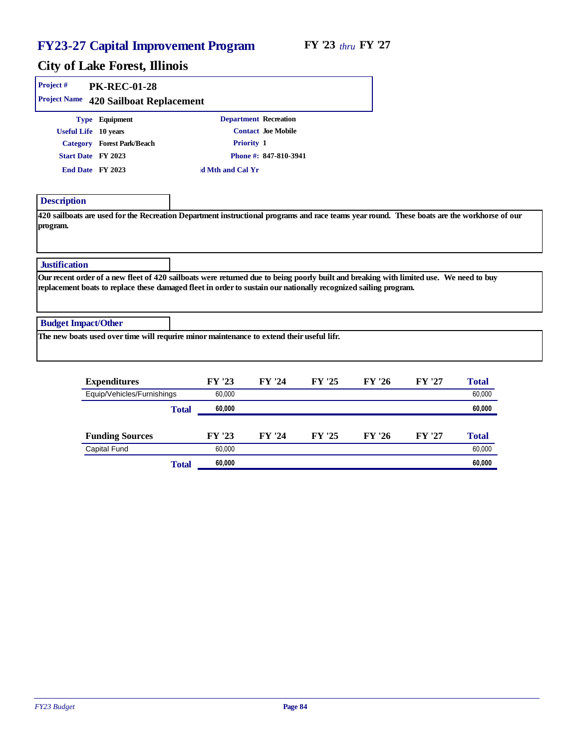| Project#                   | <b>PK-REC-01-28</b>        |                                                                                                                                                                                                                                                           |                       |        |        |        |       |
|----------------------------|----------------------------|-----------------------------------------------------------------------------------------------------------------------------------------------------------------------------------------------------------------------------------------------------------|-----------------------|--------|--------|--------|-------|
| Project Name               | 420 Sailboat Replacement   |                                                                                                                                                                                                                                                           |                       |        |        |        |       |
|                            | Type Equipment             |                                                                                                                                                                                                                                                           | Department Recreation |        |        |        |       |
|                            | Useful Life 10 years       |                                                                                                                                                                                                                                                           | Contact Joe Mobile    |        |        |        |       |
|                            | Category Forest Park/Beach | Priority 1                                                                                                                                                                                                                                                |                       |        |        |        |       |
|                            | Start Date FY 2023         |                                                                                                                                                                                                                                                           | Phone #: 847-810-3941 |        |        |        |       |
|                            | End Date FY 2023           | d Mth and Cal Yr                                                                                                                                                                                                                                          |                       |        |        |        |       |
| Description                |                            |                                                                                                                                                                                                                                                           |                       |        |        |        |       |
| program.<br>Justification  |                            | 420 sailboats are used for the Recreation Department instructional programs and race teams year round. These boats are the workhorse of our                                                                                                               |                       |        |        |        |       |
|                            |                            | Our recent order of a new fleet of 420 sailboats were returned due to being poorly built and breaking with limited use. We need to buy<br>replacement boats to replace these damaged fleet in order to sustain our nationally recognized sailing program. |                       |        |        |        |       |
| <b>Budget Impact/Other</b> |                            |                                                                                                                                                                                                                                                           |                       |        |        |        |       |
|                            |                            | The new boats used over time will requrire minor maintenance to extend their useful lifr.                                                                                                                                                                 |                       |        |        |        |       |
|                            | Expenditures               | FY '23                                                                                                                                                                                                                                                    | FY '24                | FY '25 | FY '26 | FY '27 | Total |

| Expenditures               |       | FY 25  | FYZ4   | F Y 25 | AYZ0   | AYZI   | l otal |
|----------------------------|-------|--------|--------|--------|--------|--------|--------|
| Equip/Vehicles/Furnishings |       | 60,000 |        |        |        |        | 60,000 |
|                            | Total | 60,000 |        |        |        |        | 60,000 |
|                            |       |        |        |        |        |        |        |
| <b>Funding Sources</b>     |       | FY '23 | FY '24 | FY '25 | FY '26 | FY '27 | Total  |
| Capital Fund               |       | 60.000 |        |        |        |        | 60,000 |
|                            | Total | 60,000 |        |        |        |        | 60,000 |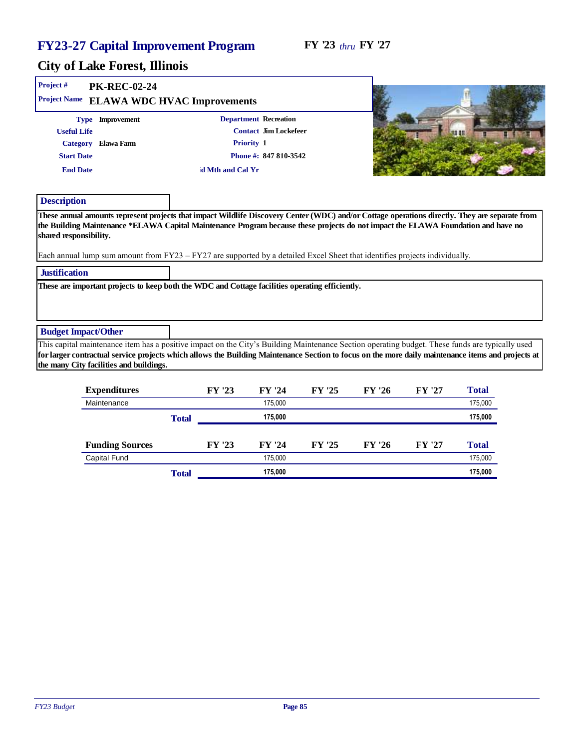#### City of Lake Forest, Illinois

| Project#<br>Project Name   | <b>PK-REC-02-24</b><br><b>ELAWA WDC HVAC Improvements</b>                                                                                                                                                                                                        |       |                  |                       |        |        |        |                                                                                                                                                                                                                                                                                                       |
|----------------------------|------------------------------------------------------------------------------------------------------------------------------------------------------------------------------------------------------------------------------------------------------------------|-------|------------------|-----------------------|--------|--------|--------|-------------------------------------------------------------------------------------------------------------------------------------------------------------------------------------------------------------------------------------------------------------------------------------------------------|
|                            | Type Improvement                                                                                                                                                                                                                                                 |       |                  | Department Recreation |        |        |        |                                                                                                                                                                                                                                                                                                       |
| <b>Useful Life</b>         |                                                                                                                                                                                                                                                                  |       |                  | Contact Jim Lockefeer |        |        |        | 98 88                                                                                                                                                                                                                                                                                                 |
| Category                   | Elawa Farm                                                                                                                                                                                                                                                       |       |                  | Priority 1            |        |        |        |                                                                                                                                                                                                                                                                                                       |
| <b>Start Date</b>          |                                                                                                                                                                                                                                                                  |       |                  | Phone #: 847 810-3542 |        |        |        |                                                                                                                                                                                                                                                                                                       |
| <b>End Date</b>            |                                                                                                                                                                                                                                                                  |       | d Mth and Cal Yr |                       |        |        |        |                                                                                                                                                                                                                                                                                                       |
| Description                |                                                                                                                                                                                                                                                                  |       |                  |                       |        |        |        |                                                                                                                                                                                                                                                                                                       |
| shared responsibility.     | the Building Maintenance *ELAWA Capital Maintenance Program because these projects do not impact the ELAWA Foundation and have no<br>Each annual lump sum amount from FY23 - FY27 are supported by a detailed Excel Sheet that identifies projects individually. |       |                  |                       |        |        |        |                                                                                                                                                                                                                                                                                                       |
| <b>Justification</b>       |                                                                                                                                                                                                                                                                  |       |                  |                       |        |        |        |                                                                                                                                                                                                                                                                                                       |
|                            | These are important projects to keep both the WDC and Cottage facilities operating efficiently.                                                                                                                                                                  |       |                  |                       |        |        |        |                                                                                                                                                                                                                                                                                                       |
| <b>Budget Impact/Other</b> |                                                                                                                                                                                                                                                                  |       |                  |                       |        |        |        |                                                                                                                                                                                                                                                                                                       |
|                            | the many City facilities and buildings.                                                                                                                                                                                                                          |       |                  |                       |        |        |        | This capital maintenance item has a positive impact on the City's Building Maintenance Section operating budget. These funds are typically used<br>for larger contractual service projects which allows the Building Maintenance Section to focus on the more daily maintenance items and projects at |
|                            | Expenditures                                                                                                                                                                                                                                                     |       | FY '23           | FY '24                | FY '25 | FY '26 | FY '27 | Total                                                                                                                                                                                                                                                                                                 |
|                            | Maintenance                                                                                                                                                                                                                                                      |       |                  | 175,000               |        |        |        | 175,000                                                                                                                                                                                                                                                                                               |
|                            |                                                                                                                                                                                                                                                                  | Total |                  | 175,000               |        |        |        | 175,000                                                                                                                                                                                                                                                                                               |
|                            | <b>Funding Sources</b>                                                                                                                                                                                                                                           |       | FY '23           | FY '24                | FY '25 | FY '26 | FY '27 | Total                                                                                                                                                                                                                                                                                                 |

Capital Fund 175,000 175,000 175,000 175,000

Total **175,000 175,000**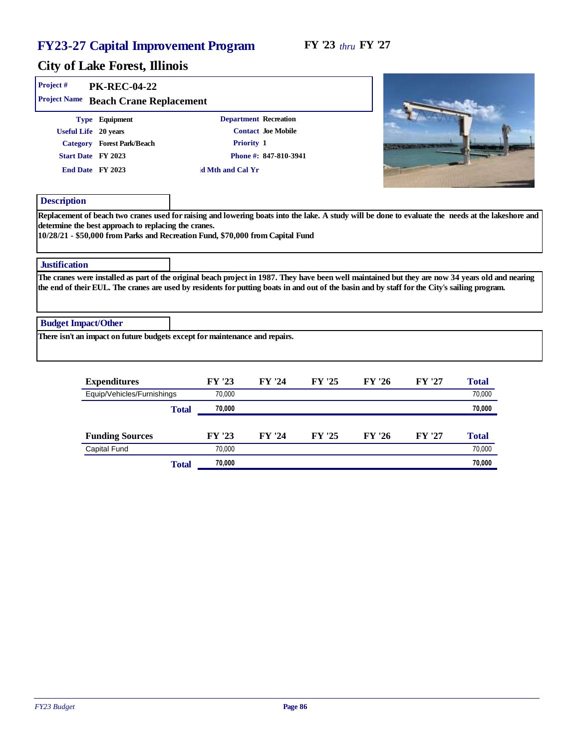#### FY '23 *thru* FY '27

| Project #                  | <b>PK-REC-04-22</b>                                                                                            |                                                                                |                                             |                                                                                                                                                                                                                                                                                                    |
|----------------------------|----------------------------------------------------------------------------------------------------------------|--------------------------------------------------------------------------------|---------------------------------------------|----------------------------------------------------------------------------------------------------------------------------------------------------------------------------------------------------------------------------------------------------------------------------------------------------|
| Project Name               | Beach Crane Replacement                                                                                        |                                                                                |                                             |                                                                                                                                                                                                                                                                                                    |
|                            | Type Equipment<br>Useful Life 20 years<br>Category Forest Park/Beach<br>Start Date FY 2023<br>End Date FY 2023 | Department Recreation<br>Priority 1<br>d Mth and Cal Yr                        | Contact Joe Mobile<br>Phone #: 847-810-3941 |                                                                                                                                                                                                                                                                                                    |
| Description                | determine the best approach to replacing the cranes.                                                           | 10/28/21 - \$50,000 from Parks and Recreation Fund, \$70,000 from Capital Fund |                                             | Replacement of beach two cranes used for raising and lowering boats into the lake. A study will be done to evaluate the needs at the lakeshore and                                                                                                                                                 |
| <b>Justification</b>       |                                                                                                                |                                                                                |                                             |                                                                                                                                                                                                                                                                                                    |
|                            |                                                                                                                |                                                                                |                                             | The cranes were installed as part of the original beach project in 1987. They have been well maintained but they are now 34 years old and nearing<br>the end of their EUL. The cranes are used by residents for putting boats in and out of the basin and by staff for the City's sailing program. |
| <b>Budget Impact/Other</b> |                                                                                                                |                                                                                |                                             |                                                                                                                                                                                                                                                                                                    |
|                            |                                                                                                                | There isn't an impact on future budgets except for maintenance and repairs.    |                                             |                                                                                                                                                                                                                                                                                                    |
|                            |                                                                                                                |                                                                                |                                             |                                                                                                                                                                                                                                                                                                    |

| Expenditures               |       | FY '23 | FY '24 | FY '25 | FY '26 | FY '27 | Total  |
|----------------------------|-------|--------|--------|--------|--------|--------|--------|
| Equip/Vehicles/Furnishings |       | 70.000 |        |        |        |        | 70,000 |
|                            | Total | 70,000 |        |        |        |        | 70,000 |
|                            |       |        |        |        |        |        |        |
| <b>Funding Sources</b>     |       | FY '23 | FY '24 | FY '25 | FY '26 | FY '27 | Total  |
| Capital Fund               |       | 70.000 |        |        |        |        | 70,000 |
|                            | Total | 70,000 |        |        |        |        | 70,000 |